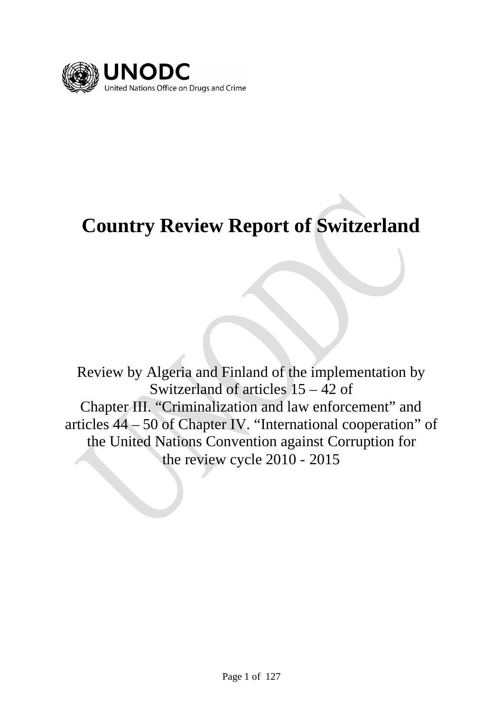

# **Country Review Report of Switzerland**

Review by Algeria and Finland of the implementation by Switzerland of articles 15 – 42 of Chapter III. "Criminalization and law enforcement" and articles 44 – 50 of Chapter IV. "International cooperation" of the United Nations Convention against Corruption for the review cycle 2010 - 2015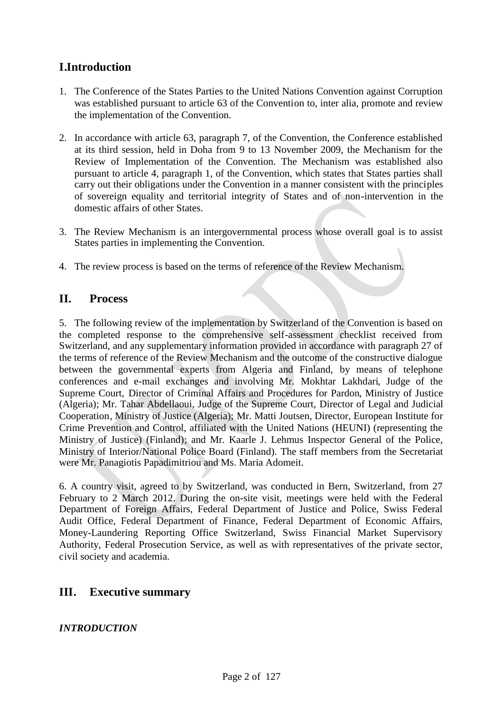# **I.Introduction**

- 1. The Conference of the States Parties to the United Nations Convention against Corruption was established pursuant to article 63 of the Convention to, inter alia, promote and review the implementation of the Convention.
- 2. In accordance with article 63, paragraph 7, of the Convention, the Conference established at its third session, held in Doha from 9 to 13 November 2009, the Mechanism for the Review of Implementation of the Convention. The Mechanism was established also pursuant to article 4, paragraph 1, of the Convention, which states that States parties shall carry out their obligations under the Convention in a manner consistent with the principles of sovereign equality and territorial integrity of States and of non-intervention in the domestic affairs of other States.
- 3. The Review Mechanism is an intergovernmental process whose overall goal is to assist States parties in implementing the Convention.
- 4. The review process is based on the terms of reference of the Review Mechanism.

# **II. Process**

5. The following review of the implementation by Switzerland of the Convention is based on the completed response to the comprehensive self-assessment checklist received from Switzerland, and any supplementary information provided in accordance with paragraph 27 of the terms of reference of the Review Mechanism and the outcome of the constructive dialogue between the governmental experts from Algeria and Finland, by means of telephone conferences and e-mail exchanges and involving Mr. Mokhtar Lakhdari, Judge of the Supreme Court, Director of Criminal Affairs and Procedures for Pardon, Ministry of Justice (Algeria); Mr. Tahar Abdellaoui, Judge of the Supreme Court, Director of Legal and Judicial Cooperation, Ministry of Justice (Algeria); Mr. Matti Joutsen, Director, European Institute for Crime Prevention and Control, affiliated with the United Nations (HEUNI) (representing the Ministry of Justice) (Finland); and Mr. Kaarle J. Lehmus Inspector General of the Police, Ministry of Interior/National Police Board (Finland). The staff members from the Secretariat were Mr. Panagiotis Papadimitriou and Ms. Maria Adomeit.

6. A country visit, agreed to by Switzerland, was conducted in Bern, Switzerland, from 27 February to 2 March 2012. During the on-site visit, meetings were held with the Federal Department of Foreign Affairs, Federal Department of Justice and Police, Swiss Federal Audit Office, Federal Department of Finance, Federal Department of Economic Affairs, Money-Laundering Reporting Office Switzerland, Swiss Financial Market Supervisory Authority, Federal Prosecution Service, as well as with representatives of the private sector, civil society and academia.

# **III. Executive summary**

*INTRODUCTION*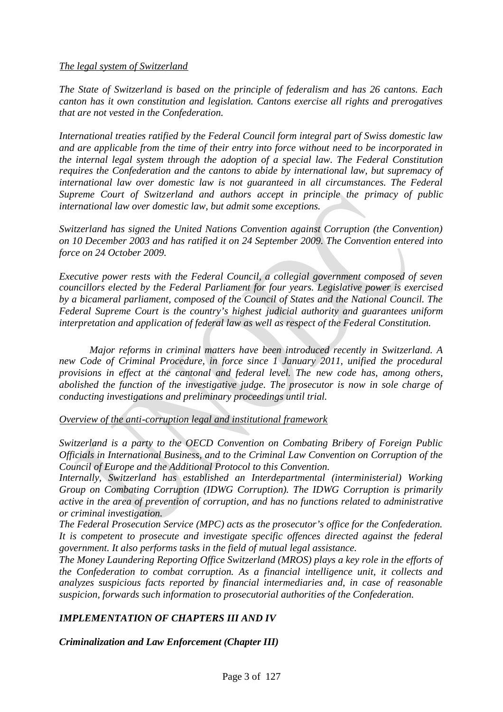#### *The legal system of Switzerland*

*The State of Switzerland is based on the principle of federalism and has 26 cantons. Each canton has it own constitution and legislation. Cantons exercise all rights and prerogatives that are not vested in the Confederation.*

*International treaties ratified by the Federal Council form integral part of Swiss domestic law and are applicable from the time of their entry into force without need to be incorporated in the internal legal system through the adoption of a special law. The Federal Constitution requires the Confederation and the cantons to abide by international law, but supremacy of international law over domestic law is not guaranteed in all circumstances. The Federal Supreme Court of Switzerland and authors accept in principle the primacy of public international law over domestic law, but admit some exceptions.*

*Switzerland has signed the United Nations Convention against Corruption (the Convention) on 10 December 2003 and has ratified it on 24 September 2009. The Convention entered into force on 24 October 2009.*

*Executive power rests with the Federal Council, a collegial government composed of seven councillors elected by the Federal Parliament for four years. Legislative power is exercised by a bicameral parliament, composed of the Council of States and the National Council. The Federal Supreme Court is the country's highest judicial authority and guarantees uniform interpretation and application of federal law as well as respect of the Federal Constitution.*

*Major reforms in criminal matters have been introduced recently in Switzerland. A new Code of Criminal Procedure, in force since 1 January 2011, unified the procedural provisions in effect at the cantonal and federal level. The new code has, among others, abolished the function of the investigative judge. The prosecutor is now in sole charge of conducting investigations and preliminary proceedings until trial.*

*Overview of the anti-corruption legal and institutional framework*

*Switzerland is a party to the OECD Convention on Combating Bribery of Foreign Public Officials in International Business, and to the Criminal Law Convention on Corruption of the Council of Europe and the Additional Protocol to this Convention.*

*Internally, Switzerland has established an Interdepartmental (interministerial) Working Group on Combating Corruption (IDWG Corruption). The IDWG Corruption is primarily active in the area of prevention of corruption, and has no functions related to administrative or criminal investigation.*

*The Federal Prosecution Service (MPC) acts as the prosecutor's office for the Confederation. It is competent to prosecute and investigate specific offences directed against the federal government. It also performs tasks in the field of mutual legal assistance.*

*The Money Laundering Reporting Office Switzerland (MROS) plays a key role in the efforts of the Confederation to combat corruption. As a financial intelligence unit, it collects and analyzes suspicious facts reported by financial intermediaries and, in case of reasonable suspicion, forwards such information to prosecutorial authorities of the Confederation.*

# *IMPLEMENTATION OF CHAPTERS III AND IV*

*Criminalization and Law Enforcement (Chapter III)*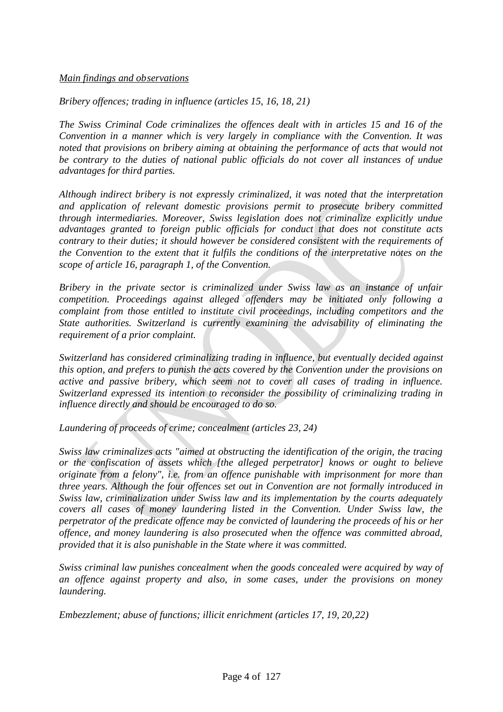#### *Main findings and observations*

*Bribery offences; trading in influence (articles 15, 16, 18, 21)*

*The Swiss Criminal Code criminalizes the offences dealt with in articles 15 and 16 of the Convention in a manner which is very largely in compliance with the Convention. It was noted that provisions on bribery aiming at obtaining the performance of acts that would not be contrary to the duties of national public officials do not cover all instances of undue advantages for third parties.*

*Although indirect bribery is not expressly criminalized, it was noted that the interpretation and application of relevant domestic provisions permit to prosecute bribery committed through intermediaries. Moreover, Swiss legislation does not criminalize explicitly undue advantages granted to foreign public officials for conduct that does not constitute acts contrary to their duties; it should however be considered consistent with the requirements of the Convention to the extent that it fulfils the conditions of the interpretative notes on the scope of article 16, paragraph 1, of the Convention.*

*Bribery in the private sector is criminalized under Swiss law as an instance of unfair competition. Proceedings against alleged offenders may be initiated only following a complaint from those entitled to institute civil proceedings, including competitors and the State authorities. Switzerland is currently examining the advisability of eliminating the requirement of a prior complaint.*

*Switzerland has considered criminalizing trading in influence, but eventually decided against this option, and prefers to punish the acts covered by the Convention under the provisions on active and passive bribery, which seem not to cover all cases of trading in influence. Switzerland expressed its intention to reconsider the possibility of criminalizing trading in influence directly and should be encouraged to do so.*

*Laundering of proceeds of crime; concealment (articles 23, 24)*

*Swiss law criminalizes acts "aimed at obstructing the identification of the origin, the tracing or the confiscation of assets which [the alleged perpetrator] knows or ought to believe originate from a felony", i.e. from an offence punishable with imprisonment for more than three years. Although the four offences set out in Convention are not formally introduced in Swiss law, criminalization under Swiss law and its implementation by the courts adequately covers all cases of money laundering listed in the Convention. Under Swiss law, the perpetrator of the predicate offence may be convicted of laundering the proceeds of his or her offence, and money laundering is also prosecuted when the offence was committed abroad, provided that it is also punishable in the State where it was committed.*

*Swiss criminal law punishes concealment when the goods concealed were acquired by way of an offence against property and also, in some cases, under the provisions on money laundering.*

*Embezzlement; abuse of functions; illicit enrichment (articles 17, 19, 20,22)*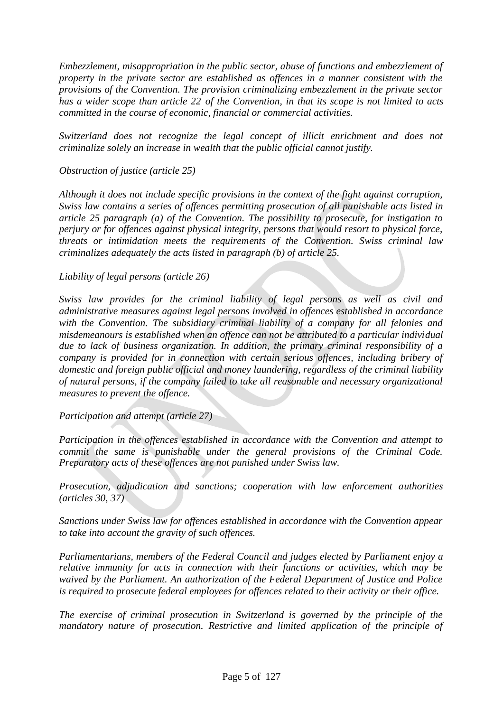*Embezzlement, misappropriation in the public sector, abuse of functions and embezzlement of property in the private sector are established as offences in a manner consistent with the provisions of the Convention. The provision criminalizing embezzlement in the private sector has a wider scope than article 22 of the Convention, in that its scope is not limited to acts committed in the course of economic, financial or commercial activities.*

*Switzerland does not recognize the legal concept of illicit enrichment and does not criminalize solely an increase in wealth that the public official cannot justify.*

*Obstruction of justice (article 25)*

*Although it does not include specific provisions in the context of the fight against corruption, Swiss law contains a series of offences permitting prosecution of all punishable acts listed in article 25 paragraph (a) of the Convention. The possibility to prosecute, for instigation to perjury or for offences against physical integrity, persons that would resort to physical force, threats or intimidation meets the requirements of the Convention. Swiss criminal law criminalizes adequately the acts listed in paragraph (b) of article 25.*

#### *Liability of legal persons (article 26)*

*Swiss law provides for the criminal liability of legal persons as well as civil and administrative measures against legal persons involved in offences established in accordance with the Convention. The subsidiary criminal liability of a company for all felonies and misdemeanours is established when an offence can not be attributed to a particular individual due to lack of business organization. In addition, the primary criminal responsibility of a company is provided for in connection with certain serious offences, including bribery of domestic and foreign public official and money laundering, regardless of the criminal liability of natural persons, if the company failed to take all reasonable and necessary organizational measures to prevent the offence.*

*Participation and attempt (article 27)*

*Participation in the offences established in accordance with the Convention and attempt to commit the same is punishable under the general provisions of the Criminal Code. Preparatory acts of these offences are not punished under Swiss law.*

*Prosecution, adjudication and sanctions; cooperation with law enforcement authorities (articles 30, 37)*

*Sanctions under Swiss law for offences established in accordance with the Convention appear to take into account the gravity of such offences.*

*Parliamentarians, members of the Federal Council and judges elected by Parliament enjoy a relative immunity for acts in connection with their functions or activities, which may be waived by the Parliament. An authorization of the Federal Department of Justice and Police is required to prosecute federal employees for offences related to their activity or their office.*

*The exercise of criminal prosecution in Switzerland is governed by the principle of the mandatory nature of prosecution. Restrictive and limited application of the principle of*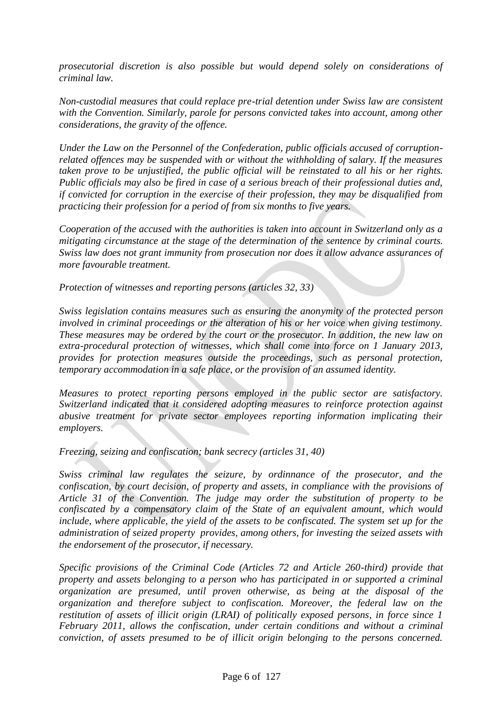*prosecutorial discretion is also possible but would depend solely on considerations of criminal law.*

*Non-custodial measures that could replace pre-trial detention under Swiss law are consistent with the Convention. Similarly, parole for persons convicted takes into account, among other considerations, the gravity of the offence.*

*Under the Law on the Personnel of the Confederation, public officials accused of corruptionrelated offences may be suspended with or without the withholding of salary. If the measures taken prove to be unjustified, the public official will be reinstated to all his or her rights. Public officials may also be fired in case of a serious breach of their professional duties and, if convicted for corruption in the exercise of their profession, they may be disqualified from practicing their profession for a period of from six months to five years.*

*Cooperation of the accused with the authorities is taken into account in Switzerland only as a mitigating circumstance at the stage of the determination of the sentence by criminal courts. Swiss law does not grant immunity from prosecution nor does it allow advance assurances of more favourable treatment.*

*Protection of witnesses and reporting persons (articles 32, 33)*

*Swiss legislation contains measures such as ensuring the anonymity of the protected person involved in criminal proceedings or the alteration of his or her voice when giving testimony. These measures may be ordered by the court or the prosecutor. In addition, the new law on extra-procedural protection of witnesses, which shall come into force on 1 January 2013, provides for protection measures outside the proceedings, such as personal protection, temporary accommodation in a safe place, or the provision of an assumed identity.*

*Measures to protect reporting persons employed in the public sector are satisfactory. Switzerland indicated that it considered adopting measures to reinforce protection against abusive treatment for private sector employees reporting information implicating their employers.*

*Freezing, seizing and confiscation; bank secrecy (articles 31, 40)*

*Swiss criminal law regulates the seizure, by ordinnance of the prosecutor, and the confiscation, by court decision, of property and assets, in compliance with the provisions of Article 31 of the Convention. The judge may order the substitution of property to be confiscated by a compensatory claim of the State of an equivalent amount, which would include, where applicable, the yield of the assets to be confiscated. The system set up for the administration of seized property provides, among others, for investing the seized assets with the endorsement of the prosecutor, if necessary.*

*Specific provisions of the Criminal Code (Articles 72 and Article 260-third) provide that property and assets belonging to a person who has participated in or supported a criminal organization are presumed, until proven otherwise, as being at the disposal of the organization and therefore subject to confiscation. Moreover, the federal law on the restitution of assets of illicit origin (LRAI) of politically exposed persons, in force since 1 February 2011, allows the confiscation, under certain conditions and without a criminal conviction, of assets presumed to be of illicit origin belonging to the persons concerned.*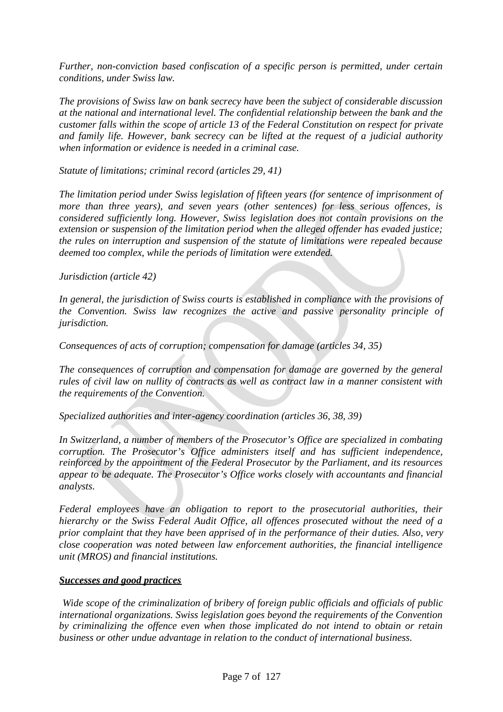*Further, non-conviction based confiscation of a specific person is permitted, under certain conditions, under Swiss law.*

*The provisions of Swiss law on bank secrecy have been the subject of considerable discussion at the national and international level. The confidential relationship between the bank and the customer falls within the scope of article 13 of the Federal Constitution on respect for private and family life. However, bank secrecy can be lifted at the request of a judicial authority when information or evidence is needed in a criminal case.*

*Statute of limitations; criminal record (articles 29, 41)*

*The limitation period under Swiss legislation of fifteen years (for sentence of imprisonment of more than three years), and seven years (other sentences) for less serious offences, is considered sufficiently long. However, Swiss legislation does not contain provisions on the extension or suspension of the limitation period when the alleged offender has evaded justice; the rules on interruption and suspension of the statute of limitations were repealed because deemed too complex, while the periods of limitation were extended.*

*Jurisdiction (article 42)*

*In general, the jurisdiction of Swiss courts is established in compliance with the provisions of the Convention. Swiss law recognizes the active and passive personality principle of jurisdiction.*

*Consequences of acts of corruption; compensation for damage (articles 34, 35)*

*The consequences of corruption and compensation for damage are governed by the general rules of civil law on nullity of contracts as well as contract law in a manner consistent with the requirements of the Convention.*

*Specialized authorities and inter-agency coordination (articles 36, 38, 39)*

*In Switzerland, a number of members of the Prosecutor's Office are specialized in combating corruption. The Prosecutor's Office administers itself and has sufficient independence, reinforced by the appointment of the Federal Prosecutor by the Parliament, and its resources appear to be adequate. The Prosecutor's Office works closely with accountants and financial analysts.*

*Federal employees have an obligation to report to the prosecutorial authorities, their hierarchy or the Swiss Federal Audit Office, all offences prosecuted without the need of a prior complaint that they have been apprised of in the performance of their duties. Also, very close cooperation was noted between law enforcement authorities, the financial intelligence unit (MROS) and financial institutions.*

# *Successes and good practices*

*Wide scope of the criminalization of bribery of foreign public officials and officials of public international organizations. Swiss legislation goes beyond the requirements of the Convention by criminalizing the offence even when those implicated do not intend to obtain or retain business or other undue advantage in relation to the conduct of international business.*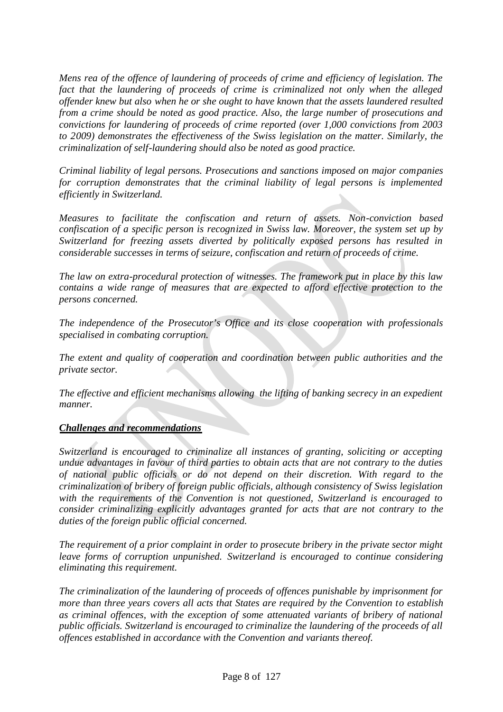*Mens rea of the offence of laundering of proceeds of crime and efficiency of legislation. The fact that the laundering of proceeds of crime is criminalized not only when the alleged offender knew but also when he or she ought to have known that the assets laundered resulted from a crime should be noted as good practice. Also, the large number of prosecutions and convictions for laundering of proceeds of crime reported (over 1,000 convictions from 2003 to 2009) demonstrates the effectiveness of the Swiss legislation on the matter. Similarly, the criminalization of self-laundering should also be noted as good practice.*

*Criminal liability of legal persons. Prosecutions and sanctions imposed on major companies for corruption demonstrates that the criminal liability of legal persons is implemented efficiently in Switzerland.*

*Measures to facilitate the confiscation and return of assets. Non-conviction based confiscation of a specific person is recognized in Swiss law. Moreover, the system set up by Switzerland for freezing assets diverted by politically exposed persons has resulted in considerable successes in terms of seizure, confiscation and return of proceeds of crime.*

*The law on extra-procedural protection of witnesses. The framework put in place by this law contains a wide range of measures that are expected to afford effective protection to the persons concerned.*

*The independence of the Prosecutor's Office and its close cooperation with professionals specialised in combating corruption.*

*The extent and quality of cooperation and coordination between public authorities and the private sector.*

*The effective and efficient mechanisms allowing the lifting of banking secrecy in an expedient manner.*

#### *Challenges and recommendations*

*Switzerland is encouraged to criminalize all instances of granting, soliciting or accepting undue advantages in favour of third parties to obtain acts that are not contrary to the duties of national public officials or do not depend on their discretion. With regard to the criminalization of bribery of foreign public officials, although consistency of Swiss legislation with the requirements of the Convention is not questioned, Switzerland is encouraged to consider criminalizing explicitly advantages granted for acts that are not contrary to the duties of the foreign public official concerned.*

*The requirement of a prior complaint in order to prosecute bribery in the private sector might leave forms of corruption unpunished. Switzerland is encouraged to continue considering eliminating this requirement.*

*The criminalization of the laundering of proceeds of offences punishable by imprisonment for more than three years covers all acts that States are required by the Convention to establish as criminal offences, with the exception of some attenuated variants of bribery of national public officials. Switzerland is encouraged to criminalize the laundering of the proceeds of all offences established in accordance with the Convention and variants thereof.*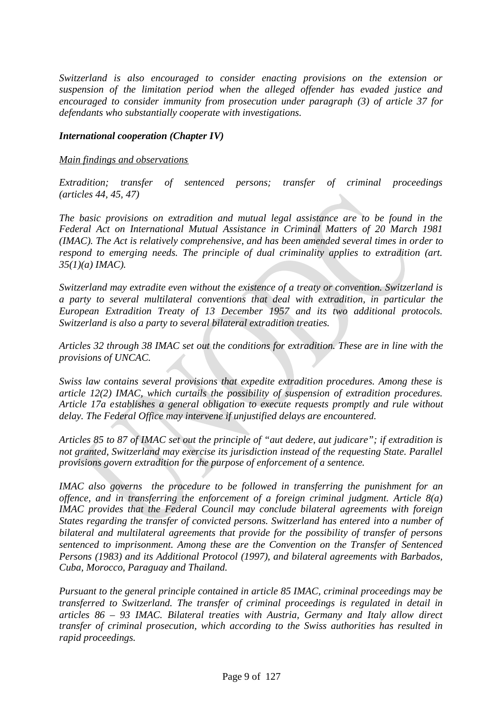*Switzerland is also encouraged to consider enacting provisions on the extension or suspension of the limitation period when the alleged offender has evaded justice and encouraged to consider immunity from prosecution under paragraph (3) of article 37 for defendants who substantially cooperate with investigations.*

#### *International cooperation (Chapter IV)*

#### *Main findings and observations*

*Extradition; transfer of sentenced persons; transfer of criminal proceedings (articles 44, 45, 47)*

*The basic provisions on extradition and mutual legal assistance are to be found in the Federal Act on International Mutual Assistance in Criminal Matters of 20 March 1981 (IMAC). The Act is relatively comprehensive, and has been amended several times in order to respond to emerging needs. The principle of dual criminality applies to extradition (art. 35(1)(a) IMAC).*

*Switzerland may extradite even without the existence of a treaty or convention. Switzerland is a party to several multilateral conventions that deal with extradition, in particular the European Extradition Treaty of 13 December 1957 and its two additional protocols. Switzerland is also a party to several bilateral extradition treaties.*

*Articles 32 through 38 IMAC set out the conditions for extradition. These are in line with the provisions of UNCAC.*

*Swiss law contains several provisions that expedite extradition procedures. Among these is article 12(2) IMAC, which curtails the possibility of suspension of extradition procedures. Article 17a establishes a general obligation to execute requests promptly and rule without delay. The Federal Office may intervene if unjustified delays are encountered.*

*Articles 85 to 87 of IMAC set out the principle of "aut dedere, aut judicare"; if extradition is not granted, Switzerland may exercise its jurisdiction instead of the requesting State. Parallel provisions govern extradition for the purpose of enforcement of a sentence.*

*IMAC also governs the procedure to be followed in transferring the punishment for an offence, and in transferring the enforcement of a foreign criminal judgment. Article 8(a) IMAC provides that the Federal Council may conclude bilateral agreements with foreign States regarding the transfer of convicted persons. Switzerland has entered into a number of bilateral and multilateral agreements that provide for the possibility of transfer of persons sentenced to imprisonment. Among these are the Convention on the Transfer of Sentenced Persons (1983) and its Additional Protocol (1997), and bilateral agreements with Barbados, Cuba, Morocco, Paraguay and Thailand.*

*Pursuant to the general principle contained in article 85 IMAC, criminal proceedings may be transferred to Switzerland. The transfer of criminal proceedings is regulated in detail in articles 86 – 93 IMAC. Bilateral treaties with Austria, Germany and Italy allow direct transfer of criminal prosecution, which according to the Swiss authorities has resulted in rapid proceedings.*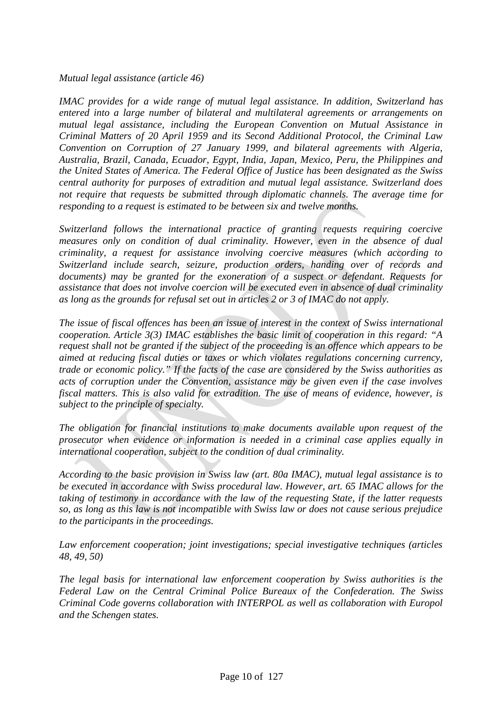*Mutual legal assistance (article 46)*

*IMAC provides for a wide range of mutual legal assistance. In addition, Switzerland has entered into a large number of bilateral and multilateral agreements or arrangements on mutual legal assistance, including the European Convention on Mutual Assistance in Criminal Matters of 20 April 1959 and its Second Additional Protocol, the Criminal Law Convention on Corruption of 27 January 1999, and bilateral agreements with Algeria, Australia, Brazil, Canada, Ecuador, Egypt, India, Japan, Mexico, Peru, the Philippines and the United States of America. The Federal Office of Justice has been designated as the Swiss central authority for purposes of extradition and mutual legal assistance. Switzerland does not require that requests be submitted through diplomatic channels. The average time for responding to a request is estimated to be between six and twelve months.*

*Switzerland follows the international practice of granting requests requiring coercive measures only on condition of dual criminality. However, even in the absence of dual criminality, a request for assistance involving coercive measures (which according to Switzerland include search, seizure, production orders, handing over of records and documents) may be granted for the exoneration of a suspect or defendant. Requests for assistance that does not involve coercion will be executed even in absence of dual criminality as long as the grounds for refusal set out in articles 2 or 3 of IMAC do not apply.*

*The issue of fiscal offences has been an issue of interest in the context of Swiss international cooperation. Article 3(3) IMAC establishes the basic limit of cooperation in this regard: "A request shall not be granted if the subject of the proceeding is an offence which appears to be aimed at reducing fiscal duties or taxes or which violates regulations concerning currency, trade or economic policy." If the facts of the case are considered by the Swiss authorities as acts of corruption under the Convention, assistance may be given even if the case involves fiscal matters. This is also valid for extradition. The use of means of evidence, however, is subject to the principle of specialty.*

*The obligation for financial institutions to make documents available upon request of the prosecutor when evidence or information is needed in a criminal case applies equally in international cooperation, subject to the condition of dual criminality.*

*According to the basic provision in Swiss law (art. 80a IMAC), mutual legal assistance is to be executed in accordance with Swiss procedural law. However, art. 65 IMAC allows for the taking of testimony in accordance with the law of the requesting State, if the latter requests so, as long as this law is not incompatible with Swiss law or does not cause serious prejudice to the participants in the proceedings.*

*Law enforcement cooperation; joint investigations; special investigative techniques (articles 48, 49, 50)*

*The legal basis for international law enforcement cooperation by Swiss authorities is the Federal Law on the Central Criminal Police Bureaux of the Confederation. The Swiss Criminal Code governs collaboration with INTERPOL as well as collaboration with Europol and the Schengen states.*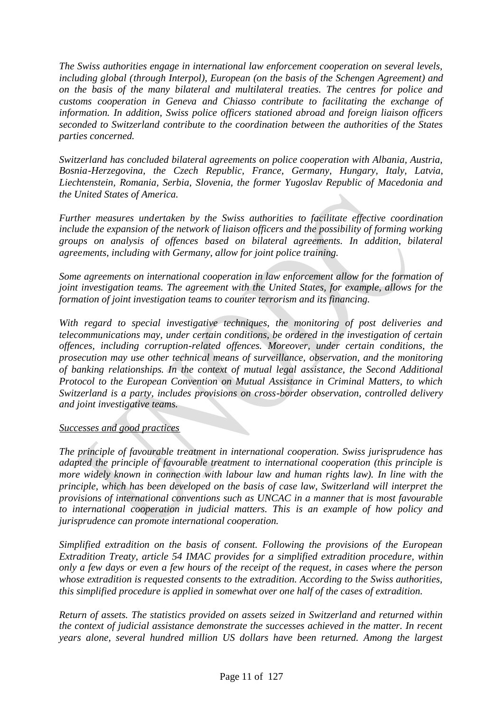*The Swiss authorities engage in international law enforcement cooperation on several levels, including global (through Interpol), European (on the basis of the Schengen Agreement) and on the basis of the many bilateral and multilateral treaties. The centres for police and customs cooperation in Geneva and Chiasso contribute to facilitating the exchange of information. In addition, Swiss police officers stationed abroad and foreign liaison officers seconded to Switzerland contribute to the coordination between the authorities of the States parties concerned.*

*Switzerland has concluded bilateral agreements on police cooperation with Albania, Austria, Bosnia-Herzegovina, the Czech Republic, France, Germany, Hungary, Italy, Latvia, Liechtenstein, Romania, Serbia, Slovenia, the former Yugoslav Republic of Macedonia and the United States of America.*

*Further measures undertaken by the Swiss authorities to facilitate effective coordination include the expansion of the network of liaison officers and the possibility of forming working groups on analysis of offences based on bilateral agreements. In addition, bilateral agreements, including with Germany, allow for joint police training.*

*Some agreements on international cooperation in law enforcement allow for the formation of joint investigation teams. The agreement with the United States, for example, allows for the formation of joint investigation teams to counter terrorism and its financing.*

*With regard to special investigative techniques, the monitoring of post deliveries and telecommunications may, under certain conditions, be ordered in the investigation of certain offences, including corruption-related offences. Moreover, under certain conditions, the prosecution may use other technical means of surveillance, observation, and the monitoring of banking relationships. In the context of mutual legal assistance, the Second Additional Protocol to the European Convention on Mutual Assistance in Criminal Matters, to which Switzerland is a party, includes provisions on cross-border observation, controlled delivery and joint investigative teams.*

# *Successes and good practices*

*The principle of favourable treatment in international cooperation. Swiss jurisprudence has adapted the principle of favourable treatment to international cooperation (this principle is more widely known in connection with labour law and human rights law). In line with the principle, which has been developed on the basis of case law, Switzerland will interpret the provisions of international conventions such as UNCAC in a manner that is most favourable to international cooperation in judicial matters. This is an example of how policy and jurisprudence can promote international cooperation.*

*Simplified extradition on the basis of consent. Following the provisions of the European Extradition Treaty, article 54 IMAC provides for a simplified extradition procedure, within only a few days or even a few hours of the receipt of the request, in cases where the person whose extradition is requested consents to the extradition. According to the Swiss authorities, this simplified procedure is applied in somewhat over one half of the cases of extradition.*

*Return of assets. The statistics provided on assets seized in Switzerland and returned within the context of judicial assistance demonstrate the successes achieved in the matter. In recent years alone, several hundred million US dollars have been returned. Among the largest*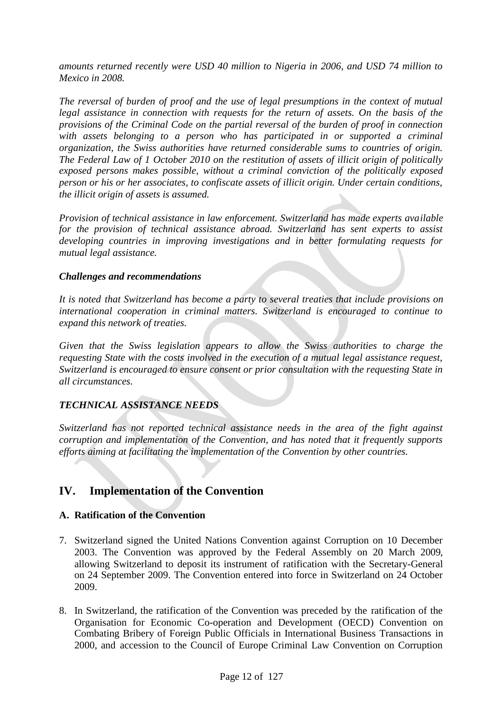*amounts returned recently were USD 40 million to Nigeria in 2006, and USD 74 million to Mexico in 2008.*

*The reversal of burden of proof and the use of legal presumptions in the context of mutual legal assistance in connection with requests for the return of assets. On the basis of the provisions of the Criminal Code on the partial reversal of the burden of proof in connection with assets belonging to a person who has participated in or supported a criminal organization, the Swiss authorities have returned considerable sums to countries of origin. The Federal Law of 1 October 2010 on the restitution of assets of illicit origin of politically exposed persons makes possible, without a criminal conviction of the politically exposed person or his or her associates, to confiscate assets of illicit origin. Under certain conditions, the illicit origin of assets is assumed.*

*Provision of technical assistance in law enforcement. Switzerland has made experts available for the provision of technical assistance abroad. Switzerland has sent experts to assist developing countries in improving investigations and in better formulating requests for mutual legal assistance.*

#### *Challenges and recommendations*

*It is noted that Switzerland has become a party to several treaties that include provisions on international cooperation in criminal matters. Switzerland is encouraged to continue to expand this network of treaties.*

*Given that the Swiss legislation appears to allow the Swiss authorities to charge the requesting State with the costs involved in the execution of a mutual legal assistance request, Switzerland is encouraged to ensure consent or prior consultation with the requesting State in all circumstances.*

# *TECHNICAL ASSISTANCE NEEDS*

*Switzerland has not reported technical assistance needs in the area of the fight against corruption and implementation of the Convention, and has noted that it frequently supports efforts aiming at facilitating the implementation of the Convention by other countries.*

# **IV. Implementation of the Convention**

# **A. Ratification of the Convention**

- 7. Switzerland signed the United Nations Convention against Corruption on 10 December 2003. The Convention was approved by the Federal Assembly on 20 March 2009, allowing Switzerland to deposit its instrument of ratification with the Secretary-General on 24 September 2009. The Convention entered into force in Switzerland on 24 October 2009.
- 8. In Switzerland, the ratification of the Convention was preceded by the ratification of the Organisation for Economic Co-operation and Development (OECD) Convention on Combating Bribery of Foreign Public Officials in International Business Transactions in 2000, and accession to the Council of Europe Criminal Law Convention on Corruption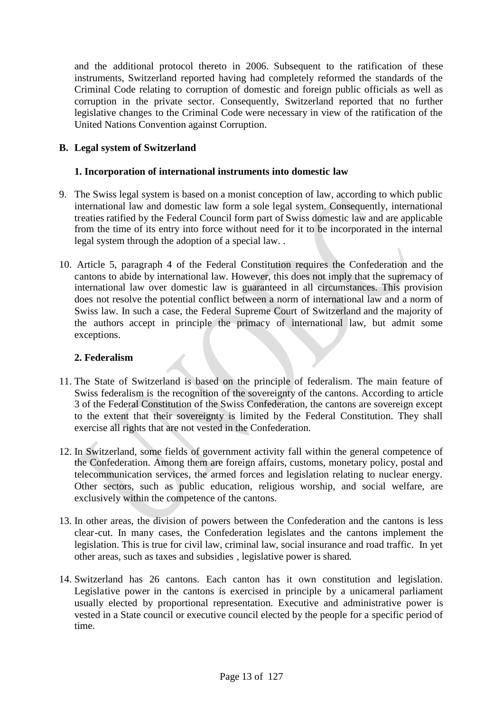and the additional protocol thereto in 2006. Subsequent to the ratification of these instruments, Switzerland reported having had completely reformed the standards of the Criminal Code relating to corruption of domestic and foreign public officials as well as corruption in the private sector. Consequently, Switzerland reported that no further legislative changes to the Criminal Code were necessary in view of the ratification of the United Nations Convention against Corruption.

# **B. Legal system of Switzerland**

#### **1. Incorporation of international instruments into domestic law**

- 9. The Swiss legal system is based on a monist conception of law, according to which public international law and domestic law form a sole legal system. Consequently, international treaties ratified by the Federal Council form part of Swiss domestic law and are applicable from the time of its entry into force without need for it to be incorporated in the internal legal system through the adoption of a special law. .
- 10. Article 5, paragraph 4 of the Federal Constitution requires the Confederation and the cantons to abide by international law. However, this does not imply that the supremacy of international law over domestic law is guaranteed in all circumstances. This provision does not resolve the potential conflict between a norm of international law and a norm of Swiss law. In such a case, the Federal Supreme Court of Switzerland and the majority of the authors accept in principle the primacy of international law, but admit some exceptions.

#### **2. Federalism**

- 11. The State of Switzerland is based on the principle of federalism. The main feature of Swiss federalism is the recognition of the sovereignty of the cantons. According to article 3 of the Federal Constitution of the Swiss Confederation, the cantons are sovereign except to the extent that their sovereignty is limited by the Federal Constitution. They shall exercise all rights that are not vested in the Confederation.
- 12. In Switzerland, some fields of government activity fall within the general competence of the Confederation. Among them are foreign affairs, customs, monetary policy, postal and telecommunication services, the armed forces and legislation relating to nuclear energy. Other sectors, such as public education, religious worship, and social welfare, are exclusively within the competence of the cantons.
- 13. In other areas, the division of powers between the Confederation and the cantons is less clear-cut. In many cases, the Confederation legislates and the cantons implement the legislation. This is true for civil law, criminal law, social insurance and road traffic. In yet other areas, such as taxes and subsidies , legislative power is shared.
- 14. Switzerland has 26 cantons. Each canton has it own constitution and legislation. Legislative power in the cantons is exercised in principle by a unicameral parliament usually elected by proportional representation. Executive and administrative power is vested in a State council or executive council elected by the people for a specific period of time.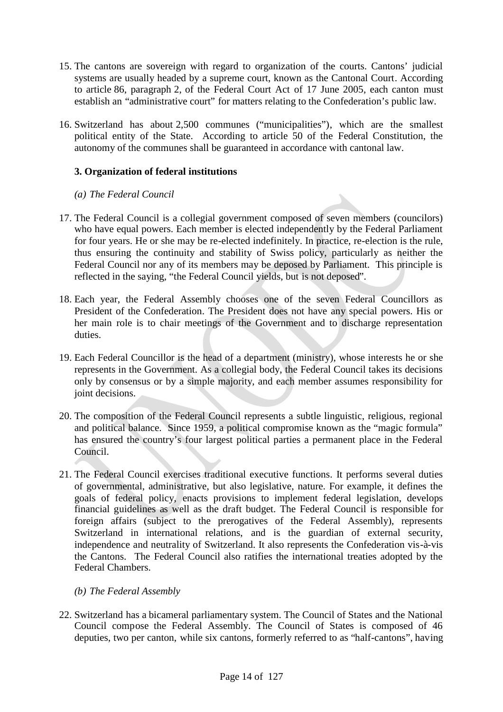- 15. The cantons are sovereign with regard to organization of the courts. Cantons' judicial systems are usually headed by a supreme court, known as the Cantonal Court. According to article 86, paragraph 2, of the Federal Court Act of 17 June 2005, each canton must establish an "administrative court" for matters relating to the Confederation's public law.
- 16. Switzerland has about 2,500 communes ("municipalities"), which are the smallest political entity of the State. According to article 50 of the Federal Constitution, the autonomy of the communes shall be guaranteed in accordance with cantonal law.

# **3. Organization of federal institutions**

# *(a) The Federal Council*

- 17. The Federal Council is a collegial government composed of seven members (councilors) who have equal powers. Each member is elected independently by the Federal Parliament for four years. He or she may be re-elected indefinitely. In practice, re-election is the rule, thus ensuring the continuity and stability of Swiss policy, particularly as neither the Federal Council nor any of its members may be deposed by Parliament. This principle is reflected in the saying, "the Federal Council yields, but is not deposed".
- 18. Each year, the Federal Assembly chooses one of the seven Federal Councillors as President of the Confederation. The President does not have any special powers. His or her main role is to chair meetings of the Government and to discharge representation duties.
- 19. Each Federal Councillor is the head of a department (ministry), whose interests he or she represents in the Government. As a collegial body, the Federal Council takes its decisions only by consensus or by a simple majority, and each member assumes responsibility for joint decisions.
- 20. The composition of the Federal Council represents a subtle linguistic, religious, regional and political balance. Since 1959, a political compromise known as the "magic formula" has ensured the country's four largest political parties a permanent place in the Federal Council.
- 21. The Federal Council exercises traditional executive functions. It performs several duties of governmental, administrative, but also legislative, nature. For example, it defines the goals of federal policy, enacts provisions to implement federal legislation, develops financial guidelines as well as the draft budget. The Federal Council is responsible for foreign affairs (subject to the prerogatives of the Federal Assembly), represents Switzerland in international relations, and is the guardian of external security, independence and neutrality of Switzerland. It also represents the Confederation vis-à-vis the Cantons. The Federal Council also ratifies the international treaties adopted by the Federal Chambers.
	- *(b) The Federal Assembly*
- 22. Switzerland has a bicameral parliamentary system. The Council of States and the National Council compose the Federal Assembly. The Council of States is composed of 46 deputies, two per canton, while six cantons, formerly referred to as "half-cantons", having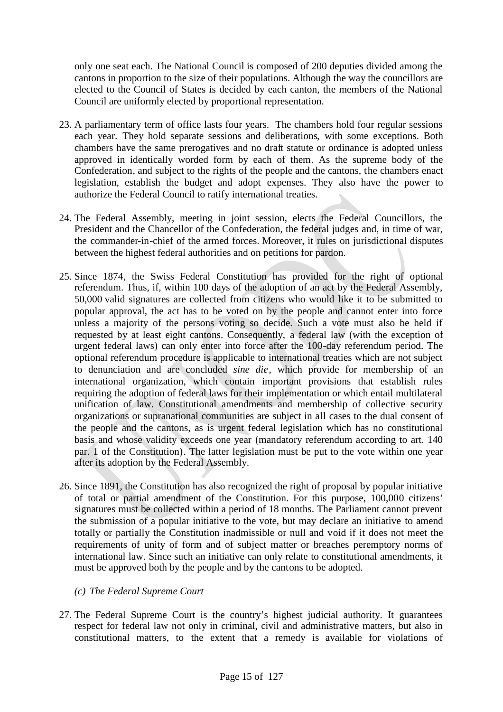only one seat each. The National Council is composed of 200 deputies divided among the cantons in proportion to the size of their populations. Although the way the councillors are elected to the Council of States is decided by each canton, the members of the National Council are uniformly elected by proportional representation.

- 23. A parliamentary term of office lasts four years. The chambers hold four regular sessions each year. They hold separate sessions and deliberations, with some exceptions. Both chambers have the same prerogatives and no draft statute or ordinance is adopted unless approved in identically worded form by each of them. As the supreme body of the Confederation, and subject to the rights of the people and the cantons, the chambers enact legislation, establish the budget and adopt expenses. They also have the power to authorize the Federal Council to ratify international treaties.
- 24. The Federal Assembly, meeting in joint session, elects the Federal Councillors, the President and the Chancellor of the Confederation, the federal judges and, in time of war, the commander-in-chief of the armed forces. Moreover, it rules on jurisdictional disputes between the highest federal authorities and on petitions for pardon.
- 25. Since 1874, the Swiss Federal Constitution has provided for the right of optional referendum. Thus, if, within 100 days of the adoption of an act by the Federal Assembly, 50,000 valid signatures are collected from citizens who would like it to be submitted to popular approval, the act has to be voted on by the people and cannot enter into force unless a majority of the persons voting so decide. Such a vote must also be held if requested by at least eight cantons. Consequently, a federal law (with the exception of urgent federal laws) can only enter into force after the 100-day referendum period. The optional referendum procedure is applicable to international treaties which are not subject to denunciation and are concluded *sine die*, which provide for membership of an international organization, which contain important provisions that establish rules requiring the adoption of federal laws for their implementation or which entail multilateral unification of law. Constitutional amendments and membership of collective security organizations or supranational communities are subject in all cases to the dual consent of the people and the cantons, as is urgent federal legislation which has no constitutional basis and whose validity exceeds one year (mandatory referendum according to art. 140 par. 1 of the Constitution). The latter legislation must be put to the vote within one year after its adoption by the Federal Assembly.
- 26. Since 1891, the Constitution has also recognized the right of proposal by popular initiative of total or partial amendment of the Constitution. For this purpose, 100,000 citizens' signatures must be collected within a period of 18 months. The Parliament cannot prevent the submission of a popular initiative to the vote, but may declare an initiative to amend totally or partially the Constitution inadmissible or null and void if it does not meet the requirements of unity of form and of subject matter or breaches peremptory norms of international law. Since such an initiative can only relate to constitutional amendments, it must be approved both by the people and by the cantons to be adopted.

# *(c) The Federal Supreme Court*

27. The Federal Supreme Court is the country's highest judicial authority. It guarantees respect for federal law not only in criminal, civil and administrative matters, but also in constitutional matters, to the extent that a remedy is available for violations of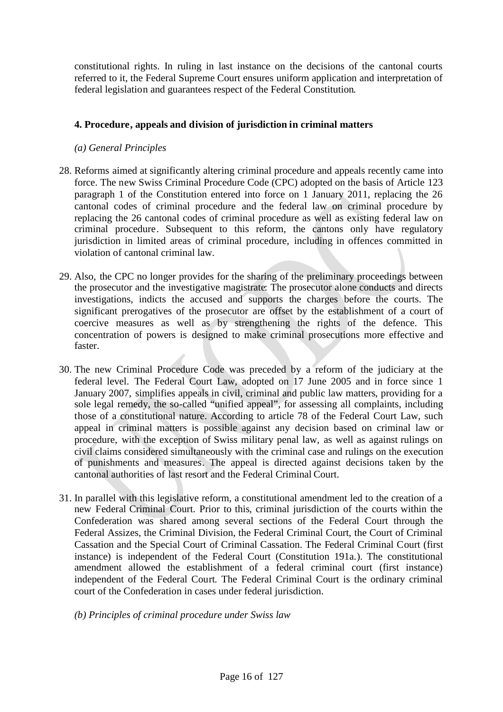constitutional rights. In ruling in last instance on the decisions of the cantonal courts referred to it, the Federal Supreme Court ensures uniform application and interpretation of federal legislation and guarantees respect of the Federal Constitution.

# **4. Procedure, appeals and division of jurisdiction in criminal matters**

# *(a) General Principles*

- 28. Reforms aimed at significantly altering criminal procedure and appeals recently came into force. The new Swiss Criminal Procedure Code (CPC) adopted on the basis of Article 123 paragraph 1 of the Constitution entered into force on 1 January 2011, replacing the 26 cantonal codes of criminal procedure and the federal law on criminal procedure by replacing the 26 cantonal codes of criminal procedure as well as existing federal law on criminal procedure. Subsequent to this reform, the cantons only have regulatory jurisdiction in limited areas of criminal procedure, including in offences committed in violation of cantonal criminal law.
- 29. Also, the CPC no longer provides for the sharing of the preliminary proceedings between the prosecutor and the investigative magistrate: The prosecutor alone conducts and directs investigations, indicts the accused and supports the charges before the courts. The significant prerogatives of the prosecutor are offset by the establishment of a court of coercive measures as well as by strengthening the rights of the defence. This concentration of powers is designed to make criminal prosecutions more effective and faster.
- 30. The new Criminal Procedure Code was preceded by a reform of the judiciary at the federal level. The Federal Court Law, adopted on 17 June 2005 and in force since 1 January 2007, simplifies appeals in civil, criminal and public law matters, providing for a sole legal remedy, the so-called "unified appeal", for assessing all complaints, including those of a constitutional nature. According to article 78 of the Federal Court Law, such appeal in criminal matters is possible against any decision based on criminal law or procedure, with the exception of Swiss military penal law, as well as against rulings on civil claims considered simultaneously with the criminal case and rulings on the execution of punishments and measures. The appeal is directed against decisions taken by the cantonal authorities of last resort and the Federal Criminal Court.
- 31. In parallel with this legislative reform, a constitutional amendment led to the creation of a new Federal Criminal Court. Prior to this, criminal jurisdiction of the courts within the Confederation was shared among several sections of the Federal Court through the Federal Assizes, the Criminal Division, the Federal Criminal Court, the Court of Criminal Cassation and the Special Court of Criminal Cassation. The Federal Criminal Court (first instance) is independent of the Federal Court (Constitution 191a.). The constitutional amendment allowed the establishment of a federal criminal court (first instance) independent of the Federal Court. The Federal Criminal Court is the ordinary criminal court of the Confederation in cases under federal jurisdiction.

# *(b) Principles of criminal procedure under Swiss law*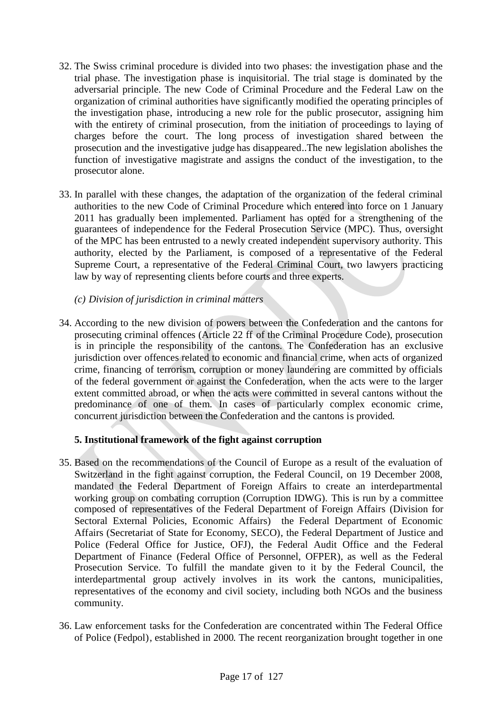- 32. The Swiss criminal procedure is divided into two phases: the investigation phase and the trial phase. The investigation phase is inquisitorial. The trial stage is dominated by the adversarial principle. The new Code of Criminal Procedure and the Federal Law on the organization of criminal authorities have significantly modified the operating principles of the investigation phase, introducing a new role for the public prosecutor, assigning him with the entirety of criminal prosecution, from the initiation of proceedings to laying of charges before the court. The long process of investigation shared between the prosecution and the investigative judge has disappeared..The new legislation abolishes the function of investigative magistrate and assigns the conduct of the investigation, to the prosecutor alone.
- 33. In parallel with these changes, the adaptation of the organization of the federal criminal authorities to the new Code of Criminal Procedure which entered into force on 1 January 2011 has gradually been implemented. Parliament has opted for a strengthening of the guarantees of independence for the Federal Prosecution Service (MPC). Thus, oversight of the MPC has been entrusted to a newly created independent supervisory authority. This authority, elected by the Parliament, is composed of a representative of the Federal Supreme Court, a representative of the Federal Criminal Court, two lawyers practicing law by way of representing clients before courts and three experts.
	- *(c) Division of jurisdiction in criminal matters*
- 34. According to the new division of powers between the Confederation and the cantons for prosecuting criminal offences (Article 22 ff of the Criminal Procedure Code), prosecution is in principle the responsibility of the cantons. The Confederation has an exclusive jurisdiction over offences related to economic and financial crime, when acts of organized crime, financing of terrorism, corruption or money laundering are committed by officials of the federal government or against the Confederation, when the acts were to the larger extent committed abroad, or when the acts were committed in several cantons without the predominance of one of them. In cases of particularly complex economic crime, concurrent jurisdiction between the Confederation and the cantons is provided.

# **5. Institutional framework of the fight against corruption**

- 35. Based on the recommendations of the Council of Europe as a result of the evaluation of Switzerland in the fight against corruption, the Federal Council, on 19 December 2008, mandated the Federal Department of Foreign Affairs to create an interdepartmental working group on combating corruption (Corruption IDWG). This is run by a committee composed of representatives of the Federal Department of Foreign Affairs (Division for Sectoral External Policies, Economic Affairs) the Federal Department of Economic Affairs (Secretariat of State for Economy, SECO), the Federal Department of Justice and Police (Federal Office for Justice, OFJ), the Federal Audit Office and the Federal Department of Finance (Federal Office of Personnel, OFPER), as well as the Federal Prosecution Service. To fulfill the mandate given to it by the Federal Council, the interdepartmental group actively involves in its work the cantons, municipalities, representatives of the economy and civil society, including both NGOs and the business community.
- 36. Law enforcement tasks for the Confederation are concentrated within The Federal Office of Police (Fedpol), established in 2000. The recent reorganization brought together in one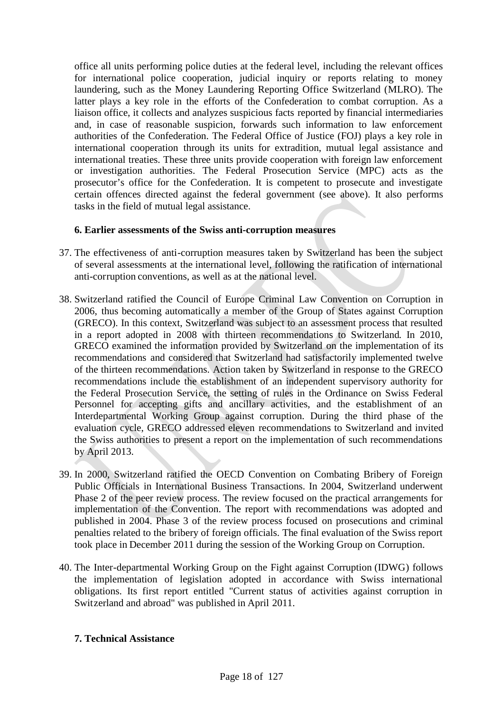office all units performing police duties at the federal level, including the relevant offices for international police cooperation, judicial inquiry or reports relating to money laundering, such as the Money Laundering Reporting Office Switzerland (MLRO). The latter plays a key role in the efforts of the Confederation to combat corruption. As a liaison office, it collects and analyzes suspicious facts reported by financial intermediaries and, in case of reasonable suspicion, forwards such information to law enforcement authorities of the Confederation. The Federal Office of Justice (FOJ) plays a key role in international cooperation through its units for extradition, mutual legal assistance and international treaties. These three units provide cooperation with foreign law enforcement or investigation authorities. The Federal Prosecution Service (MPC) acts as the prosecutor's office for the Confederation. It is competent to prosecute and investigate certain offences directed against the federal government (see above). It also performs tasks in the field of mutual legal assistance.

# **6. Earlier assessments of the Swiss anti-corruption measures**

- 37. The effectiveness of anti-corruption measures taken by Switzerland has been the subject of several assessments at the international level, following the ratification of international anti-corruption conventions, as well as at the national level.
- 38. Switzerland ratified the Council of Europe Criminal Law Convention on Corruption in 2006, thus becoming automatically a member of the Group of States against Corruption (GRECO). In this context, Switzerland was subject to an assessment process that resulted in a report adopted in 2008 with thirteen recommendations to Switzerland. In 2010, GRECO examined the information provided by Switzerland on the implementation of its recommendations and considered that Switzerland had satisfactorily implemented twelve of the thirteen recommendations. Action taken by Switzerland in response to the GRECO recommendations include the establishment of an independent supervisory authority for the Federal Prosecution Service, the setting of rules in the Ordinance on Swiss Federal Personnel for accepting gifts and ancillary activities, and the establishment of an Interdepartmental Working Group against corruption. During the third phase of the evaluation cycle, GRECO addressed eleven recommendations to Switzerland and invited the Swiss authorities to present a report on the implementation of such recommendations by April 2013.
- 39. In 2000, Switzerland ratified the OECD Convention on Combating Bribery of Foreign Public Officials in International Business Transactions. In 2004, Switzerland underwent Phase 2 of the peer review process. The review focused on the practical arrangements for implementation of the Convention. The report with recommendations was adopted and published in 2004. Phase 3 of the review process focused on prosecutions and criminal penalties related to the bribery of foreign officials. The final evaluation of the Swiss report took place in December 2011 during the session of the Working Group on Corruption.
- 40. The Inter-departmental Working Group on the Fight against Corruption (IDWG) follows the implementation of legislation adopted in accordance with Swiss international obligations. Its first report entitled "Current status of activities against corruption in Switzerland and abroad" was published in April 2011.

#### **7. Technical Assistance**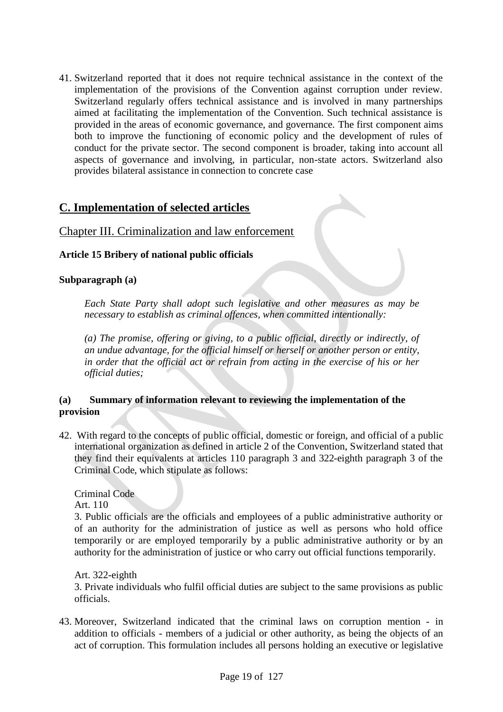41. Switzerland reported that it does not require technical assistance in the context of the implementation of the provisions of the Convention against corruption under review. Switzerland regularly offers technical assistance and is involved in many partnerships aimed at facilitating the implementation of the Convention. Such technical assistance is provided in the areas of economic governance, and governance. The first component aims both to improve the functioning of economic policy and the development of rules of conduct for the private sector. The second component is broader, taking into account all aspects of governance and involving, in particular, non-state actors. Switzerland also provides bilateral assistance in connection to concrete case

# **C. Implementation of selected articles**

# Chapter III. Criminalization and law enforcement

# **Article 15 Bribery of national public officials**

# **Subparagraph (a)**

*Each State Party shall adopt such legislative and other measures as may be necessary to establish as criminal offences, when committed intentionally:*

*(a) The promise, offering or giving, to a public official, directly or indirectly, of an undue advantage, for the official himself or herself or another person or entity, in order that the official act or refrain from acting in the exercise of his or her official duties;*

# **(a) Summary of information relevant to reviewing the implementation of the provision**

42. With regard to the concepts of public official, domestic or foreign, and official of a public international organization as defined in article 2 of the Convention, Switzerland stated that they find their equivalents at articles 110 paragraph 3 and 322-eighth paragraph 3 of the Criminal Code, which stipulate as follows:

Criminal Code

Art. 110

3. Public officials are the officials and employees of a public administrative authority or of an authority for the administration of justice as well as persons who hold office temporarily or are employed temporarily by a public administrative authority or by an authority for the administration of justice or who carry out official functions temporarily.

Art. 322-eighth

3. Private individuals who fulfil official duties are subject to the same provisions as public officials.

43. Moreover, Switzerland indicated that the criminal laws on corruption mention - in addition to officials - members of a judicial or other authority, as being the objects of an act of corruption. This formulation includes all persons holding an executive or legislative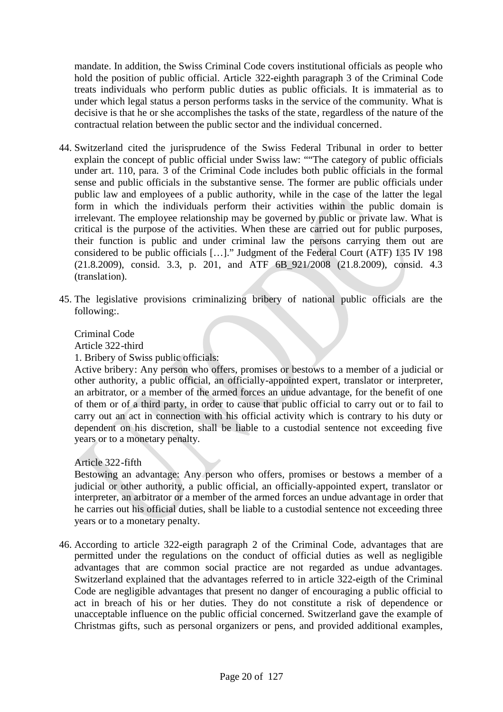mandate. In addition, the Swiss Criminal Code covers institutional officials as people who hold the position of public official. Article 322-eighth paragraph 3 of the Criminal Code treats individuals who perform public duties as public officials. It is immaterial as to under which legal status a person performs tasks in the service of the community. What is decisive is that he or she accomplishes the tasks of the state, regardless of the nature of the contractual relation between the public sector and the individual concerned.

- 44. Switzerland cited the jurisprudence of the Swiss Federal Tribunal in order to better explain the concept of public official under Swiss law: ""The category of public officials under art. 110, para. 3 of the Criminal Code includes both public officials in the formal sense and public officials in the substantive sense. The former are public officials under public law and employees of a public authority, while in the case of the latter the legal form in which the individuals perform their activities within the public domain is irrelevant. The employee relationship may be governed by public or private law. What is critical is the purpose of the activities. When these are carried out for public purposes, their function is public and under criminal law the persons carrying them out are considered to be public officials […]." Judgment of the Federal Court (ATF) 135 IV 198 (21.8.2009), consid. 3.3, p. 201, and ATF 6B\_921/2008 (21.8.2009), consid. 4.3 (translation).
- 45. The legislative provisions criminalizing bribery of national public officials are the following:.

# Criminal Code

Article 322-third

1. Bribery of Swiss public officials:

Active bribery: Any person who offers, promises or bestows to a member of a judicial or other authority, a public official, an officially-appointed expert, translator or interpreter, an arbitrator, or a member of the armed forces an undue advantage, for the benefit of one of them or of a third party, in order to cause that public official to carry out or to fail to carry out an act in connection with his official activity which is contrary to his duty or dependent on his discretion, shall be liable to a custodial sentence not exceeding five years or to a monetary penalty.

Article 322-fifth

Bestowing an advantage: Any person who offers, promises or bestows a member of a judicial or other authority, a public official, an officially-appointed expert, translator or interpreter, an arbitrator or a member of the armed forces an undue advantage in order that he carries out his official duties, shall be liable to a custodial sentence not exceeding three years or to a monetary penalty.

46. According to article 322-eigth paragraph 2 of the Criminal Code, advantages that are permitted under the regulations on the conduct of official duties as well as negligible advantages that are common social practice are not regarded as undue advantages. Switzerland explained that the advantages referred to in article 322-eigth of the Criminal Code are negligible advantages that present no danger of encouraging a public official to act in breach of his or her duties. They do not constitute a risk of dependence or unacceptable influence on the public official concerned. Switzerland gave the example of Christmas gifts, such as personal organizers or pens, and provided additional examples,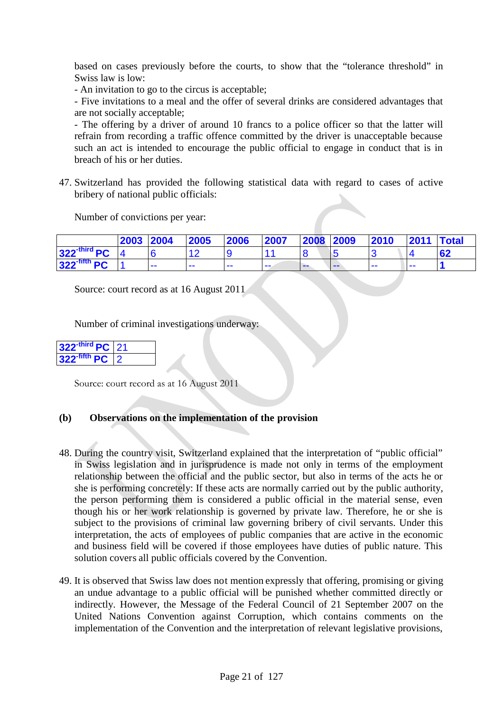based on cases previously before the courts, to show that the "tolerance threshold" in Swiss law is low:

- An invitation to go to the circus is acceptable;

- Five invitations to a meal and the offer of several drinks are considered advantages that are not socially acceptable;

- The offering by a driver of around 10 francs to a police officer so that the latter will refrain from recording a traffic offence committed by the driver is unacceptable because such an act is intended to encourage the public official to engage in conduct that is in breach of his or her duties.

47. Switzerland has provided the following statistical data with regard to cases of active bribery of national public officials:

Number of convictions per year:

|                            | 2003 2004 |       | 2005 | 2006 | 2007 | 2008 2009 |   | 2010 | 2011 | Total |
|----------------------------|-----------|-------|------|------|------|-----------|---|------|------|-------|
| $322$ <sup>-third</sup> PC |           |       |      |      |      |           |   |      |      | 62    |
| $322$ -fifth PC            |           | $- -$ |      | ---  | --   | ---       | . | --   | --   |       |

Source: court record as at 16 August 2011

Number of criminal investigations underway:

| 322 <sup>-third</sup> PC 21 |  |
|-----------------------------|--|
| $322$ -fifth PC             |  |

Source: court record as at 16 August 2011

#### **(b) Observations on the implementation of the provision**

- 48. During the country visit, Switzerland explained that the interpretation of "public official" in Swiss legislation and in jurisprudence is made not only in terms of the employment relationship between the official and the public sector, but also in terms of the acts he or she is performing concretely: If these acts are normally carried out by the public authority, the person performing them is considered a public official in the material sense, even though his or her work relationship is governed by private law. Therefore, he or she is subject to the provisions of criminal law governing bribery of civil servants. Under this interpretation, the acts of employees of public companies that are active in the economic and business field will be covered if those employees have duties of public nature. This solution covers all public officials covered by the Convention.
- 49. It is observed that Swiss law does not mention expressly that offering, promising or giving an undue advantage to a public official will be punished whether committed directly or indirectly. However, the Message of the Federal Council of 21 September 2007 on the United Nations Convention against Corruption, which contains comments on the implementation of the Convention and the interpretation of relevant legislative provisions,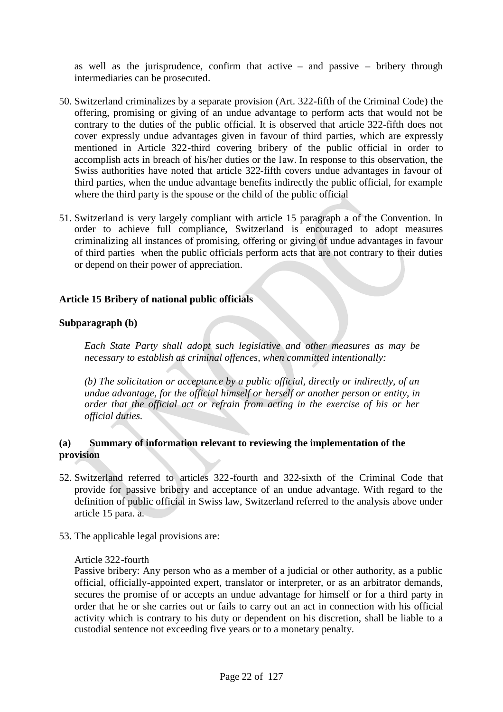as well as the jurisprudence, confirm that active – and passive – bribery through intermediaries can be prosecuted.

- 50. Switzerland criminalizes by a separate provision (Art. 322-fifth of the Criminal Code) the offering, promising or giving of an undue advantage to perform acts that would not be contrary to the duties of the public official. It is observed that article 322-fifth does not cover expressly undue advantages given in favour of third parties, which are expressly mentioned in Article 322-third covering bribery of the public official in order to accomplish acts in breach of his/her duties or the law. In response to this observation, the Swiss authorities have noted that article 322-fifth covers undue advantages in favour of third parties, when the undue advantage benefits indirectly the public official, for example where the third party is the spouse or the child of the public official
- 51. Switzerland is very largely compliant with article 15 paragraph a of the Convention. In order to achieve full compliance, Switzerland is encouraged to adopt measures criminalizing all instances of promising, offering or giving of undue advantages in favour of third parties when the public officials perform acts that are not contrary to their duties or depend on their power of appreciation.

#### **Article 15 Bribery of national public officials**

#### **Subparagraph (b)**

*Each State Party shall adopt such legislative and other measures as may be necessary to establish as criminal offences, when committed intentionally:*

*(b) The solicitation or acceptance by a public official, directly or indirectly, of an undue advantage, for the official himself or herself or another person or entity, in order that the official act or refrain from acting in the exercise of his or her official duties.*

# **(a) Summary of information relevant to reviewing the implementation of the provision**

- 52. Switzerland referred to articles 322-fourth and 322-sixth of the Criminal Code that provide for passive bribery and acceptance of an undue advantage. With regard to the definition of public official in Swiss law, Switzerland referred to the analysis above under article 15 para. a.
- 53. The applicable legal provisions are:

#### Article 322-fourth

Passive bribery: Any person who as a member of a judicial or other authority, as a public official, officially-appointed expert, translator or interpreter, or as an arbitrator demands, secures the promise of or accepts an undue advantage for himself or for a third party in order that he or she carries out or fails to carry out an act in connection with his official activity which is contrary to his duty or dependent on his discretion, shall be liable to a custodial sentence not exceeding five years or to a monetary penalty.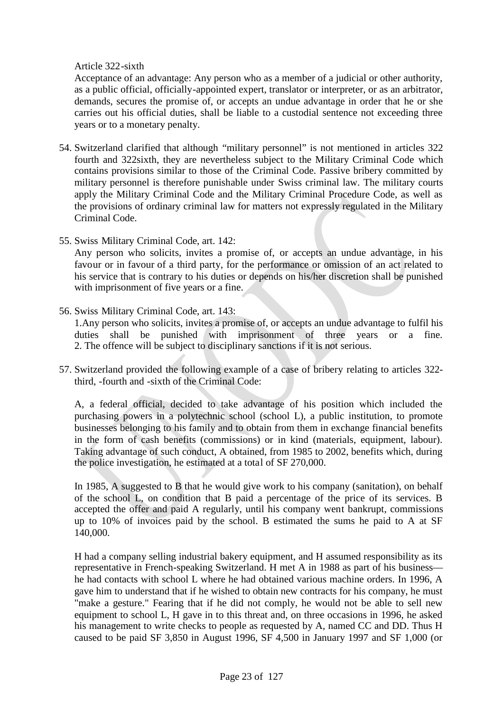# Article 322-sixth

Acceptance of an advantage: Any person who as a member of a judicial or other authority, as a public official, officially-appointed expert, translator or interpreter, or as an arbitrator, demands, secures the promise of, or accepts an undue advantage in order that he or she carries out his official duties, shall be liable to a custodial sentence not exceeding three years or to a monetary penalty.

- 54. Switzerland clarified that although "military personnel" is not mentioned in articles 322 fourth and 322sixth, they are nevertheless subject to the Military Criminal Code which contains provisions similar to those of the Criminal Code. Passive bribery committed by military personnel is therefore punishable under Swiss criminal law. The military courts apply the Military Criminal Code and the Military Criminal Procedure Code, as well as the provisions of ordinary criminal law for matters not expressly regulated in the Military Criminal Code.
- 55. Swiss Military Criminal Code, art. 142:

Any person who solicits, invites a promise of, or accepts an undue advantage, in his favour or in favour of a third party, for the performance or omission of an act related to his service that is contrary to his duties or depends on his/her discretion shall be punished with imprisonment of five years or a fine.

56. Swiss Military Criminal Code, art. 143:

1.Any person who solicits, invites a promise of, or accepts an undue advantage to fulfil his duties shall be punished with imprisonment of three years or a fine. 2. The offence will be subject to disciplinary sanctions if it is not serious.

57. Switzerland provided the following example of a case of bribery relating to articles 322 third, -fourth and -sixth of the Criminal Code:

A, a federal official, decided to take advantage of his position which included the purchasing powers in a polytechnic school (school L), a public institution, to promote businesses belonging to his family and to obtain from them in exchange financial benefits in the form of cash benefits (commissions) or in kind (materials, equipment, labour). Taking advantage of such conduct, A obtained, from 1985 to 2002, benefits which, during the police investigation, he estimated at a total of SF 270,000.

In 1985, A suggested to B that he would give work to his company (sanitation), on behalf of the school L, on condition that B paid a percentage of the price of its services. B accepted the offer and paid A regularly, until his company went bankrupt, commissions up to 10% of invoices paid by the school. B estimated the sums he paid to A at SF 140,000.

H had a company selling industrial bakery equipment, and H assumed responsibility as its representative in French-speaking Switzerland. H met A in 1988 as part of his business he had contacts with school L where he had obtained various machine orders. In 1996, A gave him to understand that if he wished to obtain new contracts for his company, he must "make a gesture." Fearing that if he did not comply, he would not be able to sell new equipment to school L, H gave in to this threat and, on three occasions in 1996, he asked his management to write checks to people as requested by A, named CC and DD. Thus H caused to be paid SF 3,850 in August 1996, SF 4,500 in January 1997 and SF 1,000 (or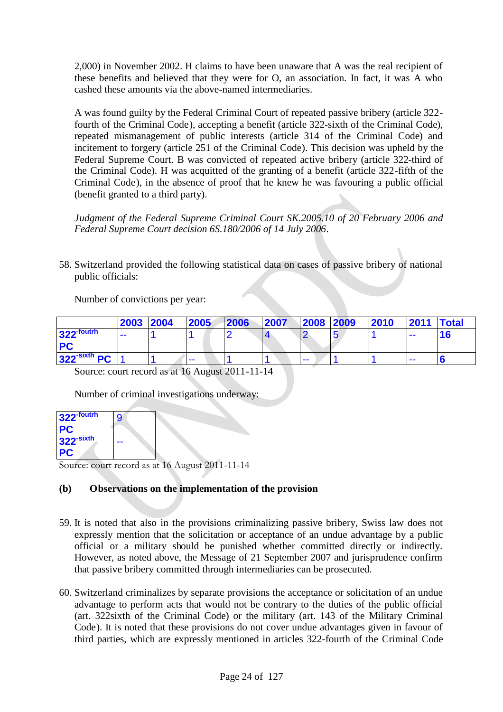2,000) in November 2002. H claims to have been unaware that A was the real recipient of these benefits and believed that they were for O, an association. In fact, it was A who cashed these amounts via the above-named intermediaries.

A was found guilty by the Federal Criminal Court of repeated passive bribery (article 322 fourth of the Criminal Code), accepting a benefit (article 322-sixth of the Criminal Code), repeated mismanagement of public interests (article 314 of the Criminal Code) and incitement to forgery (article 251 of the Criminal Code). This decision was upheld by the Federal Supreme Court. B was convicted of repeated active bribery (article 322-third of the Criminal Code). H was acquitted of the granting of a benefit (article 322-fifth of the Criminal Code), in the absence of proof that he knew he was favouring a public official (benefit granted to a third party).

*Judgment of the Federal Supreme Criminal Court SK.2005.10 of 20 February 2006 and Federal Supreme Court decision 6S.180/2006 of 14 July 2006*.

58. Switzerland provided the following statistical data on cases of passive bribery of national public officials:

Number of convictions per year:

|                          | 2003 2004 | 2005  | 2006 | 2007 | 2008 | 2009 | 2010 | <b>2011</b> | Total |
|--------------------------|-----------|-------|------|------|------|------|------|-------------|-------|
| $322$ -foutrh            | $- -$     |       |      |      |      |      |      | $- -$       |       |
| <b>PC</b>                |           |       |      |      |      |      |      |             |       |
| 322 <sup>-sixth</sup> PC |           | $- -$ |      |      | ---  |      |      | $- -$       |       |

Source: court record as at 16 August 2011-11-14

Number of criminal investigations underway:

| 322-foutrh            | 9 |
|-----------------------|---|
| <b>PC</b>             |   |
| 322 <sup>-sixth</sup> |   |
| PC                    |   |

Source: court record as at 16 August 2011-11-14

# **(b) Observations on the implementation of the provision**

- 59. It is noted that also in the provisions criminalizing passive bribery, Swiss law does not expressly mention that the solicitation or acceptance of an undue advantage by a public official or a military should be punished whether committed directly or indirectly. However, as noted above, the Message of 21 September 2007 and jurisprudence confirm that passive bribery committed through intermediaries can be prosecuted.
- 60. Switzerland criminalizes by separate provisions the acceptance or solicitation of an undue advantage to perform acts that would not be contrary to the duties of the public official (art. 322sixth of the Criminal Code) or the military (art. 143 of the Military Criminal Code). It is noted that these provisions do not cover undue advantages given in favour of third parties, which are expressly mentioned in articles 322-fourth of the Criminal Code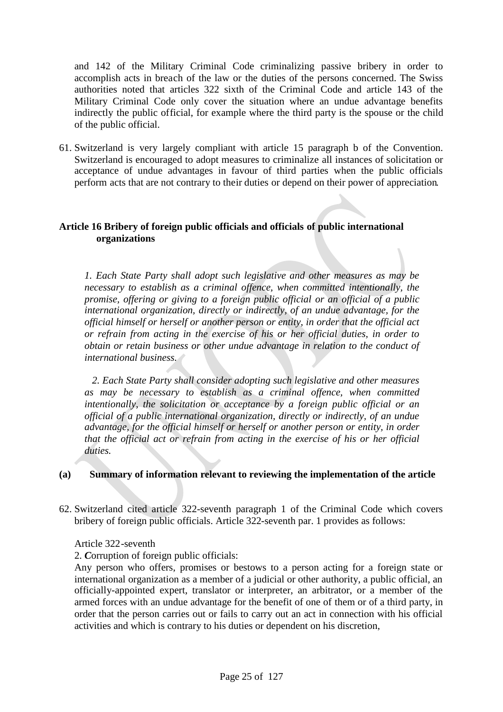and 142 of the Military Criminal Code criminalizing passive bribery in order to accomplish acts in breach of the law or the duties of the persons concerned. The Swiss authorities noted that articles 322 sixth of the Criminal Code and article 143 of the Military Criminal Code only cover the situation where an undue advantage benefits indirectly the public official, for example where the third party is the spouse or the child of the public official.

61. Switzerland is very largely compliant with article 15 paragraph b of the Convention. Switzerland is encouraged to adopt measures to criminalize all instances of solicitation or acceptance of undue advantages in favour of third parties when the public officials perform acts that are not contrary to their duties or depend on their power of appreciation.

#### **Article 16 Bribery of foreign public officials and officials of public international organizations**

*1. Each State Party shall adopt such legislative and other measures as may be necessary to establish as a criminal offence, when committed intentionally, the promise, offering or giving to a foreign public official or an official of a public international organization, directly or indirectly, of an undue advantage, for the official himself or herself or another person or entity, in order that the official act or refrain from acting in the exercise of his or her official duties, in order to obtain or retain business or other undue advantage in relation to the conduct of international business.*

*2. Each State Party shall consider adopting such legislative and other measures as may be necessary to establish as a criminal offence, when committed intentionally, the solicitation or acceptance by a foreign public official or an official of a public international organization, directly or indirectly, of an undue advantage, for the official himself or herself or another person or entity, in order that the official act or refrain from acting in the exercise of his or her official duties.*

#### **(a) Summary of information relevant to reviewing the implementation of the article**

62. Switzerland cited article 322-seventh paragraph 1 of the Criminal Code which covers bribery of foreign public officials. Article 322-seventh par. 1 provides as follows:

#### Article 322-seventh

2. *C*orruption of foreign public officials:

Any person who offers, promises or bestows to a person acting for a foreign state or international organization as a member of a judicial or other authority, a public official, an officially-appointed expert, translator or interpreter, an arbitrator, or a member of the armed forces with an undue advantage for the benefit of one of them or of a third party, in order that the person carries out or fails to carry out an act in connection with his official activities and which is contrary to his duties or dependent on his discretion,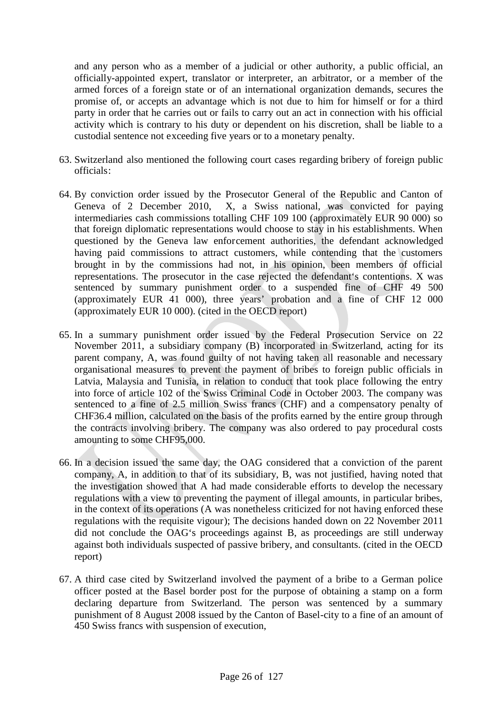and any person who as a member of a judicial or other authority, a public official, an officially-appointed expert, translator or interpreter, an arbitrator, or a member of the armed forces of a foreign state or of an international organization demands, secures the promise of, or accepts an advantage which is not due to him for himself or for a third party in order that he carries out or fails to carry out an act in connection with his official activity which is contrary to his duty or dependent on his discretion, shall be liable to a custodial sentence not exceeding five years or to a monetary penalty.

- 63. Switzerland also mentioned the following court cases regarding bribery of foreign public officials:
- 64. By conviction order issued by the Prosecutor General of the Republic and Canton of Geneva of 2 December 2010, X, a Swiss national, was convicted for paying intermediaries cash commissions totalling CHF 109 100 (approximately EUR 90 000) so that foreign diplomatic representations would choose to stay in his establishments. When questioned by the Geneva law enforcement authorities, the defendant acknowledged having paid commissions to attract customers, while contending that the customers brought in by the commissions had not, in his opinion, been members of official representations. The prosecutor in the case rejected the defendant's contentions. X was sentenced by summary punishment order to a suspended fine of CHF 49 500 (approximately EUR 41 000), three years' probation and a fine of CHF 12 000 (approximately EUR 10 000). (cited in the OECD report)
- 65. In a summary punishment order issued by the Federal Prosecution Service on 22 November 2011, a subsidiary company (B) incorporated in Switzerland, acting for its parent company, A, was found guilty of not having taken all reasonable and necessary organisational measures to prevent the payment of bribes to foreign public officials in Latvia, Malaysia and Tunisia, in relation to conduct that took place following the entry into force of article 102 of the Swiss Criminal Code in October 2003. The company was sentenced to a fine of 2.5 million Swiss francs (CHF) and a compensatory penalty of CHF36.4 million, calculated on the basis of the profits earned by the entire group through the contracts involving bribery. The company was also ordered to pay procedural costs amounting to some CHF95,000.
- 66. In a decision issued the same day, the OAG considered that a conviction of the parent company, A, in addition to that of its subsidiary, B, was not justified, having noted that the investigation showed that A had made considerable efforts to develop the necessary regulations with a view to preventing the payment of illegal amounts, in particular bribes, in the context of its operations (A was nonetheless criticized for not having enforced these regulations with the requisite vigour); The decisions handed down on 22 November 2011 did not conclude the OAG's proceedings against B, as proceedings are still underway against both individuals suspected of passive bribery, and consultants. (cited in the OECD report)
- 67. A third case cited by Switzerland involved the payment of a bribe to a German police officer posted at the Basel border post for the purpose of obtaining a stamp on a form declaring departure from Switzerland. The person was sentenced by a summary punishment of 8 August 2008 issued by the Canton of Basel-city to a fine of an amount of 450 Swiss francs with suspension of execution,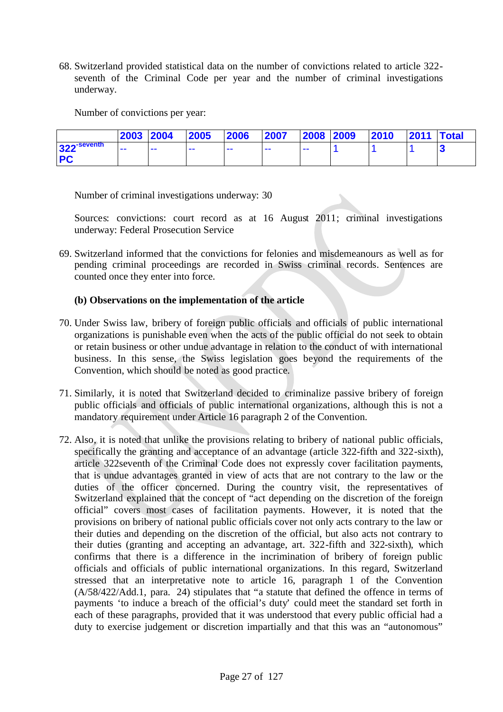68. Switzerland provided statistical data on the number of convictions related to article 322 seventh of the Criminal Code per year and the number of criminal investigations underway.

Number of convictions per year:

|                           | 2003 2004 |       | 2005 | 2006 | 2007  | 2008 2009 | 2010 | <b>2011 Total</b> |  |
|---------------------------|-----------|-------|------|------|-------|-----------|------|-------------------|--|
| $322$ <sup>-seventh</sup> | $- -$     | $- -$ |      | --   | $- -$ | --        |      |                   |  |
| <b>PC</b>                 |           |       |      |      |       |           |      |                   |  |

Number of criminal investigations underway: 30

Sources: convictions: court record as at 16 August 2011; criminal investigations underway: Federal Prosecution Service

69. Switzerland informed that the convictions for felonies and misdemeanours as well as for pending criminal proceedings are recorded in Swiss criminal records. Sentences are counted once they enter into force.

#### **(b) Observations on the implementation of the article**

- 70. Under Swiss law, bribery of foreign public officials and officials of public international organizations is punishable even when the acts of the public official do not seek to obtain or retain business or other undue advantage in relation to the conduct of with international business. In this sense, the Swiss legislation goes beyond the requirements of the Convention, which should be noted as good practice.
- 71. Similarly, it is noted that Switzerland decided to criminalize passive bribery of foreign public officials and officials of public international organizations, although this is not a mandatory requirement under Article 16 paragraph 2 of the Convention.
- 72. Also, it is noted that unlike the provisions relating to bribery of national public officials, specifically the granting and acceptance of an advantage (article 322-fifth and 322-sixth), article 322seventh of the Criminal Code does not expressly cover facilitation payments, that is undue advantages granted in view of acts that are not contrary to the law or the duties of the officer concerned. During the country visit, the representatives of Switzerland explained that the concept of "act depending on the discretion of the foreign official" covers most cases of facilitation payments. However, it is noted that the provisions on bribery of national public officials cover not only acts contrary to the law or their duties and depending on the discretion of the official, but also acts not contrary to their duties (granting and accepting an advantage, art. 322-fifth and 322-sixth), which confirms that there is a difference in the incrimination of bribery of foreign public officials and officials of public international organizations. In this regard, Switzerland stressed that an interpretative note to article 16, paragraph 1 of the Convention (A/58/422/Add.1, para. 24) stipulates that "a statute that defined the offence in terms of payments 'to induce a breach of the official's duty' could meet the standard set forth in each of these paragraphs, provided that it was understood that every public official had a duty to exercise judgement or discretion impartially and that this was an "autonomous"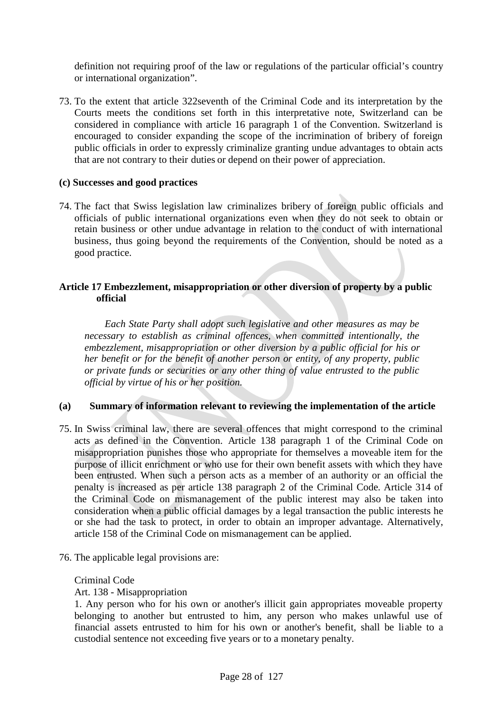definition not requiring proof of the law or regulations of the particular official's country or international organization".

73. To the extent that article 322seventh of the Criminal Code and its interpretation by the Courts meets the conditions set forth in this interpretative note, Switzerland can be considered in compliance with article 16 paragraph 1 of the Convention. Switzerland is encouraged to consider expanding the scope of the incrimination of bribery of foreign public officials in order to expressly criminalize granting undue advantages to obtain acts that are not contrary to their duties or depend on their power of appreciation.

#### **(c) Successes and good practices**

74. The fact that Swiss legislation law criminalizes bribery of foreign public officials and officials of public international organizations even when they do not seek to obtain or retain business or other undue advantage in relation to the conduct of with international business, thus going beyond the requirements of the Convention, should be noted as a good practice.

# **Article 17 Embezzlement, misappropriation or other diversion of property by a public official**

*Each State Party shall adopt such legislative and other measures as may be necessary to establish as criminal offences, when committed intentionally, the embezzlement, misappropriation or other diversion by a public official for his or her benefit or for the benefit of another person or entity, of any property, public or private funds or securities or any other thing of value entrusted to the public official by virtue of his or her position.*

# **(a) Summary of information relevant to reviewing the implementation of the article**

- 75. In Swiss criminal law, there are several offences that might correspond to the criminal acts as defined in the Convention. Article 138 paragraph 1 of the Criminal Code on misappropriation punishes those who appropriate for themselves a moveable item for the purpose of illicit enrichment or who use for their own benefit assets with which they have been entrusted. When such a person acts as a member of an authority or an official the penalty is increased as per article 138 paragraph 2 of the Criminal Code. Article 314 of the Criminal Code on mismanagement of the public interest may also be taken into consideration when a public official damages by a legal transaction the public interests he or she had the task to protect, in order to obtain an improper advantage. Alternatively, article 158 of the Criminal Code on mismanagement can be applied.
- 76. The applicable legal provisions are:

#### Criminal Code

Art. 138 - Misappropriation

<sup>1.</sup> Any person who for his own or another's illicit gain appropriates moveable property belonging to another but entrusted to him, any person who makes unlawful use of financial assets entrusted to him for his own or another's benefit, shall be liable to a custodial sentence not exceeding five years or to a monetary penalty.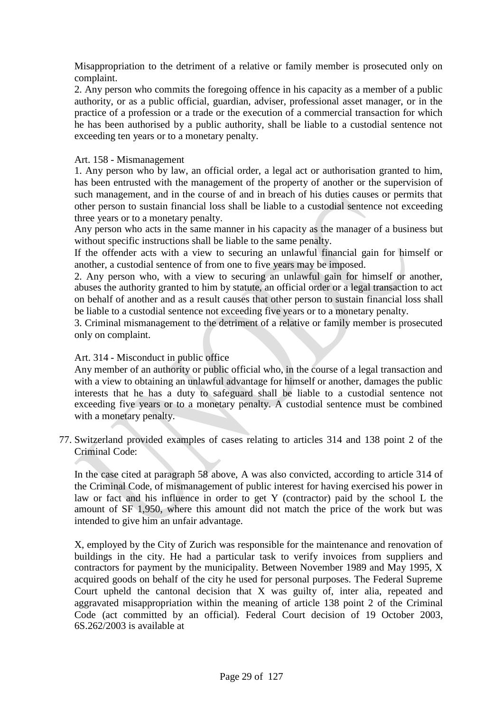Misappropriation to the detriment of a relative or family member is prosecuted only on complaint.

2. Any person who commits the foregoing offence in his capacity as a member of a public authority, or as a public official, guardian, adviser, professional asset manager, or in the practice of a profession or a trade or the execution of a commercial transaction for which he has been authorised by a public authority, shall be liable to a custodial sentence not exceeding ten years or to a monetary penalty.

# Art. 158 - Mismanagement

1. Any person who by law, an official order, a legal act or authorisation granted to him, has been entrusted with the management of the property of another or the supervision of such management, and in the course of and in breach of his duties causes or permits that other person to sustain financial loss shall be liable to a custodial sentence not exceeding three years or to a monetary penalty.

Any person who acts in the same manner in his capacity as the manager of a business but without specific instructions shall be liable to the same penalty.

If the offender acts with a view to securing an unlawful financial gain for himself or another, a custodial sentence of from one to five years may be imposed.

2. Any person who, with a view to securing an unlawful gain for himself or another, abuses the authority granted to him by statute, an official order or a legal transaction to act on behalf of another and as a result causes that other person to sustain financial loss shall be liable to a custodial sentence not exceeding five years or to a monetary penalty.

3. Criminal mismanagement to the detriment of a relative or family member is prosecuted only on complaint.

# Art. 314 - Misconduct in public office

Any member of an authority or public official who, in the course of a legal transaction and with a view to obtaining an unlawful advantage for himself or another, damages the public interests that he has a duty to safeguard shall be liable to a custodial sentence not exceeding five years or to a monetary penalty. A custodial sentence must be combined with a monetary penalty.

77. Switzerland provided examples of cases relating to articles 314 and 138 point 2 of the Criminal Code:

In the case cited at paragraph 58 above, A was also convicted, according to article 314 of the Criminal Code, of mismanagement of public interest for having exercised his power in law or fact and his influence in order to get Y (contractor) paid by the school L the amount of SF 1,950, where this amount did not match the price of the work but was intended to give him an unfair advantage.

X, employed by the City of Zurich was responsible for the maintenance and renovation of buildings in the city. He had a particular task to verify invoices from suppliers and contractors for payment by the municipality. Between November 1989 and May 1995, X acquired goods on behalf of the city he used for personal purposes. The Federal Supreme Court upheld the cantonal decision that X was guilty of, inter alia, repeated and aggravated misappropriation within the meaning of article 138 point 2 of the Criminal Code (act committed by an official). Federal Court decision of 19 October 2003, 6S.262/2003 is available at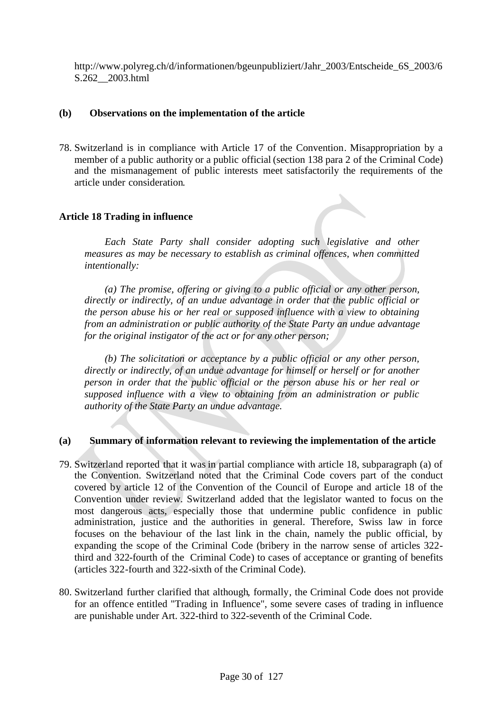http://www.polyreg.ch/d/informationen/bgeunpubliziert/Jahr\_2003/Entscheide\_6S\_2003/6 S.262\_\_2003.html

#### **(b) Observations on the implementation of the article**

78. Switzerland is in compliance with Article 17 of the Convention. Misappropriation by a member of a public authority or a public official (section 138 para 2 of the Criminal Code) and the mismanagement of public interests meet satisfactorily the requirements of the article under consideration.

#### **Article 18 Trading in influence**

*Each State Party shall consider adopting such legislative and other measures as may be necessary to establish as criminal offences, when committed intentionally:*

*(a) The promise, offering or giving to a public official or any other person, directly or indirectly, of an undue advantage in order that the public official or the person abuse his or her real or supposed influence with a view to obtaining from an administration or public authority of the State Party an undue advantage for the original instigator of the act or for any other person;*

*(b) The solicitation or acceptance by a public official or any other person, directly or indirectly, of an undue advantage for himself or herself or for another person in order that the public official or the person abuse his or her real or supposed influence with a view to obtaining from an administration or public authority of the State Party an undue advantage.*

#### **(a) Summary of information relevant to reviewing the implementation of the article**

- 79. Switzerland reported that it was in partial compliance with article 18, subparagraph (a) of the Convention. Switzerland noted that the Criminal Code covers part of the conduct covered by article 12 of the Convention of the Council of Europe and article 18 of the Convention under review. Switzerland added that the legislator wanted to focus on the most dangerous acts, especially those that undermine public confidence in public administration, justice and the authorities in general. Therefore, Swiss law in force focuses on the behaviour of the last link in the chain, namely the public official, by expanding the scope of the Criminal Code (bribery in the narrow sense of articles 322 third and 322-fourth of the Criminal Code) to cases of acceptance or granting of benefits (articles 322-fourth and 322-sixth of the Criminal Code).
- 80. Switzerland further clarified that although, formally, the Criminal Code does not provide for an offence entitled "Trading in Influence", some severe cases of trading in influence are punishable under Art. 322-third to 322-seventh of the Criminal Code.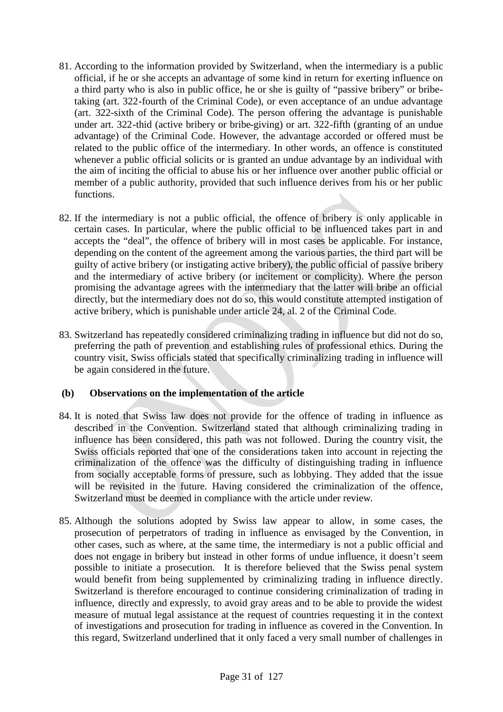- 81. According to the information provided by Switzerland, when the intermediary is a public official, if he or she accepts an advantage of some kind in return for exerting influence on a third party who is also in public office, he or she is guilty of "passive bribery" or bribetaking (art. 322-fourth of the Criminal Code), or even acceptance of an undue advantage (art. 322-sixth of the Criminal Code). The person offering the advantage is punishable under art. 322-thid (active bribery or bribe-giving) or art. 322-fifth (granting of an undue advantage) of the Criminal Code. However, the advantage accorded or offered must be related to the public office of the intermediary. In other words, an offence is constituted whenever a public official solicits or is granted an undue advantage by an individual with the aim of inciting the official to abuse his or her influence over another public official or member of a public authority, provided that such influence derives from his or her public functions.
- 82. If the intermediary is not a public official, the offence of bribery is only applicable in certain cases. In particular, where the public official to be influenced takes part in and accepts the "deal", the offence of bribery will in most cases be applicable. For instance, depending on the content of the agreement among the various parties, the third part will be guilty of active bribery (or instigating active bribery), the public official of passive bribery and the intermediary of active bribery (or incitement or complicity). Where the person promising the advantage agrees with the intermediary that the latter will bribe an official directly, but the intermediary does not do so, this would constitute attempted instigation of active bribery, which is punishable under article 24, al. 2 of the Criminal Code.
- 83. Switzerland has repeatedly considered criminalizing trading in influence but did not do so, preferring the path of prevention and establishing rules of professional ethics. During the country visit, Swiss officials stated that specifically criminalizing trading in influence will be again considered in the future.

# **(b) Observations on the implementation of the article**

- 84. It is noted that Swiss law does not provide for the offence of trading in influence as described in the Convention. Switzerland stated that although criminalizing trading in influence has been considered, this path was not followed. During the country visit, the Swiss officials reported that one of the considerations taken into account in rejecting the criminalization of the offence was the difficulty of distinguishing trading in influence from socially acceptable forms of pressure, such as lobbying. They added that the issue will be revisited in the future. Having considered the criminalization of the offence, Switzerland must be deemed in compliance with the article under review.
- 85. Although the solutions adopted by Swiss law appear to allow, in some cases, the prosecution of perpetrators of trading in influence as envisaged by the Convention, in other cases, such as where, at the same time, the intermediary is not a public official and does not engage in bribery but instead in other forms of undue influence, it doesn't seem possible to initiate a prosecution. It is therefore believed that the Swiss penal system would benefit from being supplemented by criminalizing trading in influence directly. Switzerland is therefore encouraged to continue considering criminalization of trading in influence, directly and expressly, to avoid gray areas and to be able to provide the widest measure of mutual legal assistance at the request of countries requesting it in the context of investigations and prosecution for trading in influence as covered in the Convention. In this regard, Switzerland underlined that it only faced a very small number of challenges in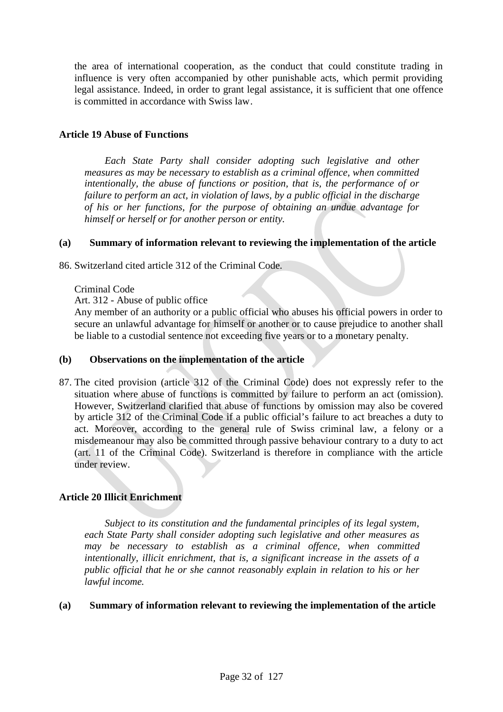the area of international cooperation, as the conduct that could constitute trading in influence is very often accompanied by other punishable acts, which permit providing legal assistance. Indeed, in order to grant legal assistance, it is sufficient that one offence is committed in accordance with Swiss law.

#### **Article 19 Abuse of Functions**

*Each State Party shall consider adopting such legislative and other measures as may be necessary to establish as a criminal offence, when committed intentionally, the abuse of functions or position, that is, the performance of or failure to perform an act, in violation of laws, by a public official in the discharge of his or her functions, for the purpose of obtaining an undue advantage for himself or herself or for another person or entity.*

#### **(a) Summary of information relevant to reviewing the implementation of the article**

86. Switzerland cited article 312 of the Criminal Code.

Criminal Code

Art. 312 - Abuse of public office

Any member of an authority or a public official who abuses his official powers in order to secure an unlawful advantage for himself or another or to cause prejudice to another shall be liable to a custodial sentence not exceeding five years or to a monetary penalty.

#### **(b) Observations on the implementation of the article**

87. The cited provision (article 312 of the Criminal Code) does not expressly refer to the situation where abuse of functions is committed by failure to perform an act (omission). However, Switzerland clarified that abuse of functions by omission may also be covered by article 312 of the Criminal Code if a public official's failure to act breaches a duty to act. Moreover, according to the general rule of Swiss criminal law, a felony or a misdemeanour may also be committed through passive behaviour contrary to a duty to act (art. 11 of the Criminal Code). Switzerland is therefore in compliance with the article under review.

# **Article 20 Illicit Enrichment**

*Subject to its constitution and the fundamental principles of its legal system, each State Party shall consider adopting such legislative and other measures as may be necessary to establish as a criminal offence, when committed intentionally, illicit enrichment, that is, a significant increase in the assets of a public official that he or she cannot reasonably explain in relation to his or her lawful income.*

#### **(a) Summary of information relevant to reviewing the implementation of the article**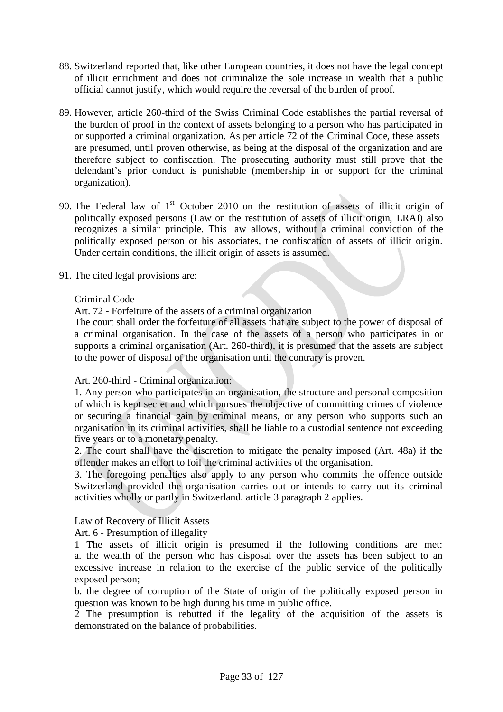- 88. Switzerland reported that, like other European countries, it does not have the legal concept of illicit enrichment and does not criminalize the sole increase in wealth that a public official cannot justify, which would require the reversal of the burden of proof.
- 89. However, article 260-third of the Swiss Criminal Code establishes the partial reversal of the burden of proof in the context of assets belonging to a person who has participated in or supported a criminal organization. As per article 72 of the Criminal Code, these assets are presumed, until proven otherwise, as being at the disposal of the organization and are therefore subject to confiscation. The prosecuting authority must still prove that the defendant's prior conduct is punishable (membership in or support for the criminal organization).
- 90. The Federal law of  $1<sup>st</sup>$  October 2010 on the restitution of assets of illicit origin of politically exposed persons (Law on the restitution of assets of illicit origin, LRAI) also recognizes a similar principle. This law allows, without a criminal conviction of the politically exposed person or his associates, the confiscation of assets of illicit origin. Under certain conditions, the illicit origin of assets is assumed.
- 91. The cited legal provisions are:

#### Criminal Code

Art. 72 **-** Forfeiture of the assets of a criminal organization

The court shall order the forfeiture of all assets that are subject to the power of disposal of a criminal organisation. In the case of the assets of a person who participates in or supports a criminal organisation (Art. 260-third), it is presumed that the assets are subject to the power of disposal of the organisation until the contrary is proven.

#### Art. 260-third - Criminal organization:

1. Any person who participates in an organisation, the structure and personal composition of which is kept secret and which pursues the objective of committing crimes of violence or securing a financial gain by criminal means, or any person who supports such an organisation in its criminal activities, shall be liable to a custodial sentence not exceeding five years or to a monetary penalty.

2. The court shall have the discretion to mitigate the penalty imposed (Art. 48a) if the offender makes an effort to foil the criminal activities of the organisation.

3. The foregoing penalties also apply to any person who commits the offence outside Switzerland provided the organisation carries out or intends to carry out its criminal activities wholly or partly in Switzerland. article 3 paragraph 2 applies.

# Law of Recovery of Illicit Assets

Art. 6 - Presumption of illegality

1 The assets of illicit origin is presumed if the following conditions are met: a. the wealth of the person who has disposal over the assets has been subject to an excessive increase in relation to the exercise of the public service of the politically exposed person;

b. the degree of corruption of the State of origin of the politically exposed person in question was known to be high during his time in public office.

2 The presumption is rebutted if the legality of the acquisition of the assets is demonstrated on the balance of probabilities.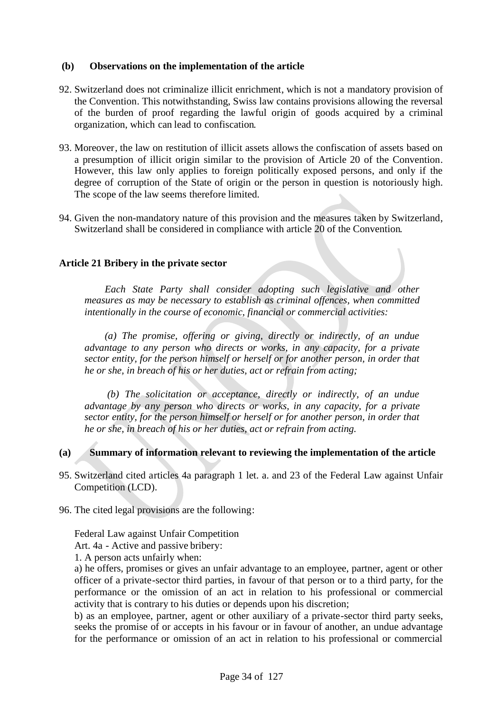#### **(b) Observations on the implementation of the article**

- 92. Switzerland does not criminalize illicit enrichment, which is not a mandatory provision of the Convention. This notwithstanding, Swiss law contains provisions allowing the reversal of the burden of proof regarding the lawful origin of goods acquired by a criminal organization, which can lead to confiscation.
- 93. Moreover, the law on restitution of illicit assets allows the confiscation of assets based on a presumption of illicit origin similar to the provision of Article 20 of the Convention. However, this law only applies to foreign politically exposed persons, and only if the degree of corruption of the State of origin or the person in question is notoriously high. The scope of the law seems therefore limited.
- 94. Given the non-mandatory nature of this provision and the measures taken by Switzerland, Switzerland shall be considered in compliance with article 20 of the Convention.

#### **Article 21 Bribery in the private sector**

*Each State Party shall consider adopting such legislative and other measures as may be necessary to establish as criminal offences, when committed intentionally in the course of economic, financial or commercial activities:*

*(a) The promise, offering or giving, directly or indirectly, of an undue advantage to any person who directs or works, in any capacity, for a private sector entity, for the person himself or herself or for another person, in order that he or she, in breach of his or her duties, act or refrain from acting;*

*(b) The solicitation or acceptance, directly or indirectly, of an undue advantage by any person who directs or works, in any capacity, for a private sector entity, for the person himself or herself or for another person, in order that he or she, in breach of his or her duties, act or refrain from acting.*

# **(a) Summary of information relevant to reviewing the implementation of the article**

- 95. Switzerland cited articles 4a paragraph 1 let. a. and 23 of the Federal Law against Unfair Competition (LCD).
- 96. The cited legal provisions are the following:

Federal Law against Unfair Competition

Art. 4a - Active and passive bribery:

1. A person acts unfairly when:

a) he offers, promises or gives an unfair advantage to an employee, partner, agent or other officer of a private-sector third parties, in favour of that person or to a third party, for the performance or the omission of an act in relation to his professional or commercial activity that is contrary to his duties or depends upon his discretion;

b) as an employee, partner, agent or other auxiliary of a private-sector third party seeks, seeks the promise of or accepts in his favour or in favour of another, an undue advantage for the performance or omission of an act in relation to his professional or commercial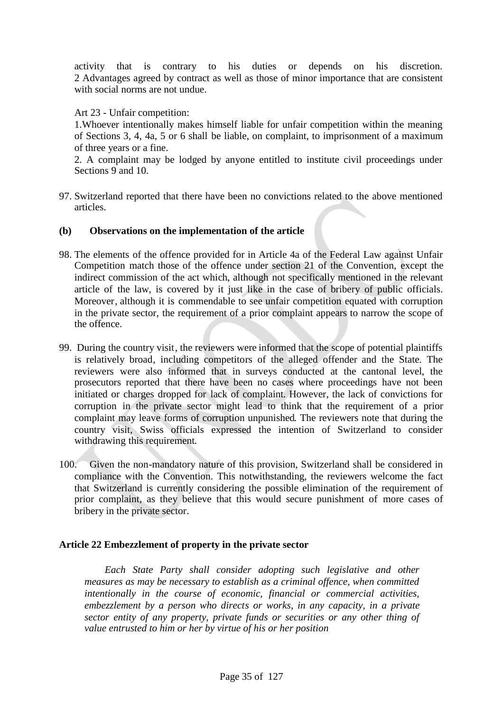activity that is contrary to his duties or depends on his discretion. 2 Advantages agreed by contract as well as those of minor importance that are consistent with social norms are not undue.

Art 23 - Unfair competition:

1.Whoever intentionally makes himself liable for unfair competition within the meaning of Sections 3, 4, 4a, 5 or 6 shall be liable, on complaint, to imprisonment of a maximum of three years or a fine.

2. A complaint may be lodged by anyone entitled to institute civil proceedings under Sections 9 and 10.

97. Switzerland reported that there have been no convictions related to the above mentioned articles.

#### **(b) Observations on the implementation of the article**

- 98. The elements of the offence provided for in Article 4a of the Federal Law against Unfair Competition match those of the offence under section 21 of the Convention, except the indirect commission of the act which, although not specifically mentioned in the relevant article of the law, is covered by it just like in the case of bribery of public officials. Moreover, although it is commendable to see unfair competition equated with corruption in the private sector, the requirement of a prior complaint appears to narrow the scope of the offence.
- 99. During the country visit, the reviewers were informed that the scope of potential plaintiffs is relatively broad, including competitors of the alleged offender and the State. The reviewers were also informed that in surveys conducted at the cantonal level, the prosecutors reported that there have been no cases where proceedings have not been initiated or charges dropped for lack of complaint. However, the lack of convictions for corruption in the private sector might lead to think that the requirement of a prior complaint may leave forms of corruption unpunished. The reviewers note that during the country visit, Swiss officials expressed the intention of Switzerland to consider withdrawing this requirement.
- 100. Given the non-mandatory nature of this provision, Switzerland shall be considered in compliance with the Convention. This notwithstanding, the reviewers welcome the fact that Switzerland is currently considering the possible elimination of the requirement of prior complaint, as they believe that this would secure punishment of more cases of bribery in the private sector.

# **Article 22 Embezzlement of property in the private sector**

*Each State Party shall consider adopting such legislative and other measures as may be necessary to establish as a criminal offence, when committed intentionally in the course of economic, financial or commercial activities, embezzlement by a person who directs or works, in any capacity, in a private sector entity of any property, private funds or securities or any other thing of value entrusted to him or her by virtue of his or her position*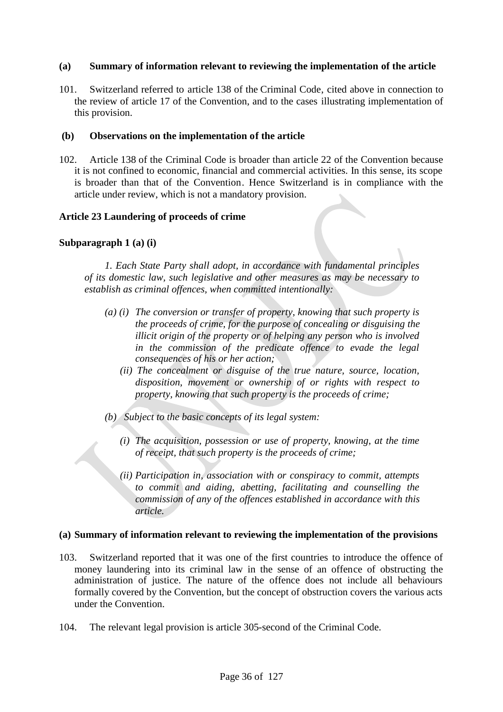#### **(a) Summary of information relevant to reviewing the implementation of the article**

101. Switzerland referred to article 138 of the Criminal Code, cited above in connection to the review of article 17 of the Convention, and to the cases illustrating implementation of this provision.

#### **(b) Observations on the implementation of the article**

102. Article 138 of the Criminal Code is broader than article 22 of the Convention because it is not confined to economic, financial and commercial activities. In this sense, its scope is broader than that of the Convention. Hence Switzerland is in compliance with the article under review, which is not a mandatory provision.

#### **Article 23 Laundering of proceeds of crime**

#### **Subparagraph 1 (a) (i)**

*1. Each State Party shall adopt, in accordance with fundamental principles of its domestic law, such legislative and other measures as may be necessary to establish as criminal offences, when committed intentionally:*

- *(a) (i) The conversion or transfer of property, knowing that such property is the proceeds of crime, for the purpose of concealing or disguising the illicit origin of the property or of helping any person who is involved in the commission of the predicate offence to evade the legal consequences of his or her action;*
	- *(ii) The concealment or disguise of the true nature, source, location, disposition, movement or ownership of or rights with respect to property, knowing that such property is the proceeds of crime;*
- *(b) Subject to the basic concepts of its legal system:*
	- *(i) The acquisition, possession or use of property, knowing, at the time of receipt, that such property is the proceeds of crime;*
	- *(ii) Participation in, association with or conspiracy to commit, attempts to commit and aiding, abetting, facilitating and counselling the commission of any of the offences established in accordance with this article.*

#### **(a) Summary of information relevant to reviewing the implementation of the provisions**

- 103. Switzerland reported that it was one of the first countries to introduce the offence of money laundering into its criminal law in the sense of an offence of obstructing the administration of justice. The nature of the offence does not include all behaviours formally covered by the Convention, but the concept of obstruction covers the various acts under the Convention.
- 104. The relevant legal provision is article 305-second of the Criminal Code.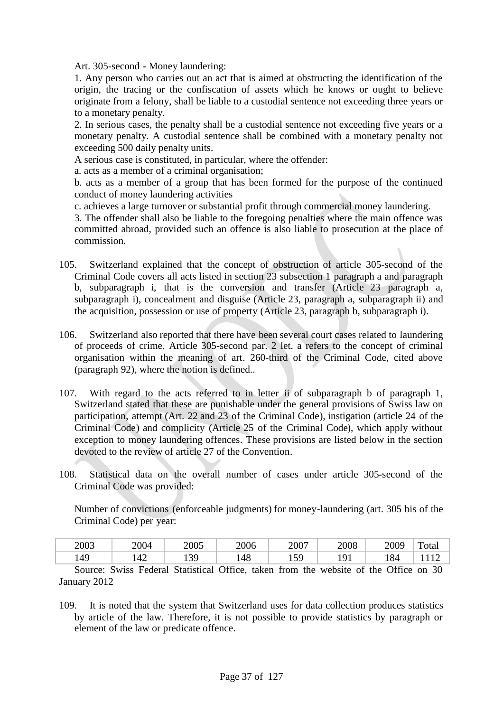Art. 305-second **-** Money laundering:

1. Any person who carries out an act that is aimed at obstructing the identification of the origin, the tracing or the confiscation of assets which he knows or ought to believe originate from a felony, shall be liable to a custodial sentence not exceeding three years or to a monetary penalty.

2. In serious cases, the penalty shall be a custodial sentence not exceeding five years or a monetary penalty. A custodial sentence shall be combined with a monetary penalty not exceeding 500 daily penalty units.

A serious case is constituted, in particular, where the offender:

a. acts as a member of a criminal organisation;

b. acts as a member of a group that has been formed for the purpose of the continued conduct of money laundering activities

c. achieves a large turnover or substantial profit through commercial money laundering.

3. The offender shall also be liable to the foregoing penalties where the main offence was committed abroad, provided such an offence is also liable to prosecution at the place of commission.

- 105. Switzerland explained that the concept of obstruction of article 305-second of the Criminal Code covers all acts listed in section 23 subsection 1 paragraph a and paragraph b, subparagraph i, that is the conversion and transfer (Article 23 paragraph a, subparagraph i), concealment and disguise (Article 23, paragraph a, subparagraph ii) and the acquisition, possession or use of property (Article 23, paragraph b, subparagraph i).
- 106. Switzerland also reported that there have been several court cases related to laundering of proceeds of crime. Article 305-second par. 2 let. a refers to the concept of criminal organisation within the meaning of art. 260-third of the Criminal Code, cited above (paragraph 92), where the notion is defined..
- 107. With regard to the acts referred to in letter ii of subparagraph b of paragraph 1, Switzerland stated that these are punishable under the general provisions of Swiss law on participation, attempt (Art. 22 and 23 of the Criminal Code), instigation (article 24 of the Criminal Code) and complicity (Article 25 of the Criminal Code), which apply without exception to money laundering offences. These provisions are listed below in the section devoted to the review of article 27 of the Convention.
- 108. Statistical data on the overall number of cases under article 305-second of the Criminal Code was provided:

Number of convictions (enforceable judgments) for money-laundering (art. 305 bis of the Criminal Code) per year:

| 2003 | 2004          | 2005    | 2006 | 2007         | 2008  | 2009 | m<br>∡otal |
|------|---------------|---------|------|--------------|-------|------|------------|
| 149  | $\sim$<br>'4∠ | 39<br>ᅩ | 148  | $\sim$<br>⊥୰ | 1 / 1 | 184  |            |

Source: Swiss Federal Statistical Office, taken from the website of the Office on 30 January 2012

109. It is noted that the system that Switzerland uses for data collection produces statistics by article of the law. Therefore, it is not possible to provide statistics by paragraph or element of the law or predicate offence.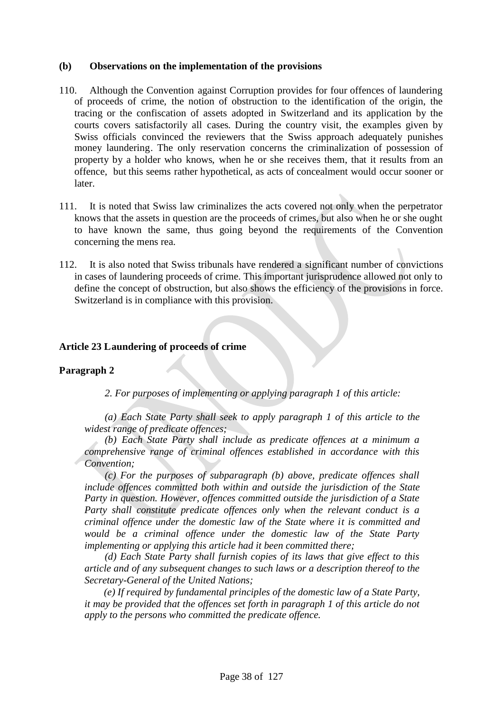#### **(b) Observations on the implementation of the provisions**

- 110. Although the Convention against Corruption provides for four offences of laundering of proceeds of crime, the notion of obstruction to the identification of the origin, the tracing or the confiscation of assets adopted in Switzerland and its application by the courts covers satisfactorily all cases. During the country visit, the examples given by Swiss officials convinced the reviewers that the Swiss approach adequately punishes money laundering. The only reservation concerns the criminalization of possession of property by a holder who knows, when he or she receives them, that it results from an offence, but this seems rather hypothetical, as acts of concealment would occur sooner or later.
- 111. It is noted that Swiss law criminalizes the acts covered not only when the perpetrator knows that the assets in question are the proceeds of crimes, but also when he or she ought to have known the same, thus going beyond the requirements of the Convention concerning the mens rea.
- 112. It is also noted that Swiss tribunals have rendered a significant number of convictions in cases of laundering proceeds of crime. This important jurisprudence allowed not only to define the concept of obstruction, but also shows the efficiency of the provisions in force. Switzerland is in compliance with this provision.

#### **Article 23 Laundering of proceeds of crime**

#### **Paragraph 2**

*2. For purposes of implementing or applying paragraph 1 of this article:*

*(a) Each State Party shall seek to apply paragraph 1 of this article to the widest range of predicate offences;*

*(b) Each State Party shall include as predicate offences at a minimum a comprehensive range of criminal offences established in accordance with this Convention;*

*(c) For the purposes of subparagraph (b) above, predicate offences shall include offences committed both within and outside the jurisdiction of the State Party in question. However, offences committed outside the jurisdiction of a State Party shall constitute predicate offences only when the relevant conduct is a criminal offence under the domestic law of the State where it is committed and would be a criminal offence under the domestic law of the State Party implementing or applying this article had it been committed there;*

*(d) Each State Party shall furnish copies of its laws that give effect to this article and of any subsequent changes to such laws or a description thereof to the Secretary-General of the United Nations;*

*(e) If required by fundamental principles of the domestic law of a State Party, it may be provided that the offences set forth in paragraph 1 of this article do not apply to the persons who committed the predicate offence.*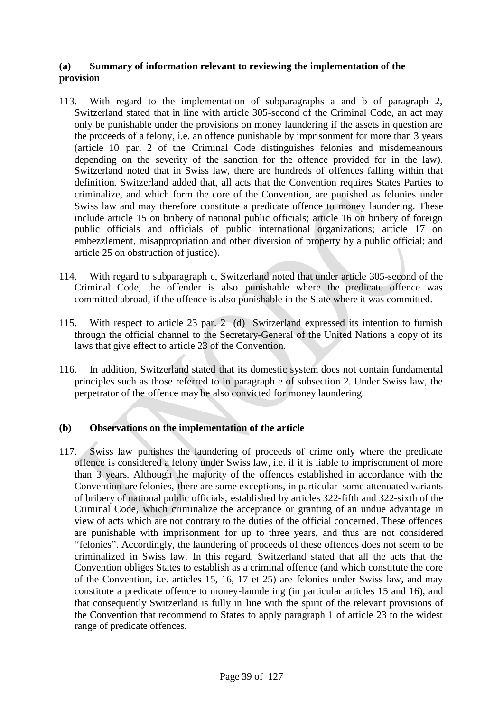# **(a) Summary of information relevant to reviewing the implementation of the provision**

- 113. With regard to the implementation of subparagraphs a and b of paragraph 2, Switzerland stated that in line with article 305-second of the Criminal Code, an act may only be punishable under the provisions on money laundering if the assets in question are the proceeds of a felony, i.e. an offence punishable by imprisonment for more than 3 years (article 10 par. 2 of the Criminal Code distinguishes felonies and misdemeanours depending on the severity of the sanction for the offence provided for in the law). Switzerland noted that in Swiss law, there are hundreds of offences falling within that definition. Switzerland added that, all acts that the Convention requires States Parties to criminalize, and which form the core of the Convention, are punished as felonies under Swiss law and may therefore constitute a predicate offence to money laundering. These include article 15 on bribery of national public officials; article 16 on bribery of foreign public officials and officials of public international organizations; article 17 on embezzlement, misappropriation and other diversion of property by a public official; and article 25 on obstruction of justice).
- 114. With regard to subparagraph c, Switzerland noted that under article 305-second of the Criminal Code, the offender is also punishable where the predicate offence was committed abroad, if the offence is also punishable in the State where it was committed.
- 115. With respect to article 23 par. 2 (d) Switzerland expressed its intention to furnish through the official channel to the Secretary-General of the United Nations a copy of its laws that give effect to article 23 of the Convention.
- 116. In addition, Switzerland stated that its domestic system does not contain fundamental principles such as those referred to in paragraph e of subsection 2. Under Swiss law, the perpetrator of the offence may be also convicted for money laundering.

# **(b) Observations on the implementation of the article**

117. Swiss law punishes the laundering of proceeds of crime only where the predicate offence is considered a felony under Swiss law, i.e. if it is liable to imprisonment of more than 3 years. Although the majority of the offences established in accordance with the Convention are felonies, there are some exceptions, in particular some attenuated variants of bribery of national public officials, established by articles 322-fifth and 322-sixth of the Criminal Code, which criminalize the acceptance or granting of an undue advantage in view of acts which are not contrary to the duties of the official concerned. These offences are punishable with imprisonment for up to three years, and thus are not considered "felonies". Accordingly, the laundering of proceeds of these offences does not seem to be criminalized in Swiss law. In this regard, Switzerland stated that all the acts that the Convention obliges States to establish as a criminal offence (and which constitute the core of the Convention, i.e. articles 15, 16, 17 et 25) are felonies under Swiss law, and may constitute a predicate offence to money-laundering (in particular articles 15 and 16), and that consequently Switzerland is fully in line with the spirit of the relevant provisions of the Convention that recommend to States to apply paragraph 1 of article 23 to the widest range of predicate offences.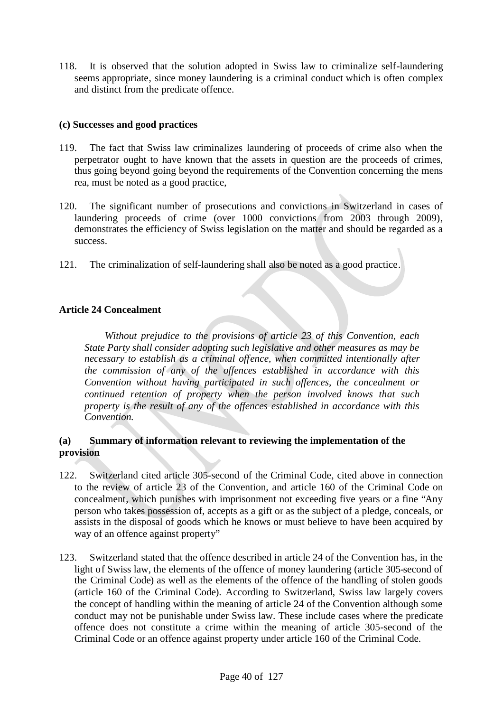118. It is observed that the solution adopted in Swiss law to criminalize self-laundering seems appropriate, since money laundering is a criminal conduct which is often complex and distinct from the predicate offence.

# **(c) Successes and good practices**

- 119. The fact that Swiss law criminalizes laundering of proceeds of crime also when the perpetrator ought to have known that the assets in question are the proceeds of crimes, thus going beyond going beyond the requirements of the Convention concerning the mens rea, must be noted as a good practice,
- 120. The significant number of prosecutions and convictions in Switzerland in cases of laundering proceeds of crime (over 1000 convictions from 2003 through 2009), demonstrates the efficiency of Swiss legislation on the matter and should be regarded as a success.
- 121. The criminalization of self-laundering shall also be noted as a good practice.

# **Article 24 Concealment**

*Without prejudice to the provisions of article 23 of this Convention, each State Party shall consider adopting such legislative and other measures as may be necessary to establish as a criminal offence, when committed intentionally after the commission of any of the offences established in accordance with this Convention without having participated in such offences, the concealment or continued retention of property when the person involved knows that such property is the result of any of the offences established in accordance with this Convention.*

# **(a) Summary of information relevant to reviewing the implementation of the provision**

- 122. Switzerland cited article 305-second of the Criminal Code, cited above in connection to the review of article 23 of the Convention, and article 160 of the Criminal Code on concealment, which punishes with imprisonment not exceeding five years or a fine "Any person who takes possession of, accepts as a gift or as the subject of a pledge, conceals, or assists in the disposal of goods which he knows or must believe to have been acquired by way of an offence against property"
- 123. Switzerland stated that the offence described in article 24 of the Convention has, in the light of Swiss law, the elements of the offence of money laundering (article 305-second of the Criminal Code) as well as the elements of the offence of the handling of stolen goods (article 160 of the Criminal Code). According to Switzerland, Swiss law largely covers the concept of handling within the meaning of article 24 of the Convention although some conduct may not be punishable under Swiss law. These include cases where the predicate offence does not constitute a crime within the meaning of article 305-second of the Criminal Code or an offence against property under article 160 of the Criminal Code.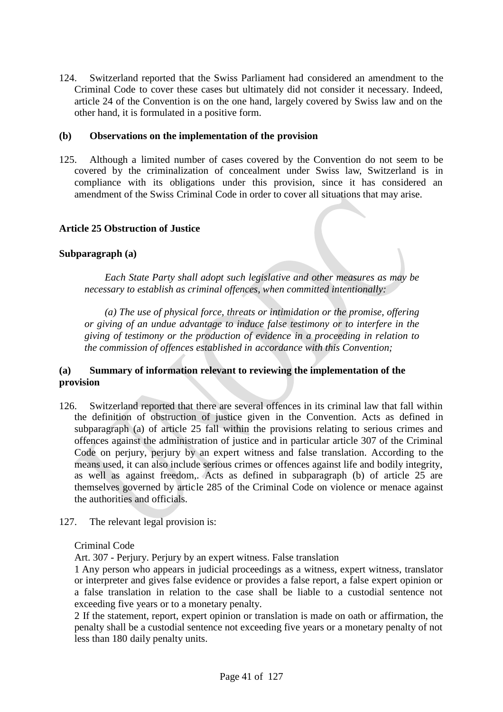124. Switzerland reported that the Swiss Parliament had considered an amendment to the Criminal Code to cover these cases but ultimately did not consider it necessary. Indeed, article 24 of the Convention is on the one hand, largely covered by Swiss law and on the other hand, it is formulated in a positive form.

#### **(b) Observations on the implementation of the provision**

125. Although a limited number of cases covered by the Convention do not seem to be covered by the criminalization of concealment under Swiss law, Switzerland is in compliance with its obligations under this provision, since it has considered an amendment of the Swiss Criminal Code in order to cover all situations that may arise.

#### **Article 25 Obstruction of Justice**

## **Subparagraph (a)**

*Each State Party shall adopt such legislative and other measures as may be necessary to establish as criminal offences, when committed intentionally:*

*(a) The use of physical force, threats or intimidation or the promise, offering or giving of an undue advantage to induce false testimony or to interfere in the giving of testimony or the production of evidence in a proceeding in relation to the commission of offences established in accordance with this Convention;*

## **(a) Summary of information relevant to reviewing the implementation of the provision**

- 126. Switzerland reported that there are several offences in its criminal law that fall within the definition of obstruction of justice given in the Convention. Acts as defined in subparagraph (a) of article 25 fall within the provisions relating to serious crimes and offences against the administration of justice and in particular article 307 of the Criminal Code on perjury, perjury by an expert witness and false translation. According to the means used, it can also include serious crimes or offences against life and bodily integrity, as well as against freedom,. Acts as defined in subparagraph (b) of article 25 are themselves governed by article 285 of the Criminal Code on violence or menace against the authorities and officials.
- 127. The relevant legal provision is:

Criminal Code

Art. 307 - Perjury. Perjury by an expert witness. False translation

1 Any person who appears in judicial proceedings as a witness, expert witness, translator or interpreter and gives false evidence or provides a false report, a false expert opinion or a false translation in relation to the case shall be liable to a custodial sentence not exceeding five years or to a monetary penalty.

2 If the statement, report, expert opinion or translation is made on oath or affirmation, the penalty shall be a custodial sentence not exceeding five years or a monetary penalty of not less than 180 daily penalty units.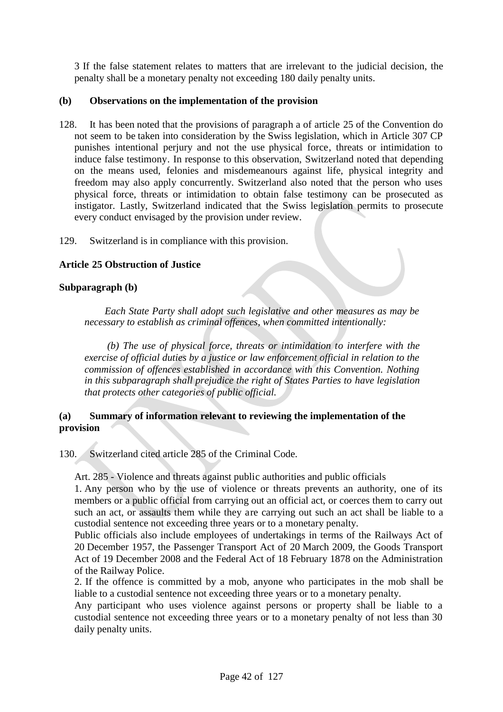3 If the false statement relates to matters that are irrelevant to the judicial decision, the penalty shall be a monetary penalty not exceeding 180 daily penalty units.

# **(b) Observations on the implementation of the provision**

128. It has been noted that the provisions of paragraph a of article 25 of the Convention do not seem to be taken into consideration by the Swiss legislation, which in Article 307 CP punishes intentional perjury and not the use physical force, threats or intimidation to induce false testimony. In response to this observation, Switzerland noted that depending on the means used, felonies and misdemeanours against life, physical integrity and freedom may also apply concurrently. Switzerland also noted that the person who uses physical force, threats or intimidation to obtain false testimony can be prosecuted as instigator. Lastly, Switzerland indicated that the Swiss legislation permits to prosecute every conduct envisaged by the provision under review.

129. Switzerland is in compliance with this provision.

## **Article 25 Obstruction of Justice**

## **Subparagraph (b)**

*Each State Party shall adopt such legislative and other measures as may be necessary to establish as criminal offences, when committed intentionally:*

*(b) The use of physical force, threats or intimidation to interfere with the exercise of official duties by a justice or law enforcement official in relation to the commission of offences established in accordance with this Convention. Nothing in this subparagraph shall prejudice the right of States Parties to have legislation that protects other categories of public official.*

### **(a) Summary of information relevant to reviewing the implementation of the provision**

130. Switzerland cited article 285 of the Criminal Code.

Art. 285 - Violence and threats against public authorities and public officials

1. Any person who by the use of violence or threats prevents an authority, one of its members or a public official from carrying out an official act, or coerces them to carry out such an act, or assaults them while they are carrying out such an act shall be liable to a custodial sentence not exceeding three years or to a monetary penalty.

Public officials also include employees of undertakings in terms of the Railways Act of 20 December 1957, the Passenger Transport Act of 20 March 2009, the Goods Transport Act of 19 December 2008 and the Federal Act of 18 February 1878 on the Administration of the Railway Police.

2. If the offence is committed by a mob, anyone who participates in the mob shall be liable to a custodial sentence not exceeding three years or to a monetary penalty.

Any participant who uses violence against persons or property shall be liable to a custodial sentence not exceeding three years or to a monetary penalty of not less than 30 daily penalty units.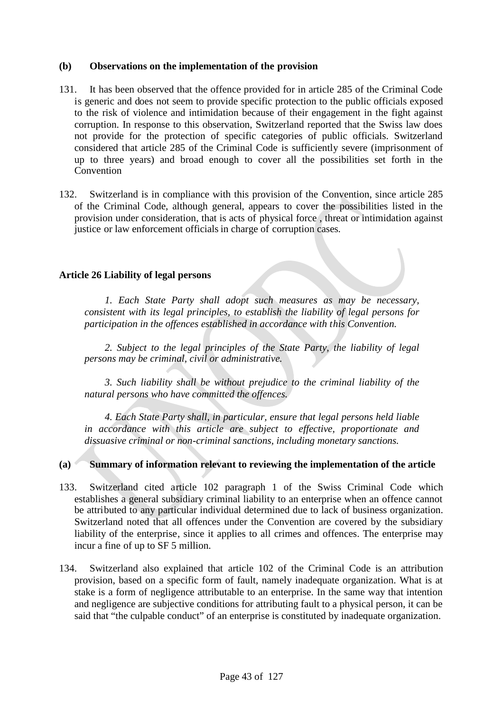# **(b) Observations on the implementation of the provision**

- 131. It has been observed that the offence provided for in article 285 of the Criminal Code is generic and does not seem to provide specific protection to the public officials exposed to the risk of violence and intimidation because of their engagement in the fight against corruption. In response to this observation, Switzerland reported that the Swiss law does not provide for the protection of specific categories of public officials. Switzerland considered that article 285 of the Criminal Code is sufficiently severe (imprisonment of up to three years) and broad enough to cover all the possibilities set forth in the Convention
- 132. Switzerland is in compliance with this provision of the Convention, since article 285 of the Criminal Code, although general, appears to cover the possibilities listed in the provision under consideration, that is acts of physical force , threat or intimidation against justice or law enforcement officials in charge of corruption cases.

## **Article 26 Liability of legal persons**

*1. Each State Party shall adopt such measures as may be necessary, consistent with its legal principles, to establish the liability of legal persons for participation in the offences established in accordance with this Convention.*

*2. Subject to the legal principles of the State Party, the liability of legal persons may be criminal, civil or administrative.*

*3. Such liability shall be without prejudice to the criminal liability of the natural persons who have committed the offences.*

*4. Each State Party shall, in particular, ensure that legal persons held liable in accordance with this article are subject to effective, proportionate and dissuasive criminal or non-criminal sanctions, including monetary sanctions.*

# **(a) Summary of information relevant to reviewing the implementation of the article**

- 133. Switzerland cited article 102 paragraph 1 of the Swiss Criminal Code which establishes a general subsidiary criminal liability to an enterprise when an offence cannot be attributed to any particular individual determined due to lack of business organization. Switzerland noted that all offences under the Convention are covered by the subsidiary liability of the enterprise, since it applies to all crimes and offences. The enterprise may incur a fine of up to SF 5 million.
- 134. Switzerland also explained that article 102 of the Criminal Code is an attribution provision, based on a specific form of fault, namely inadequate organization. What is at stake is a form of negligence attributable to an enterprise. In the same way that intention and negligence are subjective conditions for attributing fault to a physical person, it can be said that "the culpable conduct" of an enterprise is constituted by inadequate organization.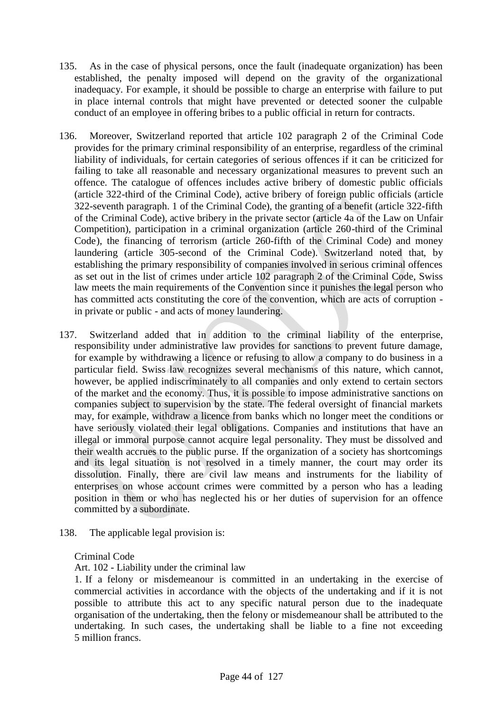- 135. As in the case of physical persons, once the fault (inadequate organization) has been established, the penalty imposed will depend on the gravity of the organizational inadequacy. For example, it should be possible to charge an enterprise with failure to put in place internal controls that might have prevented or detected sooner the culpable conduct of an employee in offering bribes to a public official in return for contracts.
- 136. Moreover, Switzerland reported that article 102 paragraph 2 of the Criminal Code provides for the primary criminal responsibility of an enterprise, regardless of the criminal liability of individuals, for certain categories of serious offences if it can be criticized for failing to take all reasonable and necessary organizational measures to prevent such an offence. The catalogue of offences includes active bribery of domestic public officials (article 322-third of the Criminal Code), active bribery of foreign public officials (article 322-seventh paragraph. 1 of the Criminal Code), the granting of a benefit (article 322-fifth of the Criminal Code), active bribery in the private sector (article 4a of the Law on Unfair Competition), participation in a criminal organization (article 260-third of the Criminal Code), the financing of terrorism (article 260-fifth of the Criminal Code) and money laundering (article 305-second of the Criminal Code). Switzerland noted that, by establishing the primary responsibility of companies involved in serious criminal offences as set out in the list of crimes under article 102 paragraph 2 of the Criminal Code, Swiss law meets the main requirements of the Convention since it punishes the legal person who has committed acts constituting the core of the convention, which are acts of corruption in private or public - and acts of money laundering.
- 137. Switzerland added that in addition to the criminal liability of the enterprise, responsibility under administrative law provides for sanctions to prevent future damage, for example by withdrawing a licence or refusing to allow a company to do business in a particular field. Swiss law recognizes several mechanisms of this nature, which cannot, however, be applied indiscriminately to all companies and only extend to certain sectors of the market and the economy. Thus, it is possible to impose administrative sanctions on companies subject to supervision by the state. The federal oversight of financial markets may, for example, withdraw a licence from banks which no longer meet the conditions or have seriously violated their legal obligations. Companies and institutions that have an illegal or immoral purpose cannot acquire legal personality. They must be dissolved and their wealth accrues to the public purse. If the organization of a society has shortcomings and its legal situation is not resolved in a timely manner, the court may order its dissolution. Finally, there are civil law means and instruments for the liability of enterprises on whose account crimes were committed by a person who has a leading position in them or who has neglected his or her duties of supervision for an offence committed by a subordinate.
- 138. The applicable legal provision is:

#### Criminal Code

Art. 102 - Liability under the criminal law

1. If a felony or misdemeanour is committed in an undertaking in the exercise of commercial activities in accordance with the objects of the undertaking and if it is not possible to attribute this act to any specific natural person due to the inadequate organisation of the undertaking, then the felony or misdemeanour shall be attributed to the undertaking. In such cases, the undertaking shall be liable to a fine not exceeding 5 million francs.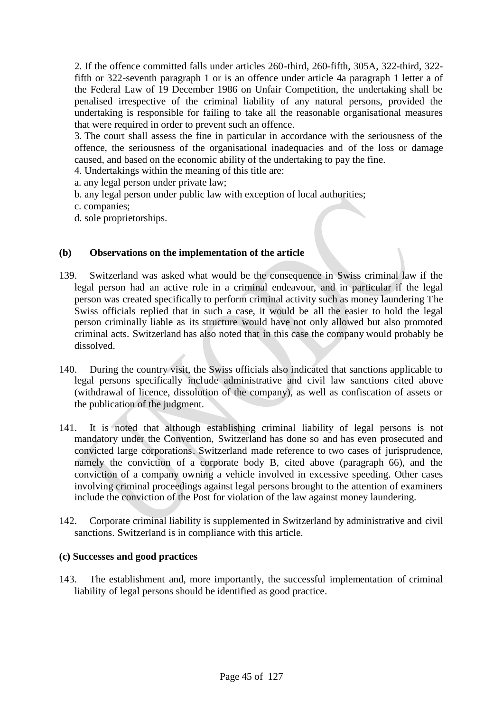2. If the offence committed falls under articles 260-third, 260-fifth, 305A, 322-third, 322 fifth or 322-seventh paragraph 1 or is an offence under article 4a paragraph 1 letter a of the Federal Law of 19 December 1986 on Unfair Competition, the undertaking shall be penalised irrespective of the criminal liability of any natural persons, provided the undertaking is responsible for failing to take all the reasonable organisational measures that were required in order to prevent such an offence.

3. The court shall assess the fine in particular in accordance with the seriousness of the offence, the seriousness of the organisational inadequacies and of the loss or damage caused, and based on the economic ability of the undertaking to pay the fine.

4. Undertakings within the meaning of this title are:

a. any legal person under private law;

b. any legal person under public law with exception of local authorities;

c. companies;

d. sole proprietorships.

#### **(b) Observations on the implementation of the article**

- 139. Switzerland was asked what would be the consequence in Swiss criminal law if the legal person had an active role in a criminal endeavour, and in particular if the legal person was created specifically to perform criminal activity such as money laundering The Swiss officials replied that in such a case, it would be all the easier to hold the legal person criminally liable as its structure would have not only allowed but also promoted criminal acts. Switzerland has also noted that in this case the company would probably be dissolved.
- 140. During the country visit, the Swiss officials also indicated that sanctions applicable to legal persons specifically include administrative and civil law sanctions cited above (withdrawal of licence, dissolution of the company), as well as confiscation of assets or the publication of the judgment.
- 141. It is noted that although establishing criminal liability of legal persons is not mandatory under the Convention, Switzerland has done so and has even prosecuted and convicted large corporations. Switzerland made reference to two cases of jurisprudence, namely the conviction of a corporate body B, cited above (paragraph 66), and the conviction of a company owning a vehicle involved in excessive speeding. Other cases involving criminal proceedings against legal persons brought to the attention of examiners include the conviction of the Post for violation of the law against money laundering.
- 142. Corporate criminal liability is supplemented in Switzerland by administrative and civil sanctions. Switzerland is in compliance with this article.

#### **(c) Successes and good practices**

143. The establishment and, more importantly, the successful implementation of criminal liability of legal persons should be identified as good practice.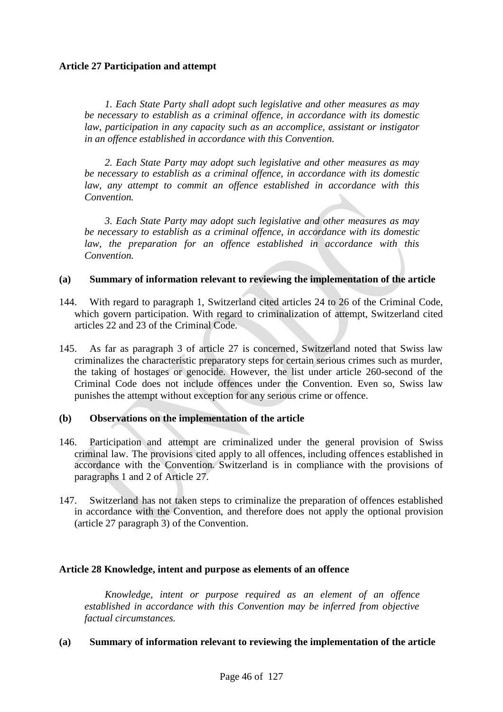# **Article 27 Participation and attempt**

*1. Each State Party shall adopt such legislative and other measures as may be necessary to establish as a criminal offence, in accordance with its domestic law, participation in any capacity such as an accomplice, assistant or instigator in an offence established in accordance with this Convention.*

*2. Each State Party may adopt such legislative and other measures as may be necessary to establish as a criminal offence, in accordance with its domestic law, any attempt to commit an offence established in accordance with this Convention.*

*3. Each State Party may adopt such legislative and other measures as may be necessary to establish as a criminal offence, in accordance with its domestic law, the preparation for an offence established in accordance with this Convention.*

#### **(a) Summary of information relevant to reviewing the implementation of the article**

- 144. With regard to paragraph 1, Switzerland cited articles 24 to 26 of the Criminal Code, which govern participation. With regard to criminalization of attempt, Switzerland cited articles 22 and 23 of the Criminal Code.
- 145. As far as paragraph 3 of article 27 is concerned, Switzerland noted that Swiss law criminalizes the characteristic preparatory steps for certain serious crimes such as murder, the taking of hostages or genocide. However, the list under article 260-second of the Criminal Code does not include offences under the Convention. Even so, Swiss law punishes the attempt without exception for any serious crime or offence.

#### **(b) Observations on the implementation of the article**

- 146. Participation and attempt are criminalized under the general provision of Swiss criminal law. The provisions cited apply to all offences, including offences established in accordance with the Convention. Switzerland is in compliance with the provisions of paragraphs 1 and 2 of Article 27.
- 147. Switzerland has not taken steps to criminalize the preparation of offences established in accordance with the Convention, and therefore does not apply the optional provision (article 27 paragraph 3) of the Convention.

#### **Article 28 Knowledge, intent and purpose as elements of an offence**

*Knowledge, intent or purpose required as an element of an offence established in accordance with this Convention may be inferred from objective factual circumstances.*

#### **(a) Summary of information relevant to reviewing the implementation of the article**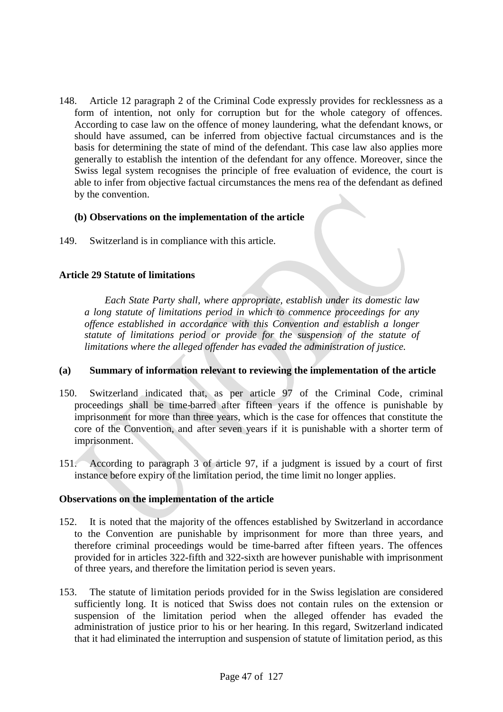148. Article 12 paragraph 2 of the Criminal Code expressly provides for recklessness as a form of intention, not only for corruption but for the whole category of offences. According to case law on the offence of money laundering, what the defendant knows, or should have assumed, can be inferred from objective factual circumstances and is the basis for determining the state of mind of the defendant. This case law also applies more generally to establish the intention of the defendant for any offence. Moreover, since the Swiss legal system recognises the principle of free evaluation of evidence, the court is able to infer from objective factual circumstances the mens rea of the defendant as defined by the convention.

#### **(b) Observations on the implementation of the article**

149. Switzerland is in compliance with this article.

## **Article 29 Statute of limitations**

*Each State Party shall, where appropriate, establish under its domestic law a long statute of limitations period in which to commence proceedings for any offence established in accordance with this Convention and establish a longer statute of limitations period or provide for the suspension of the statute of limitations where the alleged offender has evaded the administration of justice.*

#### **(a) Summary of information relevant to reviewing the implementation of the article**

- 150. Switzerland indicated that, as per article 97 of the Criminal Code, criminal proceedings shall be time-barred after fifteen years if the offence is punishable by imprisonment for more than three years, which is the case for offences that constitute the core of the Convention, and after seven years if it is punishable with a shorter term of imprisonment.
- 151. According to paragraph 3 of article 97, if a judgment is issued by a court of first instance before expiry of the limitation period, the time limit no longer applies.

#### **Observations on the implementation of the article**

- 152. It is noted that the majority of the offences established by Switzerland in accordance to the Convention are punishable by imprisonment for more than three years, and therefore criminal proceedings would be time-barred after fifteen years. The offences provided for in articles 322-fifth and 322-sixth are however punishable with imprisonment of three years, and therefore the limitation period is seven years.
- 153. The statute of limitation periods provided for in the Swiss legislation are considered sufficiently long. It is noticed that Swiss does not contain rules on the extension or suspension of the limitation period when the alleged offender has evaded the administration of justice prior to his or her hearing. In this regard, Switzerland indicated that it had eliminated the interruption and suspension of statute of limitation period, as this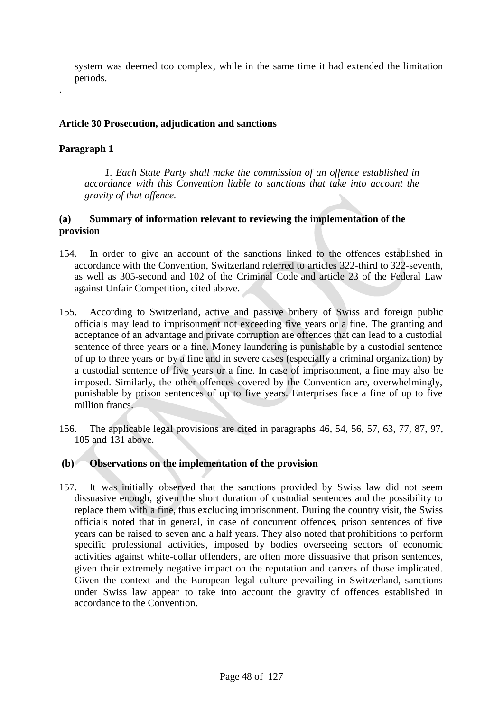system was deemed too complex, while in the same time it had extended the limitation periods.

# **Article 30 Prosecution, adjudication and sanctions**

# **Paragraph 1**

.

*1. Each State Party shall make the commission of an offence established in accordance with this Convention liable to sanctions that take into account the gravity of that offence.*

# **(a) Summary of information relevant to reviewing the implementation of the provision**

- 154. In order to give an account of the sanctions linked to the offences established in accordance with the Convention, Switzerland referred to articles 322-third to 322-seventh, as well as 305-second and 102 of the Criminal Code and article 23 of the Federal Law against Unfair Competition, cited above.
- 155. According to Switzerland, active and passive bribery of Swiss and foreign public officials may lead to imprisonment not exceeding five years or a fine. The granting and acceptance of an advantage and private corruption are offences that can lead to a custodial sentence of three years or a fine. Money laundering is punishable by a custodial sentence of up to three years or by a fine and in severe cases (especially a criminal organization) by a custodial sentence of five years or a fine. In case of imprisonment, a fine may also be imposed. Similarly, the other offences covered by the Convention are, overwhelmingly, punishable by prison sentences of up to five years. Enterprises face a fine of up to five million francs.
- 156. The applicable legal provisions are cited in paragraphs 46, 54, 56, 57, 63, 77, 87, 97, 105 and 131 above.

# **(b) Observations on the implementation of the provision**

157. It was initially observed that the sanctions provided by Swiss law did not seem dissuasive enough, given the short duration of custodial sentences and the possibility to replace them with a fine, thus excluding imprisonment. During the country visit, the Swiss officials noted that in general, in case of concurrent offences, prison sentences of five years can be raised to seven and a half years. They also noted that prohibitions to perform specific professional activities, imposed by bodies overseeing sectors of economic activities against white-collar offenders, are often more dissuasive that prison sentences, given their extremely negative impact on the reputation and careers of those implicated. Given the context and the European legal culture prevailing in Switzerland, sanctions under Swiss law appear to take into account the gravity of offences established in accordance to the Convention.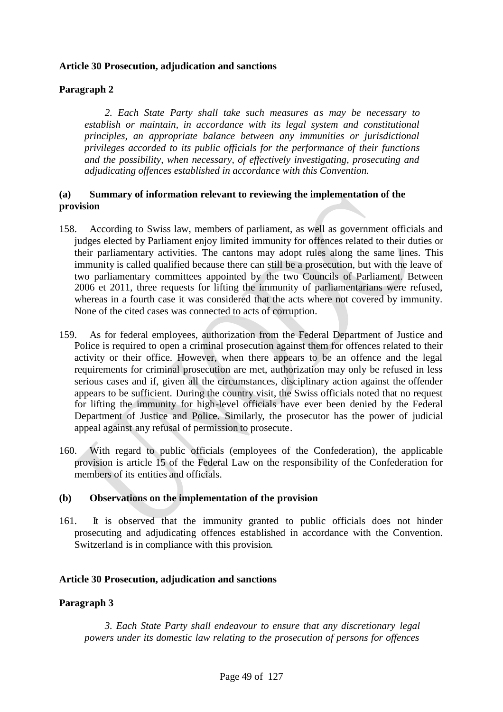# **Article 30 Prosecution, adjudication and sanctions**

# **Paragraph 2**

*2. Each State Party shall take such measures as may be necessary to establish or maintain, in accordance with its legal system and constitutional principles, an appropriate balance between any immunities or jurisdictional privileges accorded to its public officials for the performance of their functions and the possibility, when necessary, of effectively investigating, prosecuting and adjudicating offences established in accordance with this Convention.*

## **(a) Summary of information relevant to reviewing the implementation of the provision**

- 158. According to Swiss law, members of parliament, as well as government officials and judges elected by Parliament enjoy limited immunity for offences related to their duties or their parliamentary activities. The cantons may adopt rules along the same lines. This immunity is called qualified because there can still be a prosecution, but with the leave of two parliamentary committees appointed by the two Councils of Parliament. Between 2006 et 2011, three requests for lifting the immunity of parliamentarians were refused, whereas in a fourth case it was considered that the acts where not covered by immunity. None of the cited cases was connected to acts of corruption.
- 159. As for federal employees, authorization from the Federal Department of Justice and Police is required to open a criminal prosecution against them for offences related to their activity or their office. However, when there appears to be an offence and the legal requirements for criminal prosecution are met, authorization may only be refused in less serious cases and if, given all the circumstances, disciplinary action against the offender appears to be sufficient. During the country visit, the Swiss officials noted that no request for lifting the immunity for high-level officials have ever been denied by the Federal Department of Justice and Police. Similarly, the prosecutor has the power of judicial appeal against any refusal of permission to prosecute.
- 160. With regard to public officials (employees of the Confederation), the applicable provision is article 15 of the Federal Law on the responsibility of the Confederation for members of its entities and officials.

#### **(b) Observations on the implementation of the provision**

161. It is observed that the immunity granted to public officials does not hinder prosecuting and adjudicating offences established in accordance with the Convention. Switzerland is in compliance with this provision.

# **Article 30 Prosecution, adjudication and sanctions**

# **Paragraph 3**

*3. Each State Party shall endeavour to ensure that any discretionary legal powers under its domestic law relating to the prosecution of persons for offences*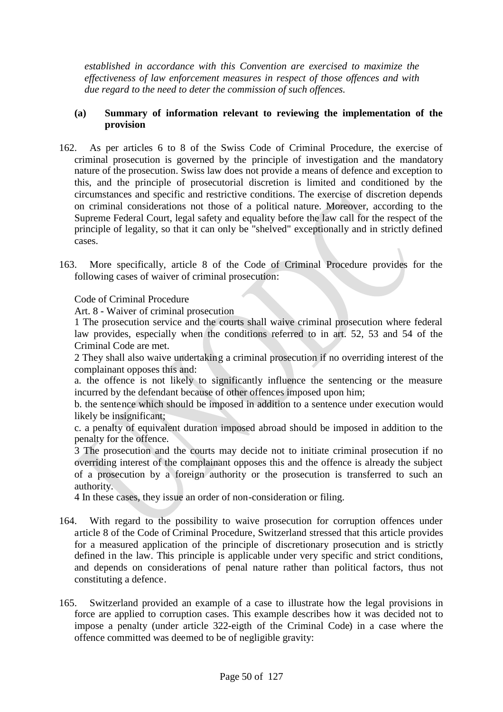*established in accordance with this Convention are exercised to maximize the effectiveness of law enforcement measures in respect of those offences and with due regard to the need to deter the commission of such offences.*

### **(a) Summary of information relevant to reviewing the implementation of the provision**

- 162. As per articles 6 to 8 of the Swiss Code of Criminal Procedure, the exercise of criminal prosecution is governed by the principle of investigation and the mandatory nature of the prosecution. Swiss law does not provide a means of defence and exception to this, and the principle of prosecutorial discretion is limited and conditioned by the circumstances and specific and restrictive conditions. The exercise of discretion depends on criminal considerations not those of a political nature. Moreover, according to the Supreme Federal Court, legal safety and equality before the law call for the respect of the principle of legality, so that it can only be "shelved" exceptionally and in strictly defined cases.
- 163. More specifically, article 8 of the Code of Criminal Procedure provides for the following cases of waiver of criminal prosecution:

Code of Criminal Procedure

Art. 8 - Waiver of criminal prosecution

1 The prosecution service and the courts shall waive criminal prosecution where federal law provides, especially when the conditions referred to in art. 52, 53 and 54 of the Criminal Code are met.

2 They shall also waive undertaking a criminal prosecution if no overriding interest of the complainant opposes this and:

a. the offence is not likely to significantly influence the sentencing or the measure incurred by the defendant because of other offences imposed upon him;

b. the sentence which should be imposed in addition to a sentence under execution would likely be insignificant;

c. a penalty of equivalent duration imposed abroad should be imposed in addition to the penalty for the offence.

3 The prosecution and the courts may decide not to initiate criminal prosecution if no overriding interest of the complainant opposes this and the offence is already the subject of a prosecution by a foreign authority or the prosecution is transferred to such an authority.

4 In these cases, they issue an order of non-consideration or filing.

- 164. With regard to the possibility to waive prosecution for corruption offences under article 8 of the Code of Criminal Procedure, Switzerland stressed that this article provides for a measured application of the principle of discretionary prosecution and is strictly defined in the law. This principle is applicable under very specific and strict conditions, and depends on considerations of penal nature rather than political factors, thus not constituting a defence.
- 165. Switzerland provided an example of a case to illustrate how the legal provisions in force are applied to corruption cases. This example describes how it was decided not to impose a penalty (under article 322-eigth of the Criminal Code) in a case where the offence committed was deemed to be of negligible gravity: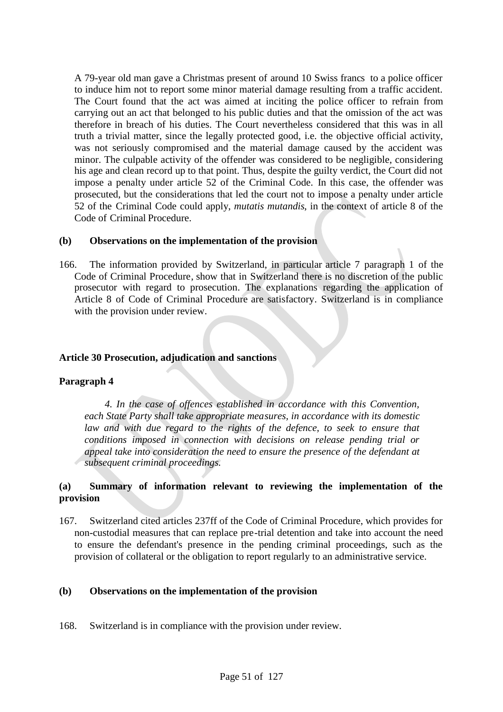A 79-year old man gave a Christmas present of around 10 Swiss francs to a police officer to induce him not to report some minor material damage resulting from a traffic accident. The Court found that the act was aimed at inciting the police officer to refrain from carrying out an act that belonged to his public duties and that the omission of the act was therefore in breach of his duties. The Court nevertheless considered that this was in all truth a trivial matter, since the legally protected good, i.e. the objective official activity, was not seriously compromised and the material damage caused by the accident was minor. The culpable activity of the offender was considered to be negligible, considering his age and clean record up to that point. Thus, despite the guilty verdict, the Court did not impose a penalty under article 52 of the Criminal Code. In this case, the offender was prosecuted, but the considerations that led the court not to impose a penalty under article 52 of the Criminal Code could apply, *mutatis mutandis*, in the context of article 8 of the Code of Criminal Procedure.

#### **(b) Observations on the implementation of the provision**

166. The information provided by Switzerland, in particular article 7 paragraph 1 of the Code of Criminal Procedure, show that in Switzerland there is no discretion of the public prosecutor with regard to prosecution. The explanations regarding the application of Article 8 of Code of Criminal Procedure are satisfactory. Switzerland is in compliance with the provision under review.

### **Article 30 Prosecution, adjudication and sanctions**

#### **Paragraph 4**

*4. In the case of offences established in accordance with this Convention, each State Party shall take appropriate measures, in accordance with its domestic law and with due regard to the rights of the defence, to seek to ensure that conditions imposed in connection with decisions on release pending trial or appeal take into consideration the need to ensure the presence of the defendant at subsequent criminal proceedings.*

# **(a) Summary of information relevant to reviewing the implementation of the provision**

167. Switzerland cited articles 237ff of the Code of Criminal Procedure, which provides for non-custodial measures that can replace pre-trial detention and take into account the need to ensure the defendant's presence in the pending criminal proceedings, such as the provision of collateral or the obligation to report regularly to an administrative service.

#### **(b) Observations on the implementation of the provision**

168. Switzerland is in compliance with the provision under review.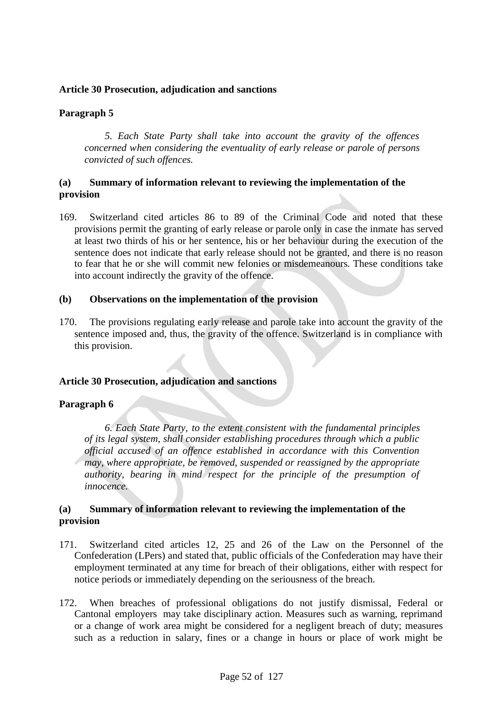## **Article 30 Prosecution, adjudication and sanctions**

# **Paragraph 5**

*5. Each State Party shall take into account the gravity of the offences concerned when considering the eventuality of early release or parole of persons convicted of such offences.*

# **(a) Summary of information relevant to reviewing the implementation of the provision**

169. Switzerland cited articles 86 to 89 of the Criminal Code and noted that these provisions permit the granting of early release or parole only in case the inmate has served at least two thirds of his or her sentence, his or her behaviour during the execution of the sentence does not indicate that early release should not be granted, and there is no reason to fear that he or she will commit new felonies or misdemeanours. These conditions take into account indirectly the gravity of the offence.

#### **(b) Observations on the implementation of the provision**

170. The provisions regulating early release and parole take into account the gravity of the sentence imposed and, thus, the gravity of the offence. Switzerland is in compliance with this provision.

#### **Article 30 Prosecution, adjudication and sanctions**

# **Paragraph 6**

*6. Each State Party, to the extent consistent with the fundamental principles of its legal system, shall consider establishing procedures through which a public official accused of an offence established in accordance with this Convention may, where appropriate, be removed, suspended or reassigned by the appropriate authority, bearing in mind respect for the principle of the presumption of innocence.*

## **(a) Summary of information relevant to reviewing the implementation of the provision**

- 171. Switzerland cited articles 12, 25 and 26 of the Law on the Personnel of the Confederation (LPers) and stated that, public officials of the Confederation may have their employment terminated at any time for breach of their obligations, either with respect for notice periods or immediately depending on the seriousness of the breach.
- 172. When breaches of professional obligations do not justify dismissal, Federal or Cantonal employers may take disciplinary action. Measures such as warning, reprimand or a change of work area might be considered for a negligent breach of duty; measures such as a reduction in salary, fines or a change in hours or place of work might be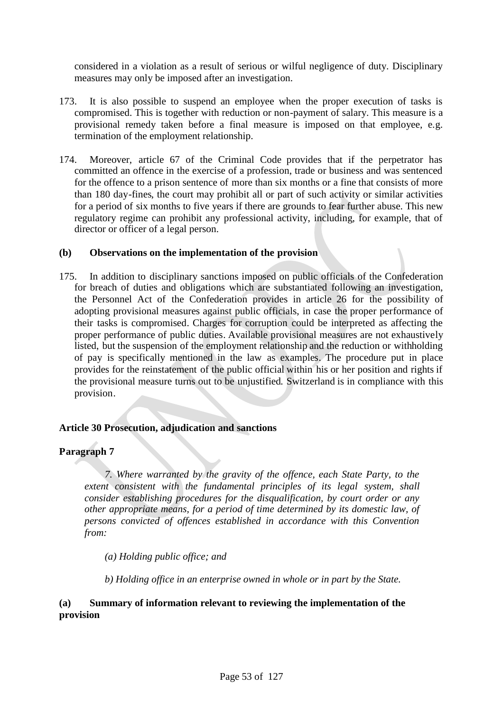considered in a violation as a result of serious or wilful negligence of duty. Disciplinary measures may only be imposed after an investigation.

- 173. It is also possible to suspend an employee when the proper execution of tasks is compromised. This is together with reduction or non-payment of salary. This measure is a provisional remedy taken before a final measure is imposed on that employee, e.g. termination of the employment relationship.
- 174. Moreover, article 67 of the Criminal Code provides that if the perpetrator has committed an offence in the exercise of a profession, trade or business and was sentenced for the offence to a prison sentence of more than six months or a fine that consists of more than 180 day-fines, the court may prohibit all or part of such activity or similar activities for a period of six months to five years if there are grounds to fear further abuse. This new regulatory regime can prohibit any professional activity, including, for example, that of director or officer of a legal person.

## **(b) Observations on the implementation of the provision**

175. In addition to disciplinary sanctions imposed on public officials of the Confederation for breach of duties and obligations which are substantiated following an investigation, the Personnel Act of the Confederation provides in article 26 for the possibility of adopting provisional measures against public officials, in case the proper performance of their tasks is compromised. Charges for corruption could be interpreted as affecting the proper performance of public duties. Available provisional measures are not exhaustively listed, but the suspension of the employment relationship and the reduction or withholding of pay is specifically mentioned in the law as examples. The procedure put in place provides for the reinstatement of the public official within his or her position and rights if the provisional measure turns out to be unjustified. Switzerland is in compliance with this provision.

# **Article 30 Prosecution, adjudication and sanctions**

# **Paragraph 7**

*7. Where warranted by the gravity of the offence, each State Party, to the extent consistent with the fundamental principles of its legal system, shall consider establishing procedures for the disqualification, by court order or any other appropriate means, for a period of time determined by its domestic law, of persons convicted of offences established in accordance with this Convention from:*

*(a) Holding public office; and*

*b) Holding office in an enterprise owned in whole or in part by the State.*

# **(a) Summary of information relevant to reviewing the implementation of the provision**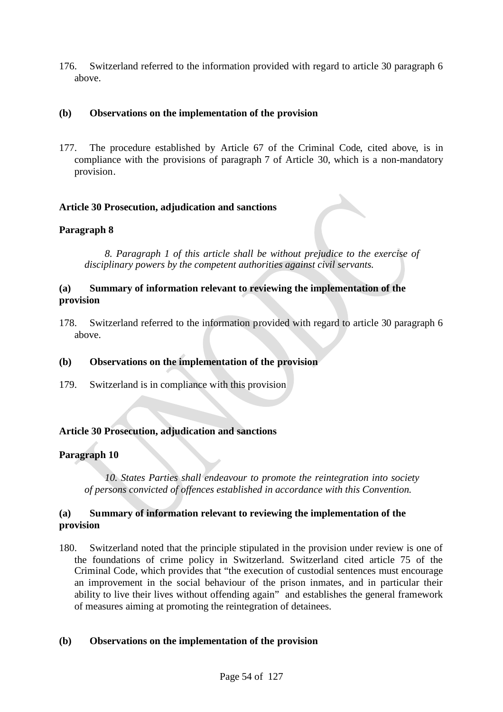176. Switzerland referred to the information provided with regard to article 30 paragraph 6 above.

# **(b) Observations on the implementation of the provision**

177. The procedure established by Article 67 of the Criminal Code, cited above, is in compliance with the provisions of paragraph 7 of Article 30, which is a non-mandatory provision.

## **Article 30 Prosecution, adjudication and sanctions**

## **Paragraph 8**

*8. Paragraph 1 of this article shall be without prejudice to the exercise of disciplinary powers by the competent authorities against civil servants.*

## **(a) Summary of information relevant to reviewing the implementation of the provision**

178. Switzerland referred to the information provided with regard to article 30 paragraph 6 above.

#### **(b) Observations on the implementation of the provision**

179. Switzerland is in compliance with this provision

#### **Article 30 Prosecution, adjudication and sanctions**

# **Paragraph 10**

*10. States Parties shall endeavour to promote the reintegration into society of persons convicted of offences established in accordance with this Convention.*

## **(a) Summary of information relevant to reviewing the implementation of the provision**

180. Switzerland noted that the principle stipulated in the provision under review is one of the foundations of crime policy in Switzerland. Switzerland cited article 75 of the Criminal Code, which provides that "the execution of custodial sentences must encourage an improvement in the social behaviour of the prison inmates, and in particular their ability to live their lives without offending again" and establishes the general framework of measures aiming at promoting the reintegration of detainees.

#### **(b) Observations on the implementation of the provision**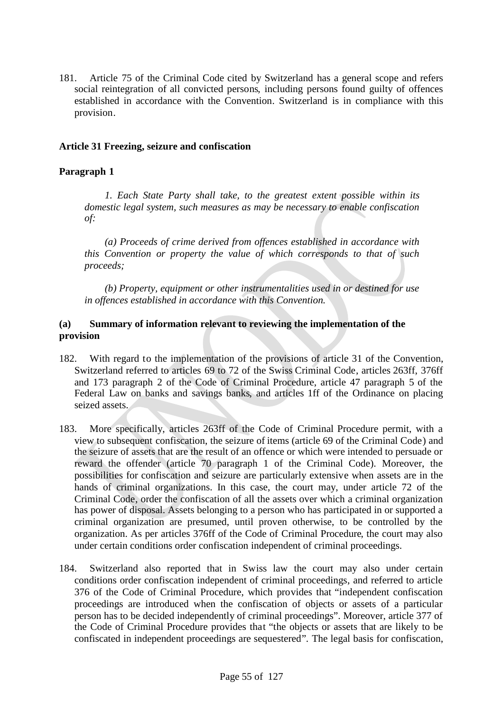181. Article 75 of the Criminal Code cited by Switzerland has a general scope and refers social reintegration of all convicted persons, including persons found guilty of offences established in accordance with the Convention. Switzerland is in compliance with this provision.

# **Article 31 Freezing, seizure and confiscation**

# **Paragraph 1**

*1. Each State Party shall take, to the greatest extent possible within its domestic legal system, such measures as may be necessary to enable confiscation of:*

*(a) Proceeds of crime derived from offences established in accordance with this Convention or property the value of which corresponds to that of such proceeds;*

*(b) Property, equipment or other instrumentalities used in or destined for use in offences established in accordance with this Convention.*

# **(a) Summary of information relevant to reviewing the implementation of the provision**

- 182. With regard to the implementation of the provisions of article 31 of the Convention, Switzerland referred to articles 69 to 72 of the Swiss Criminal Code, articles 263ff, 376ff and 173 paragraph 2 of the Code of Criminal Procedure, article 47 paragraph 5 of the Federal Law on banks and savings banks, and articles 1ff of the Ordinance on placing seized assets.
- 183. More specifically, articles 263ff of the Code of Criminal Procedure permit, with a view to subsequent confiscation, the seizure of items (article 69 of the Criminal Code) and the seizure of assets that are the result of an offence or which were intended to persuade or reward the offender (article 70 paragraph 1 of the Criminal Code). Moreover, the possibilities for confiscation and seizure are particularly extensive when assets are in the hands of criminal organizations. In this case, the court may, under article 72 of the Criminal Code, order the confiscation of all the assets over which a criminal organization has power of disposal. Assets belonging to a person who has participated in or supported a criminal organization are presumed, until proven otherwise, to be controlled by the organization. As per articles 376ff of the Code of Criminal Procedure, the court may also under certain conditions order confiscation independent of criminal proceedings.
- 184. Switzerland also reported that in Swiss law the court may also under certain conditions order confiscation independent of criminal proceedings, and referred to article 376 of the Code of Criminal Procedure, which provides that "independent confiscation proceedings are introduced when the confiscation of objects or assets of a particular person has to be decided independently of criminal proceedings". Moreover, article 377 of the Code of Criminal Procedure provides that "the objects or assets that are likely to be confiscated in independent proceedings are sequestered". The legal basis for confiscation,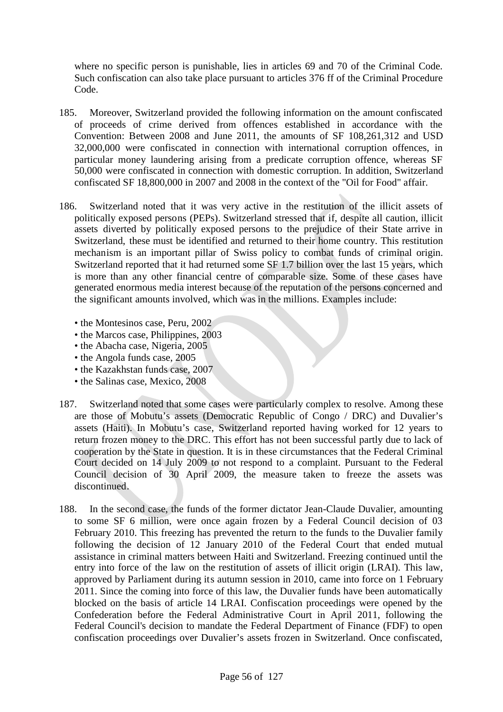where no specific person is punishable, lies in articles 69 and 70 of the Criminal Code. Such confiscation can also take place pursuant to articles 376 ff of the Criminal Procedure Code.

- 185. Moreover, Switzerland provided the following information on the amount confiscated of proceeds of crime derived from offences established in accordance with the Convention: Between 2008 and June 2011, the amounts of SF 108,261,312 and USD 32,000,000 were confiscated in connection with international corruption offences, in particular money laundering arising from a predicate corruption offence, whereas SF 50,000 were confiscated in connection with domestic corruption. In addition, Switzerland confiscated SF 18,800,000 in 2007 and 2008 in the context of the "Oil for Food" affair.
- 186. Switzerland noted that it was very active in the restitution of the illicit assets of politically exposed persons (PEPs). Switzerland stressed that if, despite all caution, illicit assets diverted by politically exposed persons to the prejudice of their State arrive in Switzerland, these must be identified and returned to their home country. This restitution mechanism is an important pillar of Swiss policy to combat funds of criminal origin. Switzerland reported that it had returned some SF 1.7 billion over the last 15 years, which is more than any other financial centre of comparable size. Some of these cases have generated enormous media interest because of the reputation of the persons concerned and the significant amounts involved, which was in the millions. Examples include:
	- the Montesinos case, Peru, 2002
	- the Marcos case, Philippines, 2003
	- the Abacha case, Nigeria, 2005
	- the Angola funds case, 2005
	- the Kazakhstan funds case, 2007
	- the Salinas case, Mexico, 2008
- 187. Switzerland noted that some cases were particularly complex to resolve. Among these are those of Mobutu's assets (Democratic Republic of Congo / DRC) and Duvalier's assets (Haiti). In Mobutu's case, Switzerland reported having worked for 12 years to return frozen money to the DRC. This effort has not been successful partly due to lack of cooperation by the State in question. It is in these circumstances that the Federal Criminal Court decided on 14 July 2009 to not respond to a complaint. Pursuant to the Federal Council decision of 30 April 2009, the measure taken to freeze the assets was discontinued.
- 188. In the second case, the funds of the former dictator Jean-Claude Duvalier, amounting to some SF 6 million, were once again frozen by a Federal Council decision of 03 February 2010. This freezing has prevented the return to the funds to the Duvalier family following the decision of 12 January 2010 of the Federal Court that ended mutual assistance in criminal matters between Haiti and Switzerland. Freezing continued until the entry into force of the law on the restitution of assets of illicit origin (LRAI). This law, approved by Parliament during its autumn session in 2010, came into force on 1 February 2011. Since the coming into force of this law, the Duvalier funds have been automatically blocked on the basis of article 14 LRAI. Confiscation proceedings were opened by the Confederation before the Federal Administrative Court in April 2011, following the Federal Council's decision to mandate the Federal Department of Finance (FDF) to open confiscation proceedings over Duvalier's assets frozen in Switzerland. Once confiscated,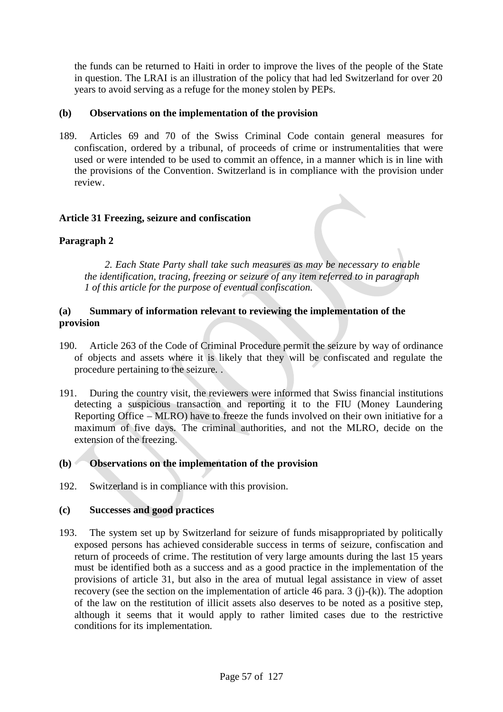the funds can be returned to Haiti in order to improve the lives of the people of the State in question. The LRAI is an illustration of the policy that had led Switzerland for over 20 years to avoid serving as a refuge for the money stolen by PEPs.

# **(b) Observations on the implementation of the provision**

189. Articles 69 and 70 of the Swiss Criminal Code contain general measures for confiscation, ordered by a tribunal, of proceeds of crime or instrumentalities that were used or were intended to be used to commit an offence, in a manner which is in line with the provisions of the Convention. Switzerland is in compliance with the provision under review.

## **Article 31 Freezing, seizure and confiscation**

# **Paragraph 2**

*2. Each State Party shall take such measures as may be necessary to enable the identification, tracing, freezing or seizure of any item referred to in paragraph 1 of this article for the purpose of eventual confiscation.*

### **(a) Summary of information relevant to reviewing the implementation of the provision**

- 190. Article 263 of the Code of Criminal Procedure permit the seizure by way of ordinance of objects and assets where it is likely that they will be confiscated and regulate the procedure pertaining to the seizure. .
- 191. During the country visit, the reviewers were informed that Swiss financial institutions detecting a suspicious transaction and reporting it to the FIU (Money Laundering Reporting Office – MLRO) have to freeze the funds involved on their own initiative for a maximum of five days. The criminal authorities, and not the MLRO, decide on the extension of the freezing.

### **(b) Observations on the implementation of the provision**

192. Switzerland is in compliance with this provision.

#### **(c) Successes and good practices**

193. The system set up by Switzerland for seizure of funds misappropriated by politically exposed persons has achieved considerable success in terms of seizure, confiscation and return of proceeds of crime. The restitution of very large amounts during the last 15 years must be identified both as a success and as a good practice in the implementation of the provisions of article 31, but also in the area of mutual legal assistance in view of asset recovery (see the section on the implementation of article 46 para. 3 (j)-(k)). The adoption of the law on the restitution of illicit assets also deserves to be noted as a positive step, although it seems that it would apply to rather limited cases due to the restrictive conditions for its implementation.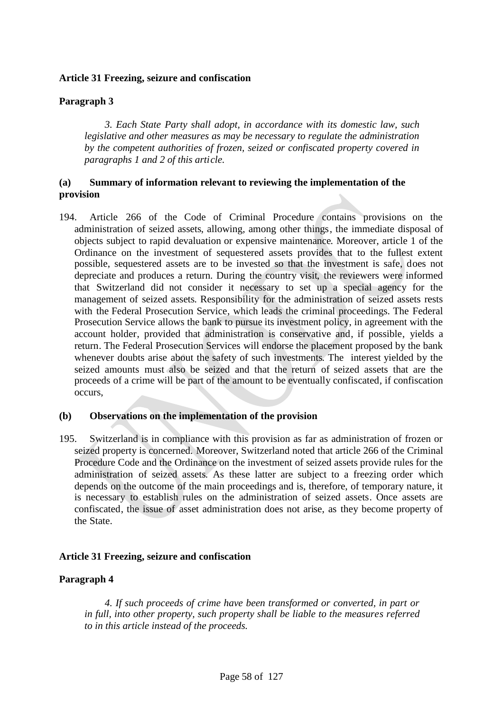### **Article 31 Freezing, seizure and confiscation**

# **Paragraph 3**

*3. Each State Party shall adopt, in accordance with its domestic law, such legislative and other measures as may be necessary to regulate the administration by the competent authorities of frozen, seized or confiscated property covered in paragraphs 1 and 2 of this article.*

## **(a) Summary of information relevant to reviewing the implementation of the provision**

194. Article 266 of the Code of Criminal Procedure contains provisions on the administration of seized assets, allowing, among other things, the immediate disposal of objects subject to rapid devaluation or expensive maintenance. Moreover, article 1 of the Ordinance on the investment of sequestered assets provides that to the fullest extent possible, sequestered assets are to be invested so that the investment is safe, does not depreciate and produces a return. During the country visit, the reviewers were informed that Switzerland did not consider it necessary to set up a special agency for the management of seized assets. Responsibility for the administration of seized assets rests with the Federal Prosecution Service, which leads the criminal proceedings. The Federal Prosecution Service allows the bank to pursue its investment policy, in agreement with the account holder, provided that administration is conservative and, if possible, yields a return. The Federal Prosecution Services will endorse the placement proposed by the bank whenever doubts arise about the safety of such investments. The interest yielded by the seized amounts must also be seized and that the return of seized assets that are the proceeds of a crime will be part of the amount to be eventually confiscated, if confiscation occurs,

#### **(b) Observations on the implementation of the provision**

195. Switzerland is in compliance with this provision as far as administration of frozen or seized property is concerned. Moreover, Switzerland noted that article 266 of the Criminal Procedure Code and the Ordinance on the investment of seized assets provide rules for the administration of seized assets. As these latter are subject to a freezing order which depends on the outcome of the main proceedings and is, therefore, of temporary nature, it is necessary to establish rules on the administration of seized assets. Once assets are confiscated, the issue of asset administration does not arise, as they become property of the State.

#### **Article 31 Freezing, seizure and confiscation**

#### **Paragraph 4**

*4. If such proceeds of crime have been transformed or converted, in part or in full, into other property, such property shall be liable to the measures referred to in this article instead of the proceeds.*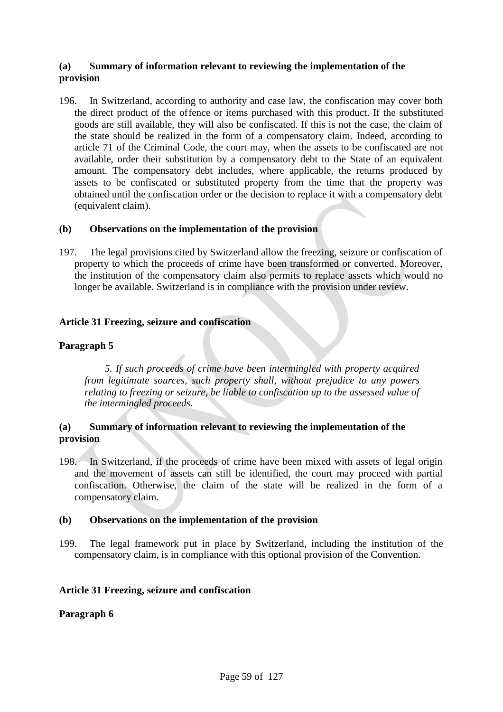# **(a) Summary of information relevant to reviewing the implementation of the provision**

196. In Switzerland, according to authority and case law, the confiscation may cover both the direct product of the offence or items purchased with this product. If the substituted goods are still available, they will also be confiscated. If this is not the case, the claim of the state should be realized in the form of a compensatory claim. Indeed, according to article 71 of the Criminal Code, the court may, when the assets to be confiscated are not available, order their substitution by a compensatory debt to the State of an equivalent amount. The compensatory debt includes, where applicable, the returns produced by assets to be confiscated or substituted property from the time that the property was obtained until the confiscation order or the decision to replace it with a compensatory debt (equivalent claim).

## **(b) Observations on the implementation of the provision**

197. The legal provisions cited by Switzerland allow the freezing, seizure or confiscation of property to which the proceeds of crime have been transformed or converted. Moreover, the institution of the compensatory claim also permits to replace assets which would no longer be available. Switzerland is in compliance with the provision under review.

## **Article 31 Freezing, seizure and confiscation**

# **Paragraph 5**

*5. If such proceeds of crime have been intermingled with property acquired from legitimate sources, such property shall, without prejudice to any powers relating to freezing or seizure, be liable to confiscation up to the assessed value of the intermingled proceeds.*

## **(a) Summary of information relevant to reviewing the implementation of the provision**

198. In Switzerland, if the proceeds of crime have been mixed with assets of legal origin and the movement of assets can still be identified, the court may proceed with partial confiscation. Otherwise, the claim of the state will be realized in the form of a compensatory claim.

#### **(b) Observations on the implementation of the provision**

199. The legal framework put in place by Switzerland, including the institution of the compensatory claim, is in compliance with this optional provision of the Convention.

#### **Article 31 Freezing, seizure and confiscation**

#### **Paragraph 6**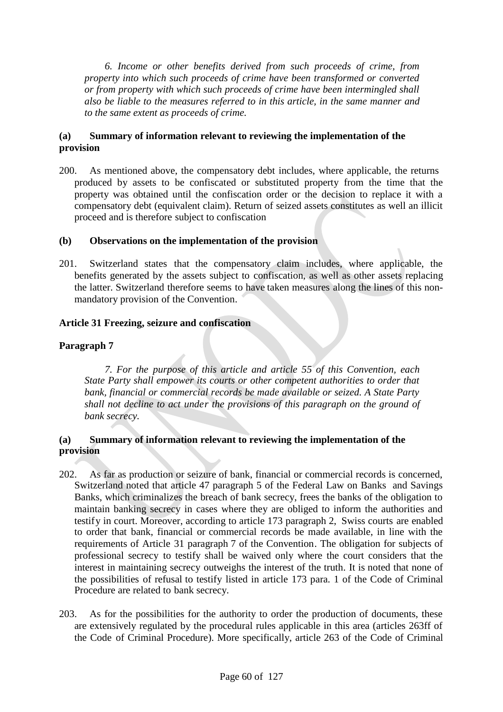*6. Income or other benefits derived from such proceeds of crime, from property into which such proceeds of crime have been transformed or converted or from property with which such proceeds of crime have been intermingled shall also be liable to the measures referred to in this article, in the same manner and to the same extent as proceeds of crime.*

# **(a) Summary of information relevant to reviewing the implementation of the provision**

200. As mentioned above, the compensatory debt includes, where applicable, the returns produced by assets to be confiscated or substituted property from the time that the property was obtained until the confiscation order or the decision to replace it with a compensatory debt (equivalent claim). Return of seized assets constitutes as well an illicit proceed and is therefore subject to confiscation

## **(b) Observations on the implementation of the provision**

201. Switzerland states that the compensatory claim includes, where applicable, the benefits generated by the assets subject to confiscation, as well as other assets replacing the latter. Switzerland therefore seems to have taken measures along the lines of this nonmandatory provision of the Convention.

## **Article 31 Freezing, seizure and confiscation**

# **Paragraph 7**

*7. For the purpose of this article and article 55 of this Convention, each State Party shall empower its courts or other competent authorities to order that bank, financial or commercial records be made available or seized. A State Party shall not decline to act under the provisions of this paragraph on the ground of bank secrecy.*

## **(a) Summary of information relevant to reviewing the implementation of the provision**

- 202. As far as production or seizure of bank, financial or commercial records is concerned, Switzerland noted that article 47 paragraph 5 of the Federal Law on Banks and Savings Banks, which criminalizes the breach of bank secrecy, frees the banks of the obligation to maintain banking secrecy in cases where they are obliged to inform the authorities and testify in court. Moreover, according to article 173 paragraph 2, Swiss courts are enabled to order that bank, financial or commercial records be made available, in line with the requirements of Article 31 paragraph 7 of the Convention. The obligation for subjects of professional secrecy to testify shall be waived only where the court considers that the interest in maintaining secrecy outweighs the interest of the truth. It is noted that none of the possibilities of refusal to testify listed in article 173 para. 1 of the Code of Criminal Procedure are related to bank secrecy.
- 203. As for the possibilities for the authority to order the production of documents, these are extensively regulated by the procedural rules applicable in this area (articles 263ff of the Code of Criminal Procedure). More specifically, article 263 of the Code of Criminal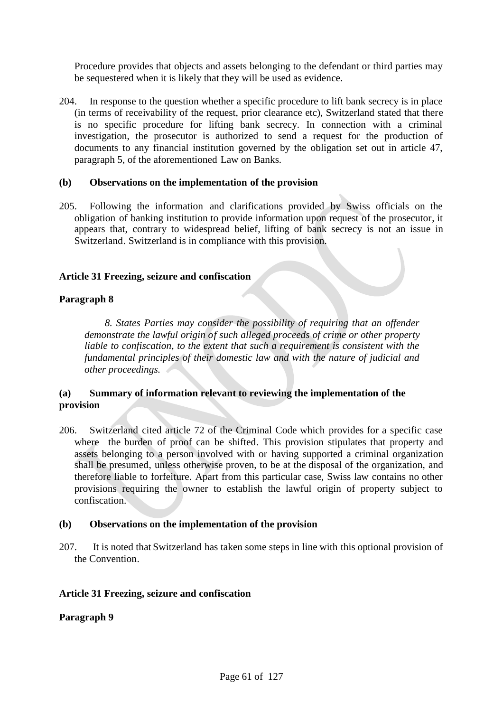Procedure provides that objects and assets belonging to the defendant or third parties may be sequestered when it is likely that they will be used as evidence.

204. In response to the question whether a specific procedure to lift bank secrecy is in place (in terms of receivability of the request, prior clearance etc), Switzerland stated that there is no specific procedure for lifting bank secrecy. In connection with a criminal investigation, the prosecutor is authorized to send a request for the production of documents to any financial institution governed by the obligation set out in article 47, paragraph 5, of the aforementioned Law on Banks.

### **(b) Observations on the implementation of the provision**

205. Following the information and clarifications provided by Swiss officials on the obligation of banking institution to provide information upon request of the prosecutor, it appears that, contrary to widespread belief, lifting of bank secrecy is not an issue in Switzerland. Switzerland is in compliance with this provision.

# **Article 31 Freezing, seizure and confiscation**

## **Paragraph 8**

*8. States Parties may consider the possibility of requiring that an offender demonstrate the lawful origin of such alleged proceeds of crime or other property liable to confiscation, to the extent that such a requirement is consistent with the fundamental principles of their domestic law and with the nature of judicial and other proceedings.*

# **(a) Summary of information relevant to reviewing the implementation of the provision**

206. Switzerland cited article 72 of the Criminal Code which provides for a specific case where the burden of proof can be shifted. This provision stipulates that property and assets belonging to a person involved with or having supported a criminal organization shall be presumed, unless otherwise proven, to be at the disposal of the organization, and therefore liable to forfeiture. Apart from this particular case, Swiss law contains no other provisions requiring the owner to establish the lawful origin of property subject to confiscation.

#### **(b) Observations on the implementation of the provision**

207. It is noted that Switzerland has taken some steps in line with this optional provision of the Convention.

# **Article 31 Freezing, seizure and confiscation**

# **Paragraph 9**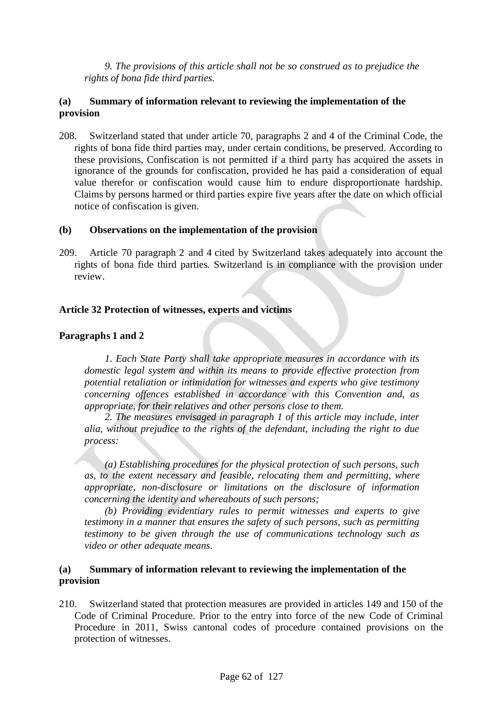*9. The provisions of this article shall not be so construed as to prejudice the rights of bona fide third parties.*

# **(a) Summary of information relevant to reviewing the implementation of the provision**

208. Switzerland stated that under article 70, paragraphs 2 and 4 of the Criminal Code, the rights of bona fide third parties may, under certain conditions, be preserved. According to these provisions, Confiscation is not permitted if a third party has acquired the assets in ignorance of the grounds for confiscation, provided he has paid a consideration of equal value therefor or confiscation would cause him to endure disproportionate hardship. Claims by persons harmed or third parties expire five years after the date on which official notice of confiscation is given.

## **(b) Observations on the implementation of the provision**

209. Article 70 paragraph 2 and 4 cited by Switzerland takes adequately into account the rights of bona fide third parties. Switzerland is in compliance with the provision under review.

## **Article 32 Protection of witnesses, experts and victims**

## **Paragraphs 1 and 2**

*1. Each State Party shall take appropriate measures in accordance with its domestic legal system and within its means to provide effective protection from potential retaliation or intimidation for witnesses and experts who give testimony concerning offences established in accordance with this Convention and, as appropriate, for their relatives and other persons close to them.*

*2. The measures envisaged in paragraph 1 of this article may include, inter alia, without prejudice to the rights of the defendant, including the right to due process:*

*(a) Establishing procedures for the physical protection of such persons, such as, to the extent necessary and feasible, relocating them and permitting, where appropriate, non-disclosure or limitations on the disclosure of information concerning the identity and whereabouts of such persons;*

*(b) Providing evidentiary rules to permit witnesses and experts to give testimony in a manner that ensures the safety of such persons, such as permitting testimony to be given through the use of communications technology such as video or other adequate means.*

## **(a) Summary of information relevant to reviewing the implementation of the provision**

210. Switzerland stated that protection measures are provided in articles 149 and 150 of the Code of Criminal Procedure. Prior to the entry into force of the new Code of Criminal Procedure in 2011, Swiss cantonal codes of procedure contained provisions on the protection of witnesses.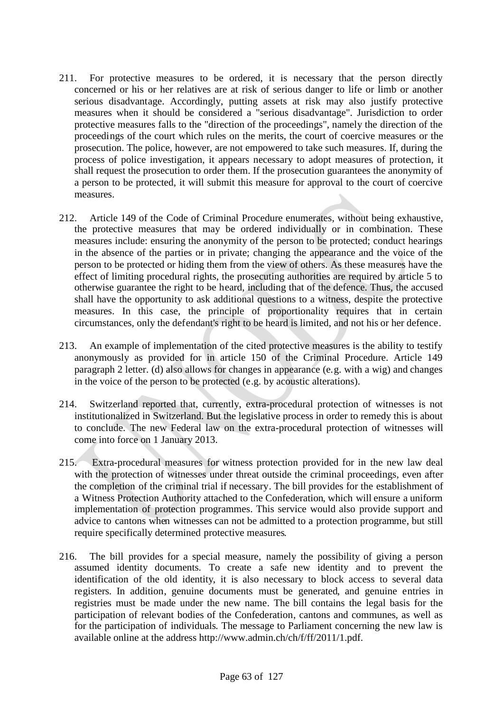- 211. For protective measures to be ordered, it is necessary that the person directly concerned or his or her relatives are at risk of serious danger to life or limb or another serious disadvantage. Accordingly, putting assets at risk may also justify protective measures when it should be considered a "serious disadvantage". Jurisdiction to order protective measures falls to the "direction of the proceedings", namely the direction of the proceedings of the court which rules on the merits, the court of coercive measures or the prosecution. The police, however, are not empowered to take such measures. If, during the process of police investigation, it appears necessary to adopt measures of protection, it shall request the prosecution to order them. If the prosecution guarantees the anonymity of a person to be protected, it will submit this measure for approval to the court of coercive measures.
- 212. Article 149 of the Code of Criminal Procedure enumerates, without being exhaustive, the protective measures that may be ordered individually or in combination. These measures include: ensuring the anonymity of the person to be protected; conduct hearings in the absence of the parties or in private; changing the appearance and the voice of the person to be protected or hiding them from the view of others. As these measures have the effect of limiting procedural rights, the prosecuting authorities are required by article 5 to otherwise guarantee the right to be heard, including that of the defence. Thus, the accused shall have the opportunity to ask additional questions to a witness, despite the protective measures. In this case, the principle of proportionality requires that in certain circumstances, only the defendant's right to be heard is limited, and not his or her defence.
- 213. An example of implementation of the cited protective measures is the ability to testify anonymously as provided for in article 150 of the Criminal Procedure. Article 149 paragraph 2 letter. (d) also allows for changes in appearance (e.g. with a wig) and changes in the voice of the person to be protected (e.g. by acoustic alterations).
- 214. Switzerland reported that, currently, extra-procedural protection of witnesses is not institutionalized in Switzerland. But the legislative process in order to remedy this is about to conclude. The new Federal law on the extra-procedural protection of witnesses will come into force on 1 January 2013.
- 215. Extra-procedural measures for witness protection provided for in the new law deal with the protection of witnesses under threat outside the criminal proceedings, even after the completion of the criminal trial if necessary. The bill provides for the establishment of a Witness Protection Authority attached to the Confederation, which will ensure a uniform implementation of protection programmes. This service would also provide support and advice to cantons when witnesses can not be admitted to a protection programme, but still require specifically determined protective measures.
- 216. The bill provides for a special measure, namely the possibility of giving a person assumed identity documents. To create a safe new identity and to prevent the identification of the old identity, it is also necessary to block access to several data registers. In addition, genuine documents must be generated, and genuine entries in registries must be made under the new name. The bill contains the legal basis for the participation of relevant bodies of the Confederation, cantons and communes, as well as for the participation of individuals. The message to Parliament concerning the new law is available online at the address http://www.admin.ch/ch/f/ff/2011/1.pdf.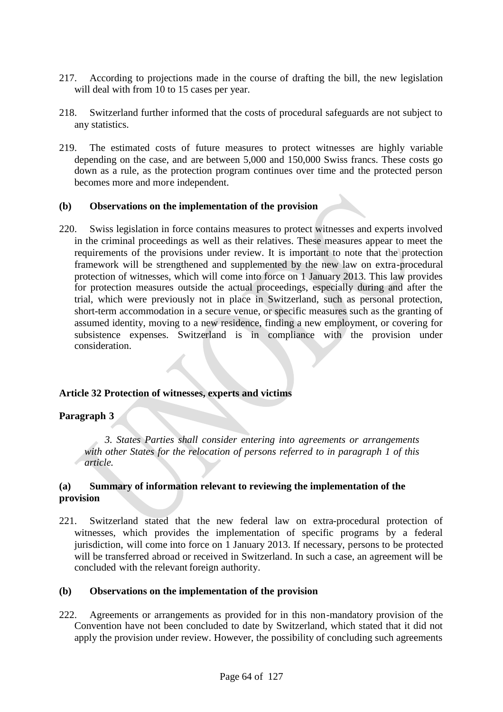- 217. According to projections made in the course of drafting the bill, the new legislation will deal with from 10 to 15 cases per year.
- 218. Switzerland further informed that the costs of procedural safeguards are not subject to any statistics.
- 219. The estimated costs of future measures to protect witnesses are highly variable depending on the case, and are between 5,000 and 150,000 Swiss francs. These costs go down as a rule, as the protection program continues over time and the protected person becomes more and more independent.

#### **(b) Observations on the implementation of the provision**

220. Swiss legislation in force contains measures to protect witnesses and experts involved in the criminal proceedings as well as their relatives. These measures appear to meet the requirements of the provisions under review. It is important to note that the protection framework will be strengthened and supplemented by the new law on extra-procedural protection of witnesses, which will come into force on 1 January 2013. This law provides for protection measures outside the actual proceedings, especially during and after the trial, which were previously not in place in Switzerland, such as personal protection, short-term accommodation in a secure venue, or specific measures such as the granting of assumed identity, moving to a new residence, finding a new employment, or covering for subsistence expenses. Switzerland is in compliance with the provision under consideration.

#### **Article 32 Protection of witnesses, experts and victims**

#### **Paragraph 3**

*3. States Parties shall consider entering into agreements or arrangements with other States for the relocation of persons referred to in paragraph 1 of this article.*

# **(a) Summary of information relevant to reviewing the implementation of the provision**

221. Switzerland stated that the new federal law on extra-procedural protection of witnesses, which provides the implementation of specific programs by a federal jurisdiction, will come into force on 1 January 2013. If necessary, persons to be protected will be transferred abroad or received in Switzerland. In such a case, an agreement will be concluded with the relevant foreign authority.

#### **(b) Observations on the implementation of the provision**

222. Agreements or arrangements as provided for in this non-mandatory provision of the Convention have not been concluded to date by Switzerland, which stated that it did not apply the provision under review. However, the possibility of concluding such agreements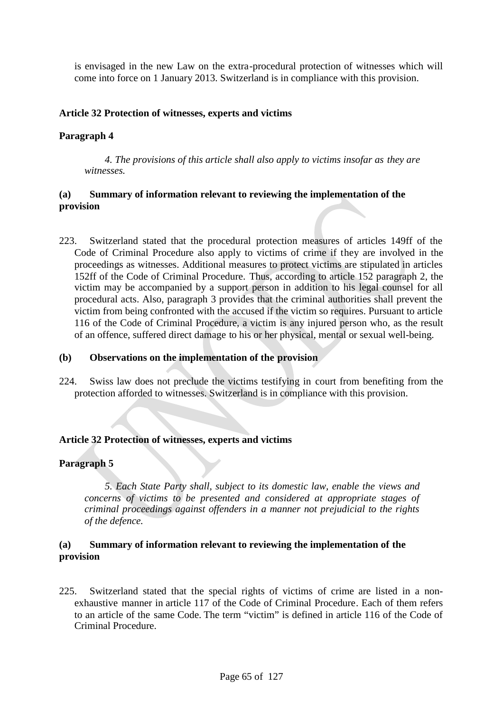is envisaged in the new Law on the extra-procedural protection of witnesses which will come into force on 1 January 2013. Switzerland is in compliance with this provision.

# **Article 32 Protection of witnesses, experts and victims**

### **Paragraph 4**

*4. The provisions of this article shall also apply to victims insofar as they are witnesses.*

# **(a) Summary of information relevant to reviewing the implementation of the provision**

223. Switzerland stated that the procedural protection measures of articles 149ff of the Code of Criminal Procedure also apply to victims of crime if they are involved in the proceedings as witnesses. Additional measures to protect victims are stipulated in articles 152ff of the Code of Criminal Procedure. Thus, according to article 152 paragraph 2, the victim may be accompanied by a support person in addition to his legal counsel for all procedural acts. Also, paragraph 3 provides that the criminal authorities shall prevent the victim from being confronted with the accused if the victim so requires. Pursuant to article 116 of the Code of Criminal Procedure, a victim is any injured person who, as the result of an offence, suffered direct damage to his or her physical, mental or sexual well-being.

#### **(b) Observations on the implementation of the provision**

224. Swiss law does not preclude the victims testifying in court from benefiting from the protection afforded to witnesses. Switzerland is in compliance with this provision.

#### **Article 32 Protection of witnesses, experts and victims**

#### **Paragraph 5**

*5. Each State Party shall, subject to its domestic law, enable the views and concerns of victims to be presented and considered at appropriate stages of criminal proceedings against offenders in a manner not prejudicial to the rights of the defence.*

## **(a) Summary of information relevant to reviewing the implementation of the provision**

225. Switzerland stated that the special rights of victims of crime are listed in a nonexhaustive manner in article 117 of the Code of Criminal Procedure. Each of them refers to an article of the same Code. The term "victim" is defined in article 116 of the Code of Criminal Procedure.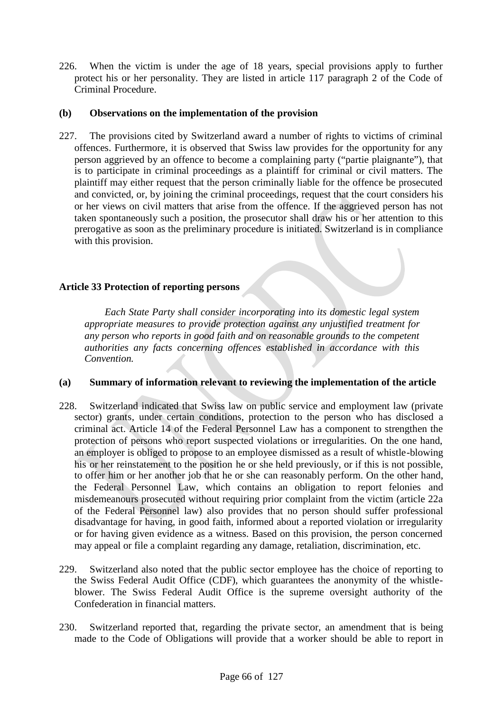226. When the victim is under the age of 18 years, special provisions apply to further protect his or her personality. They are listed in article 117 paragraph 2 of the Code of Criminal Procedure.

# **(b) Observations on the implementation of the provision**

227. The provisions cited by Switzerland award a number of rights to victims of criminal offences. Furthermore, it is observed that Swiss law provides for the opportunity for any person aggrieved by an offence to become a complaining party ("partie plaignante"), that is to participate in criminal proceedings as a plaintiff for criminal or civil matters. The plaintiff may either request that the person criminally liable for the offence be prosecuted and convicted, or, by joining the criminal proceedings, request that the court considers his or her views on civil matters that arise from the offence. If the aggrieved person has not taken spontaneously such a position, the prosecutor shall draw his or her attention to this prerogative as soon as the preliminary procedure is initiated. Switzerland is in compliance with this provision.

## **Article 33 Protection of reporting persons**

*Each State Party shall consider incorporating into its domestic legal system appropriate measures to provide protection against any unjustified treatment for any person who reports in good faith and on reasonable grounds to the competent authorities any facts concerning offences established in accordance with this Convention.*

#### **(a) Summary of information relevant to reviewing the implementation of the article**

- 228. Switzerland indicated that Swiss law on public service and employment law (private sector) grants, under certain conditions, protection to the person who has disclosed a criminal act. Article 14 of the Federal Personnel Law has a component to strengthen the protection of persons who report suspected violations or irregularities. On the one hand, an employer is obliged to propose to an employee dismissed as a result of whistle-blowing his or her reinstatement to the position he or she held previously, or if this is not possible, to offer him or her another job that he or she can reasonably perform. On the other hand, the Federal Personnel Law, which contains an obligation to report felonies and misdemeanours prosecuted without requiring prior complaint from the victim (article 22a of the Federal Personnel law) also provides that no person should suffer professional disadvantage for having, in good faith, informed about a reported violation or irregularity or for having given evidence as a witness. Based on this provision, the person concerned may appeal or file a complaint regarding any damage, retaliation, discrimination, etc.
- 229. Switzerland also noted that the public sector employee has the choice of reporting to the Swiss Federal Audit Office (CDF), which guarantees the anonymity of the whistleblower. The Swiss Federal Audit Office is the supreme oversight authority of the Confederation in financial matters.
- 230. Switzerland reported that, regarding the private sector, an amendment that is being made to the Code of Obligations will provide that a worker should be able to report in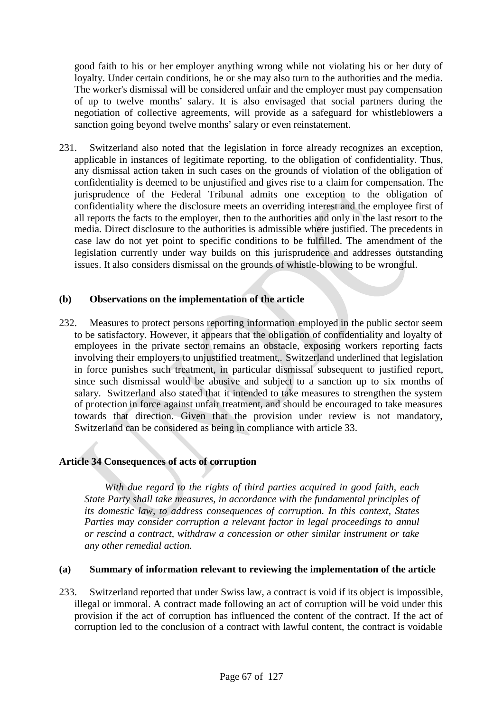good faith to his or her employer anything wrong while not violating his or her duty of loyalty. Under certain conditions, he or she may also turn to the authorities and the media. The worker's dismissal will be considered unfair and the employer must pay compensation of up to twelve months' salary. It is also envisaged that social partners during the negotiation of collective agreements, will provide as a safeguard for whistleblowers a sanction going beyond twelve months' salary or even reinstatement.

231. Switzerland also noted that the legislation in force already recognizes an exception, applicable in instances of legitimate reporting, to the obligation of confidentiality. Thus, any dismissal action taken in such cases on the grounds of violation of the obligation of confidentiality is deemed to be unjustified and gives rise to a claim for compensation. The jurisprudence of the Federal Tribunal admits one exception to the obligation of confidentiality where the disclosure meets an overriding interest and the employee first of all reports the facts to the employer, then to the authorities and only in the last resort to the media. Direct disclosure to the authorities is admissible where justified. The precedents in case law do not yet point to specific conditions to be fulfilled. The amendment of the legislation currently under way builds on this jurisprudence and addresses outstanding issues. It also considers dismissal on the grounds of whistle-blowing to be wrongful.

#### **(b) Observations on the implementation of the article**

232. Measures to protect persons reporting information employed in the public sector seem to be satisfactory. However, it appears that the obligation of confidentiality and loyalty of employees in the private sector remains an obstacle, exposing workers reporting facts involving their employers to unjustified treatment,. Switzerland underlined that legislation in force punishes such treatment, in particular dismissal subsequent to justified report, since such dismissal would be abusive and subject to a sanction up to six months of salary. Switzerland also stated that it intended to take measures to strengthen the system of protection in force against unfair treatment, and should be encouraged to take measures towards that direction. Given that the provision under review is not mandatory, Switzerland can be considered as being in compliance with article 33.

# **Article 34 Consequences of acts of corruption**

*With due regard to the rights of third parties acquired in good faith, each State Party shall take measures, in accordance with the fundamental principles of its domestic law, to address consequences of corruption. In this context, States Parties may consider corruption a relevant factor in legal proceedings to annul or rescind a contract, withdraw a concession or other similar instrument or take any other remedial action.*

#### **(a) Summary of information relevant to reviewing the implementation of the article**

233. Switzerland reported that under Swiss law, a contract is void if its object is impossible, illegal or immoral. A contract made following an act of corruption will be void under this provision if the act of corruption has influenced the content of the contract. If the act of corruption led to the conclusion of a contract with lawful content, the contract is voidable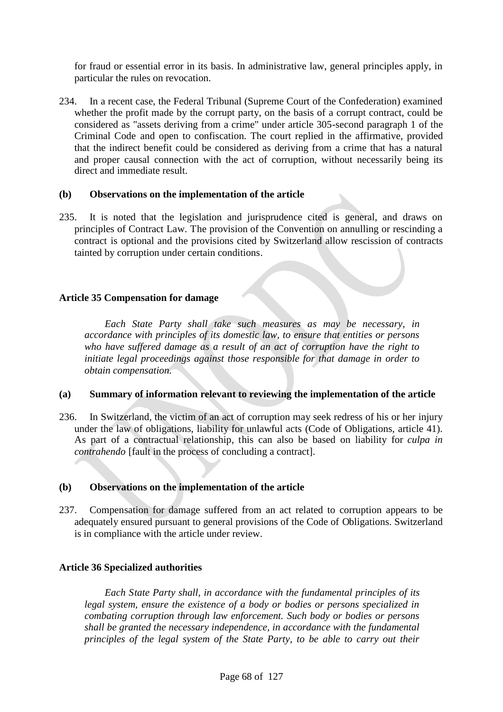for fraud or essential error in its basis. In administrative law, general principles apply, in particular the rules on revocation.

234. In a recent case, the Federal Tribunal (Supreme Court of the Confederation) examined whether the profit made by the corrupt party, on the basis of a corrupt contract, could be considered as "assets deriving from a crime" under article 305-second paragraph 1 of the Criminal Code and open to confiscation. The court replied in the affirmative, provided that the indirect benefit could be considered as deriving from a crime that has a natural and proper causal connection with the act of corruption, without necessarily being its direct and immediate result.

## **(b) Observations on the implementation of the article**

235. It is noted that the legislation and jurisprudence cited is general, and draws on principles of Contract Law. The provision of the Convention on annulling or rescinding a contract is optional and the provisions cited by Switzerland allow rescission of contracts tainted by corruption under certain conditions.

## **Article 35 Compensation for damage**

*Each State Party shall take such measures as may be necessary, in accordance with principles of its domestic law, to ensure that entities or persons who have suffered damage as a result of an act of corruption have the right to initiate legal proceedings against those responsible for that damage in order to obtain compensation.*

#### **(a) Summary of information relevant to reviewing the implementation of the article**

236. In Switzerland, the victim of an act of corruption may seek redress of his or her injury under the law of obligations, liability for unlawful acts (Code of Obligations, article 41). As part of a contractual relationship, this can also be based on liability for *culpa in contrahendo* [fault in the process of concluding a contract].

#### **(b) Observations on the implementation of the article**

237. Compensation for damage suffered from an act related to corruption appears to be adequately ensured pursuant to general provisions of the Code of Obligations. Switzerland is in compliance with the article under review.

#### **Article 36 Specialized authorities**

*Each State Party shall, in accordance with the fundamental principles of its legal system, ensure the existence of a body or bodies or persons specialized in combating corruption through law enforcement. Such body or bodies or persons shall be granted the necessary independence, in accordance with the fundamental principles of the legal system of the State Party, to be able to carry out their*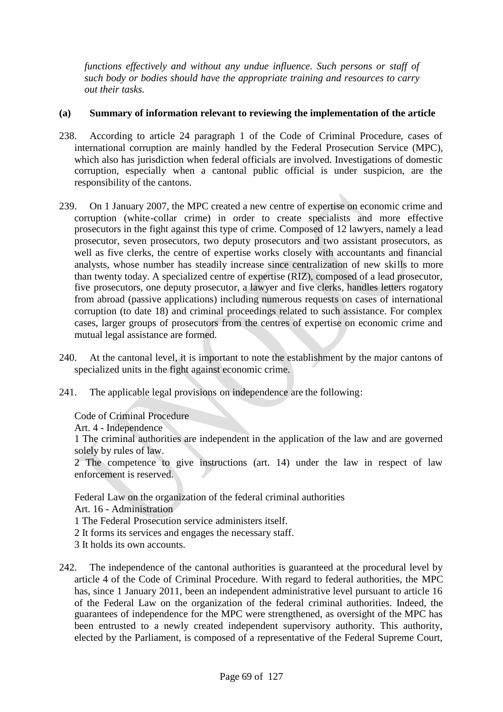*functions effectively and without any undue influence. Such persons or staff of such body or bodies should have the appropriate training and resources to carry out their tasks.*

# **(a) Summary of information relevant to reviewing the implementation of the article**

- 238. According to article 24 paragraph 1 of the Code of Criminal Procedure, cases of international corruption are mainly handled by the Federal Prosecution Service (MPC), which also has jurisdiction when federal officials are involved. Investigations of domestic corruption, especially when a cantonal public official is under suspicion, are the responsibility of the cantons.
- 239. On 1 January 2007, the MPC created a new centre of expertise on economic crime and corruption (white-collar crime) in order to create specialists and more effective prosecutors in the fight against this type of crime. Composed of 12 lawyers, namely a lead prosecutor, seven prosecutors, two deputy prosecutors and two assistant prosecutors, as well as five clerks, the centre of expertise works closely with accountants and financial analysts, whose number has steadily increase since centralization of new skills to more than twenty today. A specialized centre of expertise (RIZ), composed of a lead prosecutor, five prosecutors, one deputy prosecutor, a lawyer and five clerks, handles letters rogatory from abroad (passive applications) including numerous requests on cases of international corruption (to date 18) and criminal proceedings related to such assistance. For complex cases, larger groups of prosecutors from the centres of expertise on economic crime and mutual legal assistance are formed.
- 240. At the cantonal level, it is important to note the establishment by the major cantons of specialized units in the fight against economic crime.
- 241. The applicable legal provisions on independence are the following:

Code of Criminal Procedure

Art. 4 - Independence

1 The criminal authorities are independent in the application of the law and are governed solely by rules of law.

2 The competence to give instructions (art. 14) under the law in respect of law enforcement is reserved.

Federal Law on the organization of the federal criminal authorities

Art. 16 - Administration

1 The Federal Prosecution service administers itself.

- 2 It forms its services and engages the necessary staff.
- 3 It holds its own accounts.
- 242. The independence of the cantonal authorities is guaranteed at the procedural level by article 4 of the Code of Criminal Procedure. With regard to federal authorities, the MPC has, since 1 January 2011, been an independent administrative level pursuant to article 16 of the Federal Law on the organization of the federal criminal authorities. Indeed, the guarantees of independence for the MPC were strengthened, as oversight of the MPC has been entrusted to a newly created independent supervisory authority. This authority, elected by the Parliament, is composed of a representative of the Federal Supreme Court,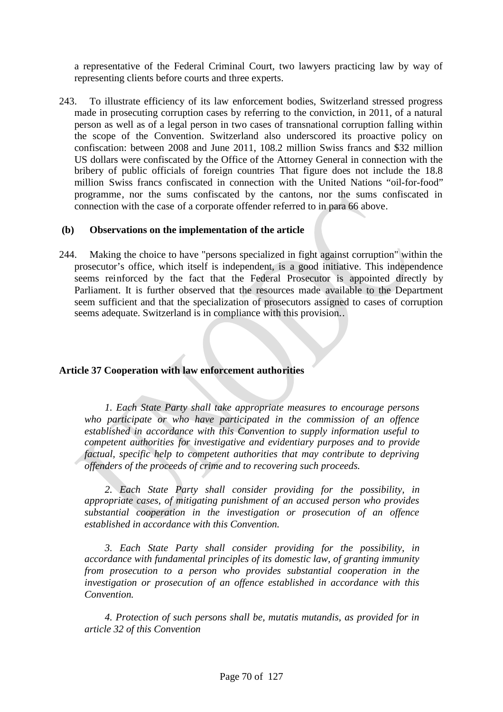a representative of the Federal Criminal Court, two lawyers practicing law by way of representing clients before courts and three experts.

243. To illustrate efficiency of its law enforcement bodies, Switzerland stressed progress made in prosecuting corruption cases by referring to the conviction, in 2011, of a natural person as well as of a legal person in two cases of transnational corruption falling within the scope of the Convention. Switzerland also underscored its proactive policy on confiscation: between 2008 and June 2011, 108.2 million Swiss francs and \$32 million US dollars were confiscated by the Office of the Attorney General in connection with the bribery of public officials of foreign countries That figure does not include the 18.8 million Swiss francs confiscated in connection with the United Nations "oil-for-food" programme, nor the sums confiscated by the cantons, nor the sums confiscated in connection with the case of a corporate offender referred to in para 66 above.

## **(b) Observations on the implementation of the article**

244. Making the choice to have "persons specialized in fight against corruption" within the prosecutor's office, which itself is independent, is a good initiative. This independence seems reinforced by the fact that the Federal Prosecutor is appointed directly by Parliament. It is further observed that the resources made available to the Department seem sufficient and that the specialization of prosecutors assigned to cases of corruption seems adequate. Switzerland is in compliance with this provision..

# **Article 37 Cooperation with law enforcement authorities**

*1. Each State Party shall take appropriate measures to encourage persons who participate or who have participated in the commission of an offence established in accordance with this Convention to supply information useful to competent authorities for investigative and evidentiary purposes and to provide factual, specific help to competent authorities that may contribute to depriving offenders of the proceeds of crime and to recovering such proceeds.*

*2. Each State Party shall consider providing for the possibility, in appropriate cases, of mitigating punishment of an accused person who provides substantial cooperation in the investigation or prosecution of an offence established in accordance with this Convention.*

*3. Each State Party shall consider providing for the possibility, in accordance with fundamental principles of its domestic law, of granting immunity from prosecution to a person who provides substantial cooperation in the investigation or prosecution of an offence established in accordance with this Convention.*

*4. Protection of such persons shall be, mutatis mutandis, as provided for in article 32 of this Convention*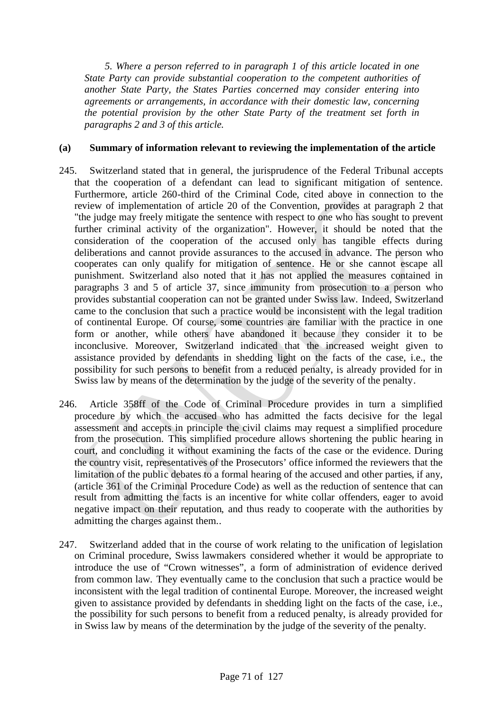*5. Where a person referred to in paragraph 1 of this article located in one State Party can provide substantial cooperation to the competent authorities of another State Party, the States Parties concerned may consider entering into agreements or arrangements, in accordance with their domestic law, concerning the potential provision by the other State Party of the treatment set forth in paragraphs 2 and 3 of this article.*

## **(a) Summary of information relevant to reviewing the implementation of the article**

- 245. Switzerland stated that in general, the jurisprudence of the Federal Tribunal accepts that the cooperation of a defendant can lead to significant mitigation of sentence. Furthermore, article 260-third of the Criminal Code, cited above in connection to the review of implementation of article 20 of the Convention, provides at paragraph 2 that "the judge may freely mitigate the sentence with respect to one who has sought to prevent further criminal activity of the organization". However, it should be noted that the consideration of the cooperation of the accused only has tangible effects during deliberations and cannot provide assurances to the accused in advance. The person who cooperates can only qualify for mitigation of sentence. He or she cannot escape all punishment. Switzerland also noted that it has not applied the measures contained in paragraphs 3 and 5 of article 37, since immunity from prosecution to a person who provides substantial cooperation can not be granted under Swiss law. Indeed, Switzerland came to the conclusion that such a practice would be inconsistent with the legal tradition of continental Europe. Of course, some countries are familiar with the practice in one form or another, while others have abandoned it because they consider it to be inconclusive. Moreover, Switzerland indicated that the increased weight given to assistance provided by defendants in shedding light on the facts of the case, i.e., the possibility for such persons to benefit from a reduced penalty, is already provided for in Swiss law by means of the determination by the judge of the severity of the penalty.
- 246. Article 358ff of the Code of Criminal Procedure provides in turn a simplified procedure by which the accused who has admitted the facts decisive for the legal assessment and accepts in principle the civil claims may request a simplified procedure from the prosecution. This simplified procedure allows shortening the public hearing in court, and concluding it without examining the facts of the case or the evidence. During the country visit, representatives of the Prosecutors' office informed the reviewers that the limitation of the public debates to a formal hearing of the accused and other parties, if any, (article 361 of the Criminal Procedure Code) as well as the reduction of sentence that can result from admitting the facts is an incentive for white collar offenders, eager to avoid negative impact on their reputation, and thus ready to cooperate with the authorities by admitting the charges against them..
- 247. Switzerland added that in the course of work relating to the unification of legislation on Criminal procedure, Swiss lawmakers considered whether it would be appropriate to introduce the use of "Crown witnesses", a form of administration of evidence derived from common law. They eventually came to the conclusion that such a practice would be inconsistent with the legal tradition of continental Europe. Moreover, the increased weight given to assistance provided by defendants in shedding light on the facts of the case, i.e., the possibility for such persons to benefit from a reduced penalty, is already provided for in Swiss law by means of the determination by the judge of the severity of the penalty.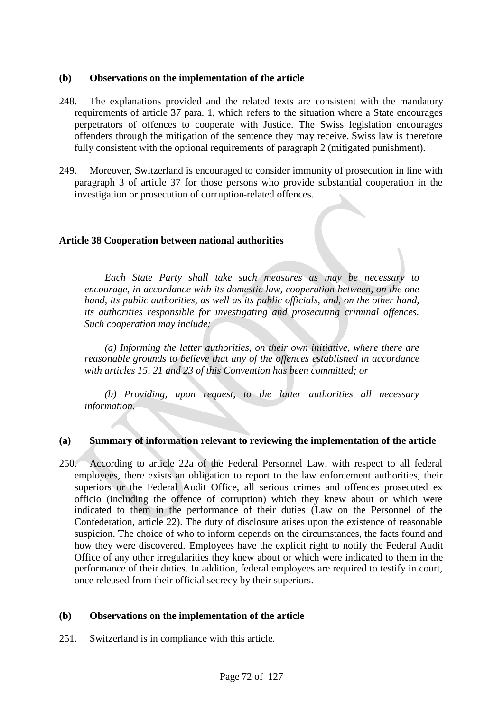#### **(b) Observations on the implementation of the article**

- 248. The explanations provided and the related texts are consistent with the mandatory requirements of article 37 para. 1, which refers to the situation where a State encourages perpetrators of offences to cooperate with Justice. The Swiss legislation encourages offenders through the mitigation of the sentence they may receive. Swiss law is therefore fully consistent with the optional requirements of paragraph 2 (mitigated punishment).
- 249. Moreover, Switzerland is encouraged to consider immunity of prosecution in line with paragraph 3 of article 37 for those persons who provide substantial cooperation in the investigation or prosecution of corruption-related offences.

#### **Article 38 Cooperation between national authorities**

*Each State Party shall take such measures as may be necessary to encourage, in accordance with its domestic law, cooperation between, on the one hand, its public authorities, as well as its public officials, and, on the other hand, its authorities responsible for investigating and prosecuting criminal offences. Such cooperation may include:*

*(a) Informing the latter authorities, on their own initiative, where there are reasonable grounds to believe that any of the offences established in accordance with articles 15, 21 and 23 of this Convention has been committed; or*

*(b) Providing, upon request, to the latter authorities all necessary information.*

#### **(a) Summary of information relevant to reviewing the implementation of the article**

250. According to article 22a of the Federal Personnel Law, with respect to all federal employees, there exists an obligation to report to the law enforcement authorities, their superiors or the Federal Audit Office, all serious crimes and offences prosecuted ex officio (including the offence of corruption) which they knew about or which were indicated to them in the performance of their duties (Law on the Personnel of the Confederation, article 22). The duty of disclosure arises upon the existence of reasonable suspicion. The choice of who to inform depends on the circumstances, the facts found and how they were discovered. Employees have the explicit right to notify the Federal Audit Office of any other irregularities they knew about or which were indicated to them in the performance of their duties. In addition, federal employees are required to testify in court, once released from their official secrecy by their superiors.

#### **(b) Observations on the implementation of the article**

251. Switzerland is in compliance with this article.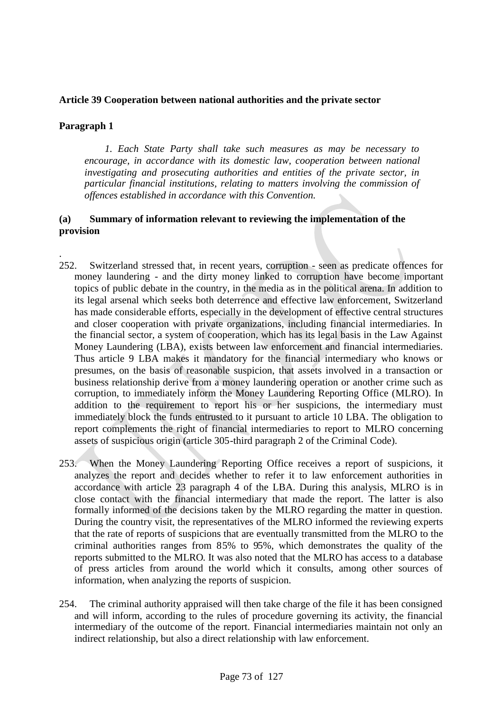# **Article 39 Cooperation between national authorities and the private sector**

# **Paragraph 1**

.

*1. Each State Party shall take such measures as may be necessary to encourage, in accordance with its domestic law, cooperation between national investigating and prosecuting authorities and entities of the private sector, in particular financial institutions, relating to matters involving the commission of offences established in accordance with this Convention.*

- 252. Switzerland stressed that, in recent years, corruption seen as predicate offences for money laundering - and the dirty money linked to corruption have become important topics of public debate in the country, in the media as in the political arena. In addition to its legal arsenal which seeks both deterrence and effective law enforcement, Switzerland has made considerable efforts, especially in the development of effective central structures and closer cooperation with private organizations, including financial intermediaries. In the financial sector, a system of cooperation, which has its legal basis in the Law Against Money Laundering (LBA), exists between law enforcement and financial intermediaries. Thus article 9 LBA makes it mandatory for the financial intermediary who knows or presumes, on the basis of reasonable suspicion, that assets involved in a transaction or business relationship derive from a money laundering operation or another crime such as corruption, to immediately inform the Money Laundering Reporting Office (MLRO). In addition to the requirement to report his or her suspicions, the intermediary must immediately block the funds entrusted to it pursuant to article 10 LBA. The obligation to report complements the right of financial intermediaries to report to MLRO concerning assets of suspicious origin (article 305-third paragraph 2 of the Criminal Code).
- 253. When the Money Laundering Reporting Office receives a report of suspicions, it analyzes the report and decides whether to refer it to law enforcement authorities in accordance with article 23 paragraph 4 of the LBA. During this analysis, MLRO is in close contact with the financial intermediary that made the report. The latter is also formally informed of the decisions taken by the MLRO regarding the matter in question. During the country visit, the representatives of the MLRO informed the reviewing experts that the rate of reports of suspicions that are eventually transmitted from the MLRO to the criminal authorities ranges from 85% to 95%, which demonstrates the quality of the reports submitted to the MLRO. It was also noted that the MLRO has access to a database of press articles from around the world which it consults, among other sources of information, when analyzing the reports of suspicion.
- 254. The criminal authority appraised will then take charge of the file it has been consigned and will inform, according to the rules of procedure governing its activity, the financial intermediary of the outcome of the report. Financial intermediaries maintain not only an indirect relationship, but also a direct relationship with law enforcement.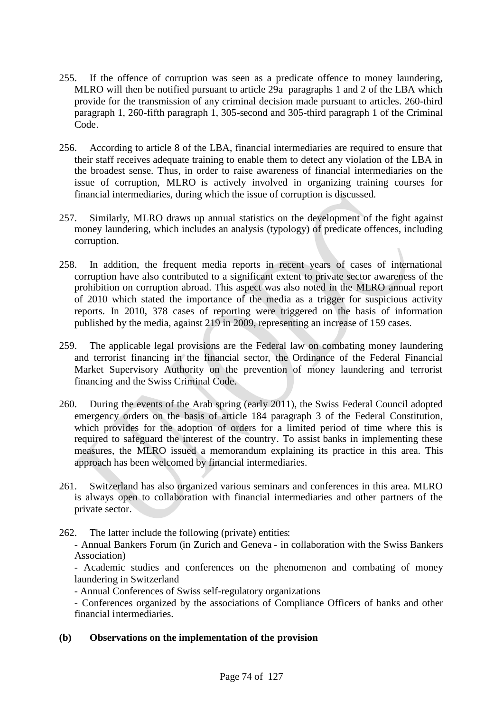- 255. If the offence of corruption was seen as a predicate offence to money laundering, MLRO will then be notified pursuant to article 29a paragraphs 1 and 2 of the LBA which provide for the transmission of any criminal decision made pursuant to articles. 260-third paragraph 1, 260-fifth paragraph 1, 305-second and 305-third paragraph 1 of the Criminal Code.
- 256. According to article 8 of the LBA, financial intermediaries are required to ensure that their staff receives adequate training to enable them to detect any violation of the LBA in the broadest sense. Thus, in order to raise awareness of financial intermediaries on the issue of corruption, MLRO is actively involved in organizing training courses for financial intermediaries, during which the issue of corruption is discussed.
- 257. Similarly, MLRO draws up annual statistics on the development of the fight against money laundering, which includes an analysis (typology) of predicate offences, including corruption.
- 258. In addition, the frequent media reports in recent years of cases of international corruption have also contributed to a significant extent to private sector awareness of the prohibition on corruption abroad. This aspect was also noted in the MLRO annual report of 2010 which stated the importance of the media as a trigger for suspicious activity reports. In 2010, 378 cases of reporting were triggered on the basis of information published by the media, against 219 in 2009, representing an increase of 159 cases.
- 259. The applicable legal provisions are the Federal law on combating money laundering and terrorist financing in the financial sector, the Ordinance of the Federal Financial Market Supervisory Authority on the prevention of money laundering and terrorist financing and the Swiss Criminal Code.
- 260. During the events of the Arab spring (early 2011), the Swiss Federal Council adopted emergency orders on the basis of article 184 paragraph 3 of the Federal Constitution, which provides for the adoption of orders for a limited period of time where this is required to safeguard the interest of the country. To assist banks in implementing these measures, the MLRO issued a memorandum explaining its practice in this area. This approach has been welcomed by financial intermediaries.
- 261. Switzerland has also organized various seminars and conferences in this area. MLRO is always open to collaboration with financial intermediaries and other partners of the private sector.
- 262. The latter include the following (private) entities:
	- Annual Bankers Forum (in Zurich and Geneva in collaboration with the Swiss Bankers Association)

- Academic studies and conferences on the phenomenon and combating of money laundering in Switzerland

- Annual Conferences of Swiss self-regulatory organizations

- Conferences organized by the associations of Compliance Officers of banks and other financial intermediaries.

**(b) Observations on the implementation of the provision**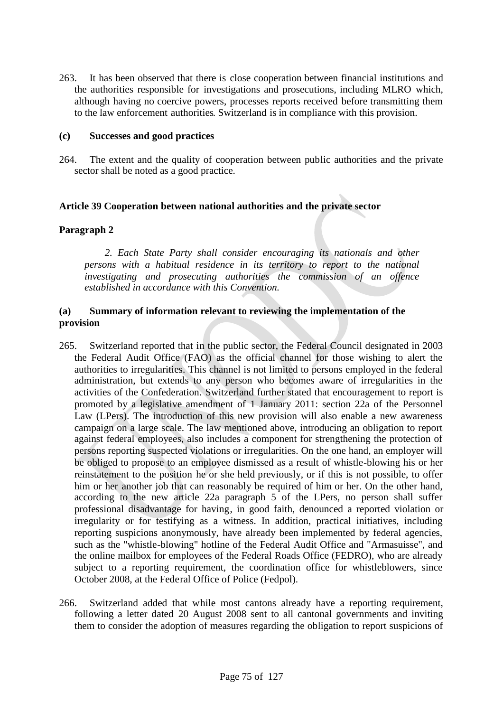263. It has been observed that there is close cooperation between financial institutions and the authorities responsible for investigations and prosecutions, including MLRO which, although having no coercive powers, processes reports received before transmitting them to the law enforcement authorities. Switzerland is in compliance with this provision.

#### **(c) Successes and good practices**

264. The extent and the quality of cooperation between public authorities and the private sector shall be noted as a good practice.

### **Article 39 Cooperation between national authorities and the private sector**

# **Paragraph 2**

*2. Each State Party shall consider encouraging its nationals and other persons with a habitual residence in its territory to report to the national investigating and prosecuting authorities the commission of an offence established in accordance with this Convention.*

- 265. Switzerland reported that in the public sector, the Federal Council designated in 2003 the Federal Audit Office (FAO) as the official channel for those wishing to alert the authorities to irregularities. This channel is not limited to persons employed in the federal administration, but extends to any person who becomes aware of irregularities in the activities of the Confederation. Switzerland further stated that encouragement to report is promoted by a legislative amendment of 1 January 2011: section 22a of the Personnel Law (LPers). The introduction of this new provision will also enable a new awareness campaign on a large scale. The law mentioned above, introducing an obligation to report against federal employees, also includes a component for strengthening the protection of persons reporting suspected violations or irregularities. On the one hand, an employer will be obliged to propose to an employee dismissed as a result of whistle-blowing his or her reinstatement to the position he or she held previously, or if this is not possible, to offer him or her another job that can reasonably be required of him or her. On the other hand, according to the new article 22a paragraph 5 of the LPers, no person shall suffer professional disadvantage for having, in good faith, denounced a reported violation or irregularity or for testifying as a witness. In addition, practical initiatives, including reporting suspicions anonymously, have already been implemented by federal agencies, such as the "whistle-blowing" hotline of the Federal Audit Office and "Armasuisse", and the online mailbox for employees of the Federal Roads Office (FEDRO), who are already subject to a reporting requirement, the coordination office for whistleblowers, since October 2008, at the Federal Office of Police (Fedpol).
- 266. Switzerland added that while most cantons already have a reporting requirement, following a letter dated 20 August 2008 sent to all cantonal governments and inviting them to consider the adoption of measures regarding the obligation to report suspicions of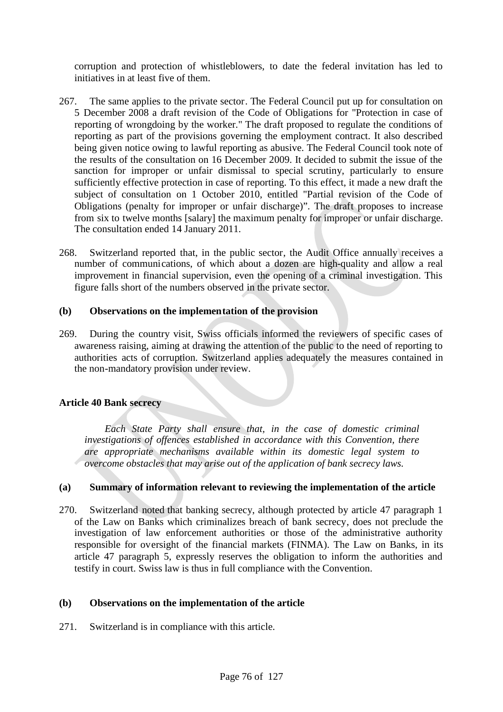corruption and protection of whistleblowers, to date the federal invitation has led to initiatives in at least five of them.

- 267. The same applies to the private sector. The Federal Council put up for consultation on 5 December 2008 a draft revision of the Code of Obligations for "Protection in case of reporting of wrongdoing by the worker." The draft proposed to regulate the conditions of reporting as part of the provisions governing the employment contract. It also described being given notice owing to lawful reporting as abusive. The Federal Council took note of the results of the consultation on 16 December 2009. It decided to submit the issue of the sanction for improper or unfair dismissal to special scrutiny, particularly to ensure sufficiently effective protection in case of reporting. To this effect, it made a new draft the subject of consultation on 1 October 2010, entitled "Partial revision of the Code of Obligations (penalty for improper or unfair discharge)". The draft proposes to increase from six to twelve months [salary] the maximum penalty for improper or unfair discharge. The consultation ended 14 January 2011.
- 268. Switzerland reported that, in the public sector, the Audit Office annually receives a number of communications, of which about a dozen are high-quality and allow a real improvement in financial supervision, even the opening of a criminal investigation. This figure falls short of the numbers observed in the private sector.

### **(b) Observations on the implementation of the provision**

269. During the country visit, Swiss officials informed the reviewers of specific cases of awareness raising, aiming at drawing the attention of the public to the need of reporting to authorities acts of corruption. Switzerland applies adequately the measures contained in the non-mandatory provision under review.

# **Article 40 Bank secrecy**

*Each State Party shall ensure that, in the case of domestic criminal investigations of offences established in accordance with this Convention, there are appropriate mechanisms available within its domestic legal system to overcome obstacles that may arise out of the application of bank secrecy laws.*

### **(a) Summary of information relevant to reviewing the implementation of the article**

270. Switzerland noted that banking secrecy, although protected by article 47 paragraph 1 of the Law on Banks which criminalizes breach of bank secrecy, does not preclude the investigation of law enforcement authorities or those of the administrative authority responsible for oversight of the financial markets (FINMA). The Law on Banks, in its article 47 paragraph 5, expressly reserves the obligation to inform the authorities and testify in court. Swiss law is thus in full compliance with the Convention.

### **(b) Observations on the implementation of the article**

271. Switzerland is in compliance with this article.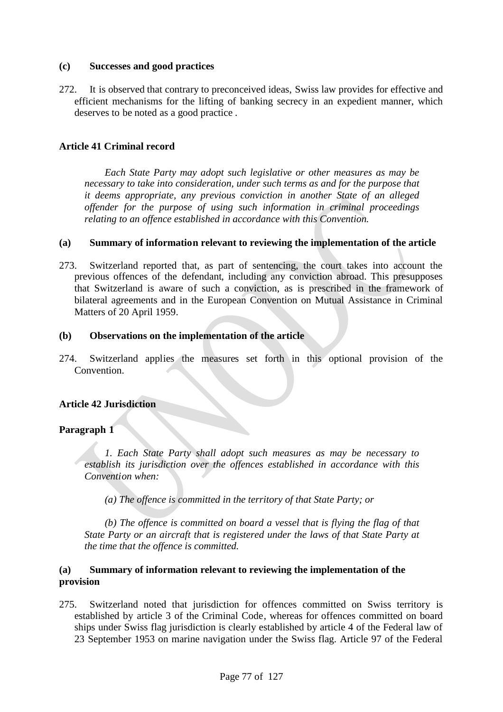# **(c) Successes and good practices**

272. It is observed that contrary to preconceived ideas, Swiss law provides for effective and efficient mechanisms for the lifting of banking secrecy in an expedient manner, which deserves to be noted as a good practice .

# **Article 41 Criminal record**

*Each State Party may adopt such legislative or other measures as may be necessary to take into consideration, under such terms as and for the purpose that it deems appropriate, any previous conviction in another State of an alleged offender for the purpose of using such information in criminal proceedings relating to an offence established in accordance with this Convention.*

### **(a) Summary of information relevant to reviewing the implementation of the article**

273. Switzerland reported that, as part of sentencing, the court takes into account the previous offences of the defendant, including any conviction abroad. This presupposes that Switzerland is aware of such a conviction, as is prescribed in the framework of bilateral agreements and in the European Convention on Mutual Assistance in Criminal Matters of 20 April 1959.

# **(b) Observations on the implementation of the article**

274. Switzerland applies the measures set forth in this optional provision of the Convention.

# **Article 42 Jurisdiction**

# **Paragraph 1**

*1. Each State Party shall adopt such measures as may be necessary to establish its jurisdiction over the offences established in accordance with this Convention when:*

*(a) The offence is committed in the territory of that State Party; or*

*(b) The offence is committed on board a vessel that is flying the flag of that State Party or an aircraft that is registered under the laws of that State Party at the time that the offence is committed.*

# **(a) Summary of information relevant to reviewing the implementation of the provision**

275. Switzerland noted that jurisdiction for offences committed on Swiss territory is established by article 3 of the Criminal Code, whereas for offences committed on board ships under Swiss flag jurisdiction is clearly established by article 4 of the Federal law of 23 September 1953 on marine navigation under the Swiss flag. Article 97 of the Federal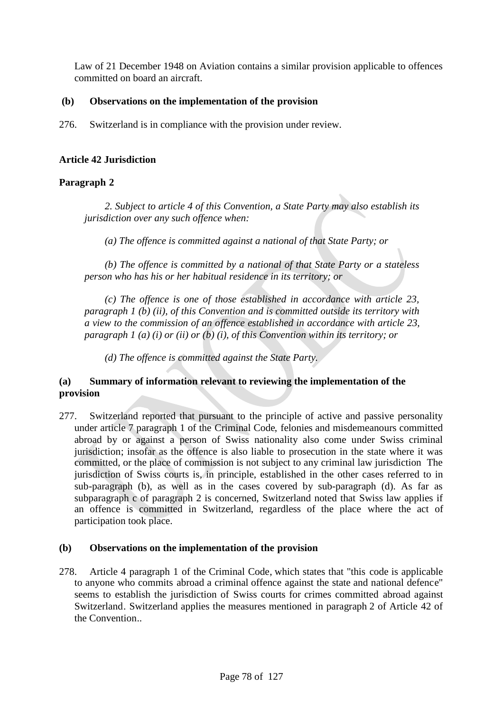Law of 21 December 1948 on Aviation contains a similar provision applicable to offences committed on board an aircraft.

# **(b) Observations on the implementation of the provision**

276. Switzerland is in compliance with the provision under review.

# **Article 42 Jurisdiction**

# **Paragraph 2**

*2. Subject to article 4 of this Convention, a State Party may also establish its jurisdiction over any such offence when:*

*(a) The offence is committed against a national of that State Party; or*

*(b) The offence is committed by a national of that State Party or a stateless person who has his or her habitual residence in its territory; or*

*(c) The offence is one of those established in accordance with article 23, paragraph 1 (b) (ii), of this Convention and is committed outside its territory with a view to the commission of an offence established in accordance with article 23, paragraph 1 (a) (i) or (ii) or (b) (i), of this Convention within its territory; or*

*(d) The offence is committed against the State Party.*

# **(a) Summary of information relevant to reviewing the implementation of the provision**

277. Switzerland reported that pursuant to the principle of active and passive personality under article 7 paragraph 1 of the Criminal Code, felonies and misdemeanours committed abroad by or against a person of Swiss nationality also come under Swiss criminal jurisdiction; insofar as the offence is also liable to prosecution in the state where it was committed, or the place of commission is not subject to any criminal law jurisdiction The jurisdiction of Swiss courts is, in principle, established in the other cases referred to in sub-paragraph (b), as well as in the cases covered by sub-paragraph (d). As far as subparagraph c of paragraph 2 is concerned, Switzerland noted that Swiss law applies if an offence is committed in Switzerland, regardless of the place where the act of participation took place.

# **(b) Observations on the implementation of the provision**

278. Article 4 paragraph 1 of the Criminal Code, which states that "this code is applicable to anyone who commits abroad a criminal offence against the state and national defence" seems to establish the jurisdiction of Swiss courts for crimes committed abroad against Switzerland. Switzerland applies the measures mentioned in paragraph 2 of Article 42 of the Convention..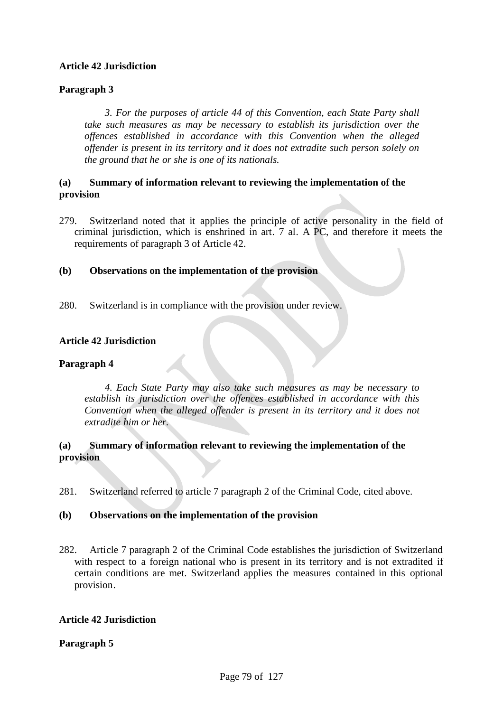# **Article 42 Jurisdiction**

# **Paragraph 3**

*3. For the purposes of article 44 of this Convention, each State Party shall take such measures as may be necessary to establish its jurisdiction over the offences established in accordance with this Convention when the alleged offender is present in its territory and it does not extradite such person solely on the ground that he or she is one of its nationals.*

# **(a) Summary of information relevant to reviewing the implementation of the provision**

279. Switzerland noted that it applies the principle of active personality in the field of criminal jurisdiction, which is enshrined in art. 7 al. A PC, and therefore it meets the requirements of paragraph 3 of Article 42.

# **(b) Observations on the implementation of the provision**

280. Switzerland is in compliance with the provision under review.

# **Article 42 Jurisdiction**

# **Paragraph 4**

*4. Each State Party may also take such measures as may be necessary to establish its jurisdiction over the offences established in accordance with this Convention when the alleged offender is present in its territory and it does not extradite him or her.*

# **(a) Summary of information relevant to reviewing the implementation of the provision**

281. Switzerland referred to article 7 paragraph 2 of the Criminal Code, cited above.

### **(b) Observations on the implementation of the provision**

282. Article 7 paragraph 2 of the Criminal Code establishes the jurisdiction of Switzerland with respect to a foreign national who is present in its territory and is not extradited if certain conditions are met. Switzerland applies the measures contained in this optional provision.

### **Article 42 Jurisdiction**

### **Paragraph 5**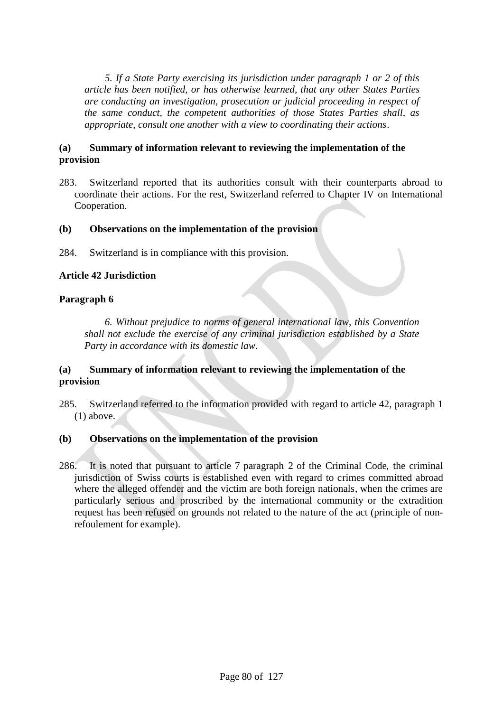*5. If a State Party exercising its jurisdiction under paragraph 1 or 2 of this article has been notified, or has otherwise learned, that any other States Parties are conducting an investigation, prosecution or judicial proceeding in respect of the same conduct, the competent authorities of those States Parties shall, as appropriate, consult one another with a view to coordinating their actions.*

# **(a) Summary of information relevant to reviewing the implementation of the provision**

283. Switzerland reported that its authorities consult with their counterparts abroad to coordinate their actions. For the rest, Switzerland referred to Chapter IV on International Cooperation.

# **(b) Observations on the implementation of the provision**

284. Switzerland is in compliance with this provision.

# **Article 42 Jurisdiction**

# **Paragraph 6**

*6. Without prejudice to norms of general international law, this Convention shall not exclude the exercise of any criminal jurisdiction established by a State Party in accordance with its domestic law.*

# **(a) Summary of information relevant to reviewing the implementation of the provision**

285. Switzerland referred to the information provided with regard to article 42, paragraph 1 (1) above.

# **(b) Observations on the implementation of the provision**

286. It is noted that pursuant to article 7 paragraph 2 of the Criminal Code, the criminal jurisdiction of Swiss courts is established even with regard to crimes committed abroad where the alleged offender and the victim are both foreign nationals, when the crimes are particularly serious and proscribed by the international community or the extradition request has been refused on grounds not related to the nature of the act (principle of nonrefoulement for example).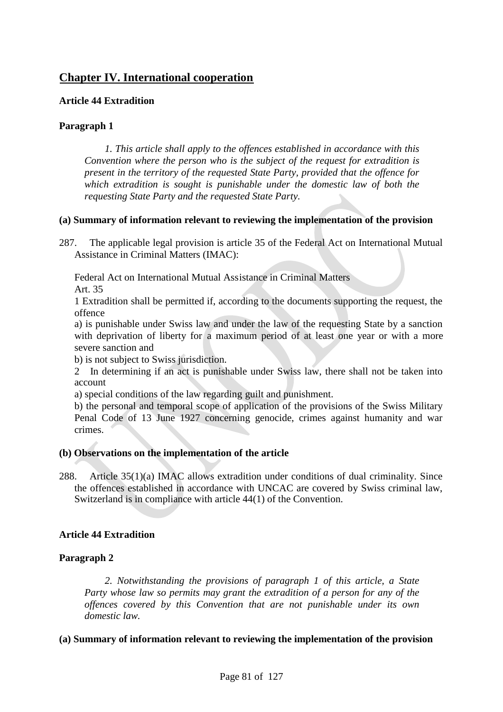# **Chapter IV. International cooperation**

# **Article 44 Extradition**

# **Paragraph 1**

*1. This article shall apply to the offences established in accordance with this Convention where the person who is the subject of the request for extradition is present in the territory of the requested State Party, provided that the offence for which extradition is sought is punishable under the domestic law of both the requesting State Party and the requested State Party.*

# **(a) Summary of information relevant to reviewing the implementation of the provision**

287. The applicable legal provision is article 35 of the Federal Act on International Mutual Assistance in Criminal Matters (IMAC):

Federal Act on International Mutual Assistance in Criminal Matters Art. 35

1 Extradition shall be permitted if, according to the documents supporting the request, the offence

a) is punishable under Swiss law and under the law of the requesting State by a sanction with deprivation of liberty for a maximum period of at least one year or with a more severe sanction and

b) is not subject to Swiss jurisdiction.

2 In determining if an act is punishable under Swiss law, there shall not be taken into account

a) special conditions of the law regarding guilt and punishment.

b) the personal and temporal scope of application of the provisions of the Swiss Military Penal Code of 13 June 1927 concerning genocide, crimes against humanity and war crimes.

### **(b) Observations on the implementation of the article**

288. Article 35(1)(a) IMAC allows extradition under conditions of dual criminality. Since the offences established in accordance with UNCAC are covered by Swiss criminal law, Switzerland is in compliance with article 44(1) of the Convention.

# **Article 44 Extradition**

# **Paragraph 2**

*2. Notwithstanding the provisions of paragraph 1 of this article, a State Party whose law so permits may grant the extradition of a person for any of the offences covered by this Convention that are not punishable under its own domestic law.*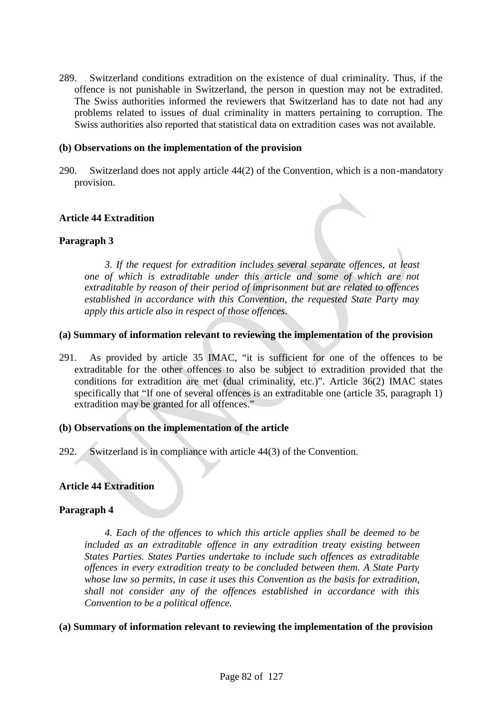289. Switzerland conditions extradition on the existence of dual criminality. Thus, if the offence is not punishable in Switzerland, the person in question may not be extradited. The Swiss authorities informed the reviewers that Switzerland has to date not had any problems related to issues of dual criminality in matters pertaining to corruption. The Swiss authorities also reported that statistical data on extradition cases was not available.

### **(b) Observations on the implementation of the provision**

290. Switzerland does not apply article 44(2) of the Convention, which is a non-mandatory provision.

# **Article 44 Extradition**

# **Paragraph 3**

*3. If the request for extradition includes several separate offences, at least one of which is extraditable under this article and some of which are not extraditable by reason of their period of imprisonment but are related to offences established in accordance with this Convention, the requested State Party may apply this article also in respect of those offences.*

### **(a) Summary of information relevant to reviewing the implementation of the provision**

291. As provided by article 35 IMAC, "it is sufficient for one of the offences to be extraditable for the other offences to also be subject to extradition provided that the conditions for extradition are met (dual criminality, etc.)". Article 36(2) IMAC states specifically that "If one of several offences is an extraditable one (article 35, paragraph 1) extradition may be granted for all offences."

### **(b) Observations on the implementation of the article**

292. Switzerland is in compliance with article 44(3) of the Convention.

# **Article 44 Extradition**

### **Paragraph 4**

*4. Each of the offences to which this article applies shall be deemed to be included as an extraditable offence in any extradition treaty existing between States Parties. States Parties undertake to include such offences as extraditable offences in every extradition treaty to be concluded between them. A State Party whose law so permits, in case it uses this Convention as the basis for extradition, shall not consider any of the offences established in accordance with this Convention to be a political offence.*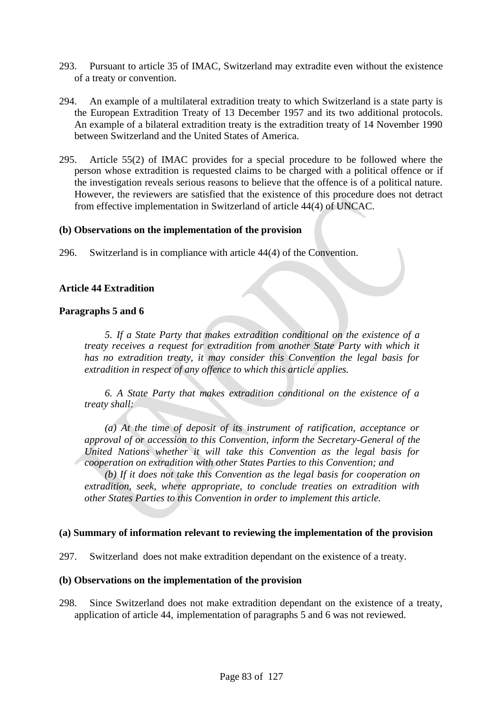- 293. Pursuant to article 35 of IMAC, Switzerland may extradite even without the existence of a treaty or convention.
- 294. An example of a multilateral extradition treaty to which Switzerland is a state party is the European Extradition Treaty of 13 December 1957 and its two additional protocols. An example of a bilateral extradition treaty is the extradition treaty of 14 November 1990 between Switzerland and the United States of America.
- 295. Article 55(2) of IMAC provides for a special procedure to be followed where the person whose extradition is requested claims to be charged with a political offence or if the investigation reveals serious reasons to believe that the offence is of a political nature. However, the reviewers are satisfied that the existence of this procedure does not detract from effective implementation in Switzerland of article 44(4) of UNCAC.

### **(b) Observations on the implementation of the provision**

296. Switzerland is in compliance with article 44(4) of the Convention.

### **Article 44 Extradition**

#### **Paragraphs 5 and 6**

*5. If a State Party that makes extradition conditional on the existence of a treaty receives a request for extradition from another State Party with which it has no extradition treaty, it may consider this Convention the legal basis for extradition in respect of any offence to which this article applies.*

*6. A State Party that makes extradition conditional on the existence of a treaty shall:*

*(a) At the time of deposit of its instrument of ratification, acceptance or approval of or accession to this Convention, inform the Secretary-General of the United Nations whether it will take this Convention as the legal basis for cooperation on extradition with other States Parties to this Convention; and*

*(b) If it does not take this Convention as the legal basis for cooperation on extradition, seek, where appropriate, to conclude treaties on extradition with other States Parties to this Convention in order to implement this article.*

#### **(a) Summary of information relevant to reviewing the implementation of the provision**

297. Switzerland does not make extradition dependant on the existence of a treaty.

#### **(b) Observations on the implementation of the provision**

298. Since Switzerland does not make extradition dependant on the existence of a treaty, application of article 44, implementation of paragraphs 5 and 6 was not reviewed.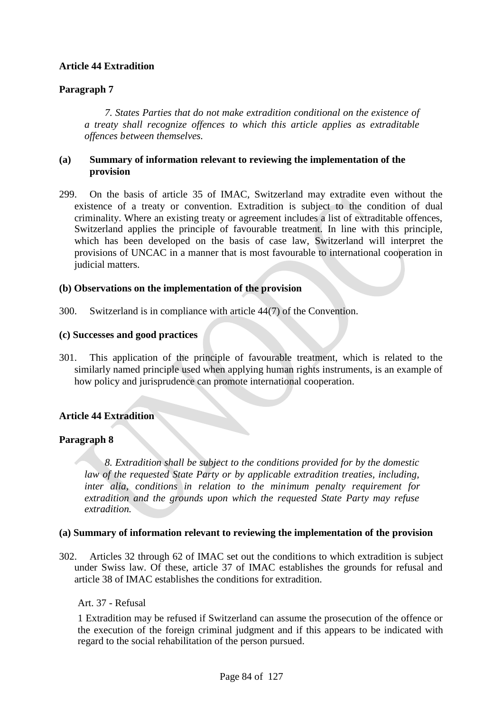# **Article 44 Extradition**

# **Paragraph 7**

*7. States Parties that do not make extradition conditional on the existence of a treaty shall recognize offences to which this article applies as extraditable offences between themselves.*

# **(a) Summary of information relevant to reviewing the implementation of the provision**

299. On the basis of article 35 of IMAC, Switzerland may extradite even without the existence of a treaty or convention. Extradition is subject to the condition of dual criminality. Where an existing treaty or agreement includes a list of extraditable offences, Switzerland applies the principle of favourable treatment. In line with this principle, which has been developed on the basis of case law, Switzerland will interpret the provisions of UNCAC in a manner that is most favourable to international cooperation in judicial matters.

# **(b) Observations on the implementation of the provision**

300. Switzerland is in compliance with article 44(7) of the Convention.

# **(c) Successes and good practices**

301. This application of the principle of favourable treatment, which is related to the similarly named principle used when applying human rights instruments, is an example of how policy and jurisprudence can promote international cooperation.

# **Article 44 Extradition**

# **Paragraph 8**

*8. Extradition shall be subject to the conditions provided for by the domestic law of the requested State Party or by applicable extradition treaties, including, inter alia, conditions in relation to the minimum penalty requirement for extradition and the grounds upon which the requested State Party may refuse extradition.*

### **(a) Summary of information relevant to reviewing the implementation of the provision**

302. Articles 32 through 62 of IMAC set out the conditions to which extradition is subject under Swiss law. Of these, article 37 of IMAC establishes the grounds for refusal and article 38 of IMAC establishes the conditions for extradition.

### Art. 37 - Refusal

1 Extradition may be refused if Switzerland can assume the prosecution of the offence or the execution of the foreign criminal judgment and if this appears to be indicated with regard to the social rehabilitation of the person pursued.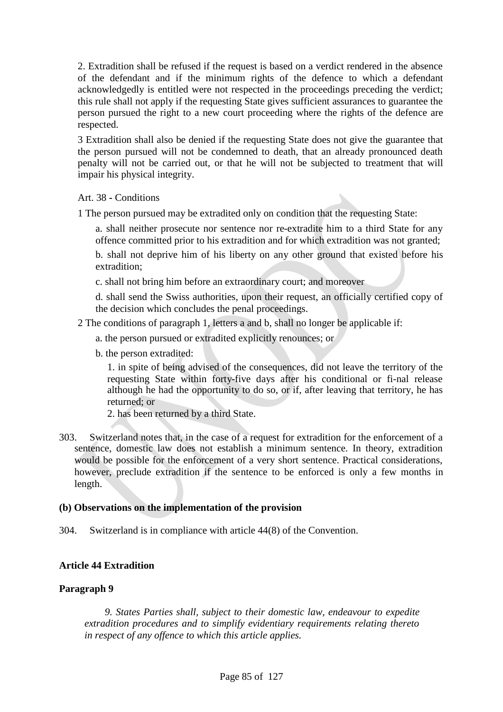2. Extradition shall be refused if the request is based on a verdict rendered in the absence of the defendant and if the minimum rights of the defence to which a defendant acknowledgedly is entitled were not respected in the proceedings preceding the verdict; this rule shall not apply if the requesting State gives sufficient assurances to guarantee the person pursued the right to a new court proceeding where the rights of the defence are respected.

3 Extradition shall also be denied if the requesting State does not give the guarantee that the person pursued will not be condemned to death, that an already pronounced death penalty will not be carried out, or that he will not be subjected to treatment that will impair his physical integrity.

# Art. 38 **-** Conditions

1 The person pursued may be extradited only on condition that the requesting State:

a. shall neither prosecute nor sentence nor re-extradite him to a third State for any offence committed prior to his extradition and for which extradition was not granted;

b. shall not deprive him of his liberty on any other ground that existed before his extradition;

c. shall not bring him before an extraordinary court; and moreover

d. shall send the Swiss authorities, upon their request, an officially certified copy of the decision which concludes the penal proceedings.

- 2 The conditions of paragraph 1, letters a and b, shall no longer be applicable if:
	- a. the person pursued or extradited explicitly renounces; or
	- b. the person extradited:

1. in spite of being advised of the consequences, did not leave the territory of the requesting State within forty-five days after his conditional or fi-nal release although he had the opportunity to do so, or if, after leaving that territory, he has returned; or

2. has been returned by a third State.

303. Switzerland notes that, in the case of a request for extradition for the enforcement of a sentence, domestic law does not establish a minimum sentence. In theory, extradition would be possible for the enforcement of a very short sentence. Practical considerations, however, preclude extradition if the sentence to be enforced is only a few months in length.

### **(b) Observations on the implementation of the provision**

304. Switzerland is in compliance with article 44(8) of the Convention.

# **Article 44 Extradition**

### **Paragraph 9**

*9. States Parties shall, subject to their domestic law, endeavour to expedite extradition procedures and to simplify evidentiary requirements relating thereto in respect of any offence to which this article applies.*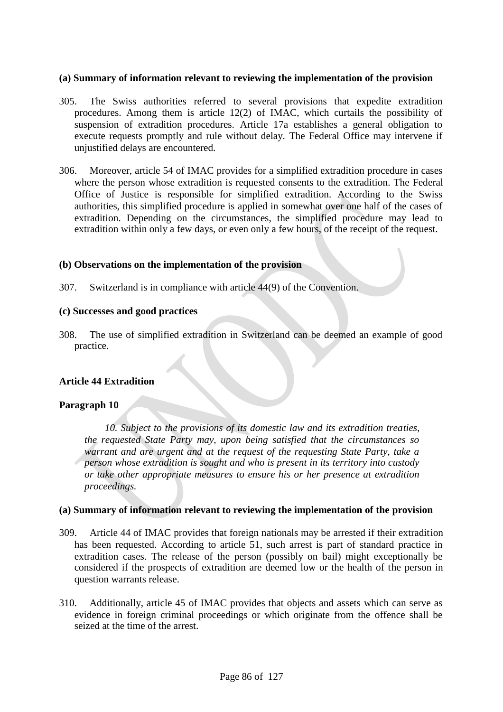### **(a) Summary of information relevant to reviewing the implementation of the provision**

- 305. The Swiss authorities referred to several provisions that expedite extradition procedures. Among them is article 12(2) of IMAC, which curtails the possibility of suspension of extradition procedures. Article 17a establishes a general obligation to execute requests promptly and rule without delay. The Federal Office may intervene if unjustified delays are encountered.
- 306. Moreover, article 54 of IMAC provides for a simplified extradition procedure in cases where the person whose extradition is requested consents to the extradition. The Federal Office of Justice is responsible for simplified extradition. According to the Swiss authorities, this simplified procedure is applied in somewhat over one half of the cases of extradition. Depending on the circumstances, the simplified procedure may lead to extradition within only a few days, or even only a few hours, of the receipt of the request.

#### **(b) Observations on the implementation of the provision**

307. Switzerland is in compliance with article 44(9) of the Convention.

#### **(c) Successes and good practices**

308. The use of simplified extradition in Switzerland can be deemed an example of good practice.

### **Article 44 Extradition**

### **Paragraph 10**

*10. Subject to the provisions of its domestic law and its extradition treaties, the requested State Party may, upon being satisfied that the circumstances so warrant and are urgent and at the request of the requesting State Party, take a person whose extradition is sought and who is present in its territory into custody or take other appropriate measures to ensure his or her presence at extradition proceedings.*

- 309. Article 44 of IMAC provides that foreign nationals may be arrested if their extradition has been requested. According to article 51, such arrest is part of standard practice in extradition cases. The release of the person (possibly on bail) might exceptionally be considered if the prospects of extradition are deemed low or the health of the person in question warrants release.
- 310. Additionally, article 45 of IMAC provides that objects and assets which can serve as evidence in foreign criminal proceedings or which originate from the offence shall be seized at the time of the arrest.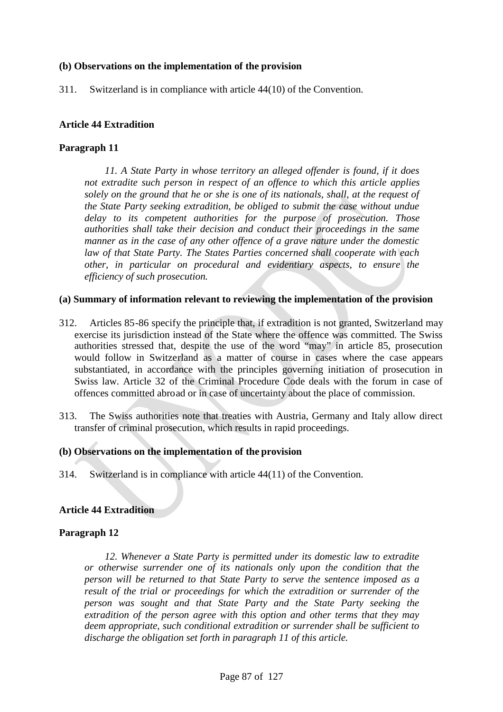# **(b) Observations on the implementation of the provision**

311. Switzerland is in compliance with article 44(10) of the Convention.

# **Article 44 Extradition**

# **Paragraph 11**

*11. A State Party in whose territory an alleged offender is found, if it does not extradite such person in respect of an offence to which this article applies solely on the ground that he or she is one of its nationals, shall, at the request of the State Party seeking extradition, be obliged to submit the case without undue delay to its competent authorities for the purpose of prosecution. Those authorities shall take their decision and conduct their proceedings in the same manner as in the case of any other offence of a grave nature under the domestic law of that State Party. The States Parties concerned shall cooperate with each other, in particular on procedural and evidentiary aspects, to ensure the efficiency of such prosecution.*

#### **(a) Summary of information relevant to reviewing the implementation of the provision**

- 312. Articles 85-86 specify the principle that, if extradition is not granted, Switzerland may exercise its jurisdiction instead of the State where the offence was committed. The Swiss authorities stressed that, despite the use of the word "may" in article 85, prosecution would follow in Switzerland as a matter of course in cases where the case appears substantiated, in accordance with the principles governing initiation of prosecution in Swiss law. Article 32 of the Criminal Procedure Code deals with the forum in case of offences committed abroad or in case of uncertainty about the place of commission.
- 313. The Swiss authorities note that treaties with Austria, Germany and Italy allow direct transfer of criminal prosecution, which results in rapid proceedings.

### **(b) Observations on the implementation of the provision**

314. Switzerland is in compliance with article 44(11) of the Convention.

### **Article 44 Extradition**

### **Paragraph 12**

*12. Whenever a State Party is permitted under its domestic law to extradite or otherwise surrender one of its nationals only upon the condition that the person will be returned to that State Party to serve the sentence imposed as a result of the trial or proceedings for which the extradition or surrender of the person was sought and that State Party and the State Party seeking the extradition of the person agree with this option and other terms that they may deem appropriate, such conditional extradition or surrender shall be sufficient to discharge the obligation set forth in paragraph 11 of this article.*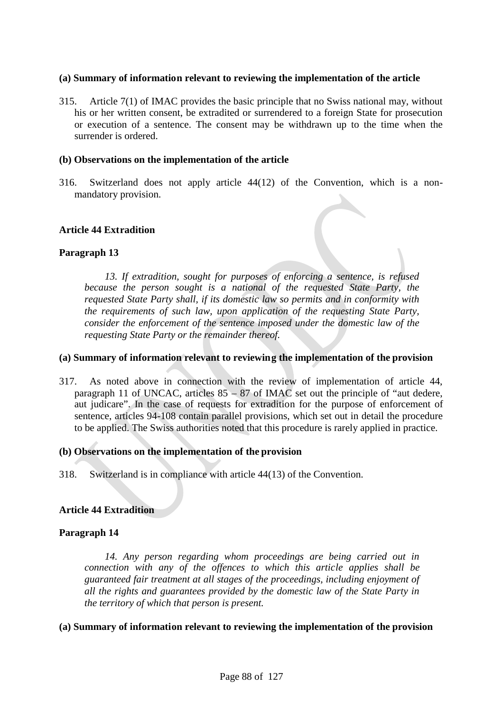### **(a) Summary of information relevant to reviewing the implementation of the article**

315. Article 7(1) of IMAC provides the basic principle that no Swiss national may, without his or her written consent, be extradited or surrendered to a foreign State for prosecution or execution of a sentence. The consent may be withdrawn up to the time when the surrender is ordered.

### **(b) Observations on the implementation of the article**

316. Switzerland does not apply article 44(12) of the Convention, which is a nonmandatory provision.

# **Article 44 Extradition**

# **Paragraph 13**

*13. If extradition, sought for purposes of enforcing a sentence, is refused because the person sought is a national of the requested State Party, the requested State Party shall, if its domestic law so permits and in conformity with the requirements of such law, upon application of the requesting State Party, consider the enforcement of the sentence imposed under the domestic law of the requesting State Party or the remainder thereof.*

### **(a) Summary of information relevant to reviewing the implementation of the provision**

317. As noted above in connection with the review of implementation of article 44, paragraph 11 of UNCAC, articles  $85 - 87$  of IMAC set out the principle of "aut dedere, aut judicare". In the case of requests for extradition for the purpose of enforcement of sentence, articles 94-108 contain parallel provisions, which set out in detail the procedure to be applied. The Swiss authorities noted that this procedure is rarely applied in practice.

### **(b) Observations on the implementation of the provision**

318. Switzerland is in compliance with article 44(13) of the Convention.

### **Article 44 Extradition**

### **Paragraph 14**

*14. Any person regarding whom proceedings are being carried out in connection with any of the offences to which this article applies shall be guaranteed fair treatment at all stages of the proceedings, including enjoyment of all the rights and guarantees provided by the domestic law of the State Party in the territory of which that person is present.*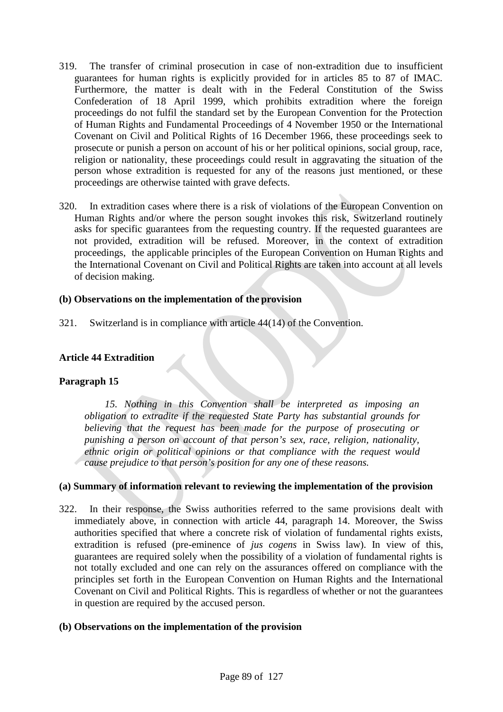- 319. The transfer of criminal prosecution in case of non-extradition due to insufficient guarantees for human rights is explicitly provided for in articles 85 to 87 of IMAC. Furthermore, the matter is dealt with in the Federal Constitution of the Swiss Confederation of 18 April 1999, which prohibits extradition where the foreign proceedings do not fulfil the standard set by the European Convention for the Protection of Human Rights and Fundamental Proceedings of 4 November 1950 or the International Covenant on Civil and Political Rights of 16 December 1966, these proceedings seek to prosecute or punish a person on account of his or her political opinions, social group, race, religion or nationality, these proceedings could result in aggravating the situation of the person whose extradition is requested for any of the reasons just mentioned, or these proceedings are otherwise tainted with grave defects.
- 320. In extradition cases where there is a risk of violations of the European Convention on Human Rights and/or where the person sought invokes this risk, Switzerland routinely asks for specific guarantees from the requesting country. If the requested guarantees are not provided, extradition will be refused. Moreover, in the context of extradition proceedings, the applicable principles of the European Convention on Human Rights and the International Covenant on Civil and Political Rights are taken into account at all levels of decision making.

# **(b) Observations on the implementation of the provision**

321. Switzerland is in compliance with article 44(14) of the Convention.

# **Article 44 Extradition**

### **Paragraph 15**

*15. Nothing in this Convention shall be interpreted as imposing an obligation to extradite if the requested State Party has substantial grounds for believing that the request has been made for the purpose of prosecuting or punishing a person on account of that person's sex, race, religion, nationality, ethnic origin or political opinions or that compliance with the request would cause prejudice to that person's position for any one of these reasons.*

### **(a) Summary of information relevant to reviewing the implementation of the provision**

322. In their response, the Swiss authorities referred to the same provisions dealt with immediately above, in connection with article 44, paragraph 14. Moreover, the Swiss authorities specified that where a concrete risk of violation of fundamental rights exists, extradition is refused (pre-eminence of *jus cogens* in Swiss law). In view of this, guarantees are required solely when the possibility of a violation of fundamental rights is not totally excluded and one can rely on the assurances offered on compliance with the principles set forth in the European Convention on Human Rights and the International Covenant on Civil and Political Rights. This is regardless of whether or not the guarantees in question are required by the accused person.

### **(b) Observations on the implementation of the provision**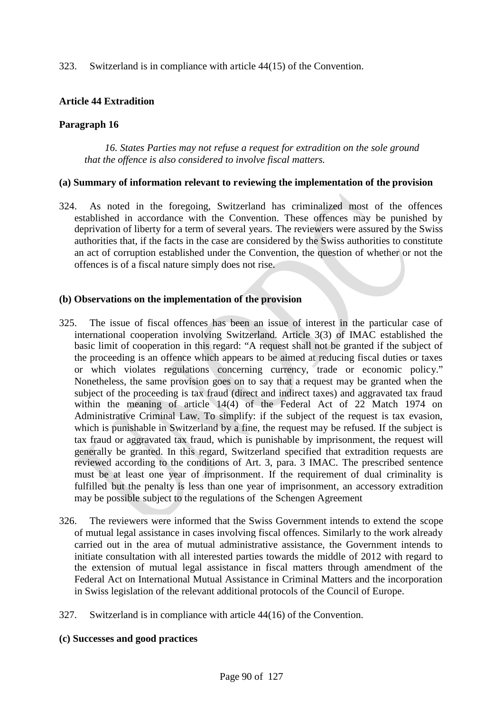323. Switzerland is in compliance with article 44(15) of the Convention.

# **Article 44 Extradition**

# **Paragraph 16**

*16. States Parties may not refuse a request for extradition on the sole ground that the offence is also considered to involve fiscal matters.*

### **(a) Summary of information relevant to reviewing the implementation of the provision**

324. As noted in the foregoing, Switzerland has criminalized most of the offences established in accordance with the Convention. These offences may be punished by deprivation of liberty for a term of several years. The reviewers were assured by the Swiss authorities that, if the facts in the case are considered by the Swiss authorities to constitute an act of corruption established under the Convention, the question of whether or not the offences is of a fiscal nature simply does not rise.

### **(b) Observations on the implementation of the provision**

- 325. The issue of fiscal offences has been an issue of interest in the particular case of international cooperation involving Switzerland. Article 3(3) of IMAC established the basic limit of cooperation in this regard: "A request shall not be granted if the subject of the proceeding is an offence which appears to be aimed at reducing fiscal duties or taxes or which violates regulations concerning currency, trade or economic policy." Nonetheless, the same provision goes on to say that a request may be granted when the subject of the proceeding is tax fraud (direct and indirect taxes) and aggravated tax fraud within the meaning of article 14(4) of the Federal Act of 22 Match 1974 on Administrative Criminal Law. To simplify: if the subject of the request is tax evasion, which is punishable in Switzerland by a fine, the request may be refused. If the subject is tax fraud or aggravated tax fraud, which is punishable by imprisonment, the request will generally be granted. In this regard, Switzerland specified that extradition requests are reviewed according to the conditions of Art. 3, para. 3 IMAC. The prescribed sentence must be at least one year of imprisonment. If the requirement of dual criminality is fulfilled but the penalty is less than one year of imprisonment, an accessory extradition may be possible subject to the regulations of the Schengen Agreement
- 326. The reviewers were informed that the Swiss Government intends to extend the scope of mutual legal assistance in cases involving fiscal offences. Similarly to the work already carried out in the area of mutual administrative assistance, the Government intends to initiate consultation with all interested parties towards the middle of 2012 with regard to the extension of mutual legal assistance in fiscal matters through amendment of the Federal Act on International Mutual Assistance in Criminal Matters and the incorporation in Swiss legislation of the relevant additional protocols of the Council of Europe.
- 327. Switzerland is in compliance with article 44(16) of the Convention.

### **(c) Successes and good practices**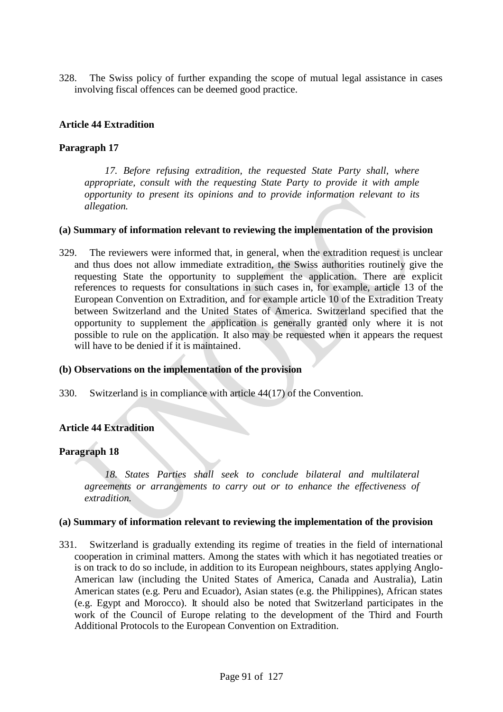328. The Swiss policy of further expanding the scope of mutual legal assistance in cases involving fiscal offences can be deemed good practice.

# **Article 44 Extradition**

# **Paragraph 17**

*17. Before refusing extradition, the requested State Party shall, where appropriate, consult with the requesting State Party to provide it with ample opportunity to present its opinions and to provide information relevant to its allegation.*

### **(a) Summary of information relevant to reviewing the implementation of the provision**

329. The reviewers were informed that, in general, when the extradition request is unclear and thus does not allow immediate extradition, the Swiss authorities routinely give the requesting State the opportunity to supplement the application. There are explicit references to requests for consultations in such cases in, for example, article 13 of the European Convention on Extradition, and for example article 10 of the Extradition Treaty between Switzerland and the United States of America. Switzerland specified that the opportunity to supplement the application is generally granted only where it is not possible to rule on the application. It also may be requested when it appears the request will have to be denied if it is maintained.

### **(b) Observations on the implementation of the provision**

330. Switzerland is in compliance with article 44(17) of the Convention.

### **Article 44 Extradition**

### **Paragraph 18**

*18. States Parties shall seek to conclude bilateral and multilateral agreements or arrangements to carry out or to enhance the effectiveness of extradition.*

#### **(a) Summary of information relevant to reviewing the implementation of the provision**

331. Switzerland is gradually extending its regime of treaties in the field of international cooperation in criminal matters. Among the states with which it has negotiated treaties or is on track to do so include, in addition to its European neighbours, states applying Anglo-American law (including the United States of America, Canada and Australia), Latin American states (e.g. Peru and Ecuador), Asian states (e.g. the Philippines), African states (e.g. Egypt and Morocco). It should also be noted that Switzerland participates in the work of the Council of Europe relating to the development of the Third and Fourth Additional Protocols to the European Convention on Extradition.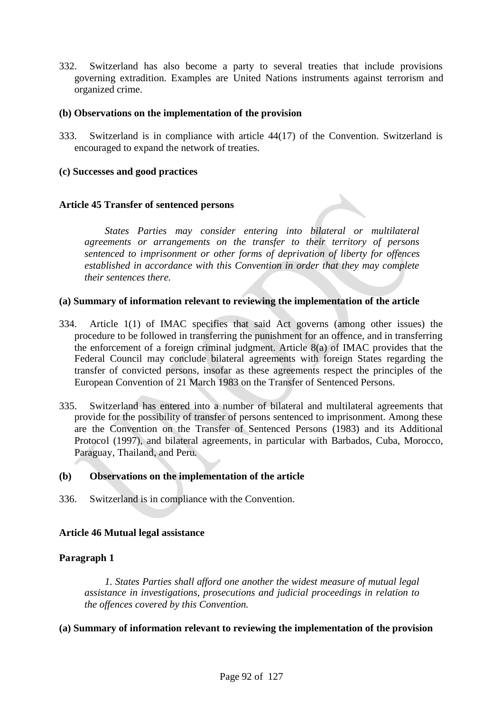332. Switzerland has also become a party to several treaties that include provisions governing extradition. Examples are United Nations instruments against terrorism and organized crime.

### **(b) Observations on the implementation of the provision**

333. Switzerland is in compliance with article 44(17) of the Convention. Switzerland is encouraged to expand the network of treaties.

# **(c) Successes and good practices**

# **Article 45 Transfer of sentenced persons**

*States Parties may consider entering into bilateral or multilateral agreements or arrangements on the transfer to their territory of persons sentenced to imprisonment or other forms of deprivation of liberty for offences established in accordance with this Convention in order that they may complete their sentences there.*

### **(a) Summary of information relevant to reviewing the implementation of the article**

- 334. Article 1(1) of IMAC specifies that said Act governs (among other issues) the procedure to be followed in transferring the punishment for an offence, and in transferring the enforcement of a foreign criminal judgment. Article 8(a) of IMAC provides that the Federal Council may conclude bilateral agreements with foreign States regarding the transfer of convicted persons, insofar as these agreements respect the principles of the European Convention of 21 March 1983 on the Transfer of Sentenced Persons.
- 335. Switzerland has entered into a number of bilateral and multilateral agreements that provide for the possibility of transfer of persons sentenced to imprisonment. Among these are the Convention on the Transfer of Sentenced Persons (1983) and its Additional Protocol (1997), and bilateral agreements, in particular with Barbados, Cuba, Morocco, Paraguay, Thailand, and Peru.

### **(b) Observations on the implementation of the article**

336. Switzerland is in compliance with the Convention.

# **Article 46 Mutual legal assistance**

# **Paragraph 1**

*1. States Parties shall afford one another the widest measure of mutual legal assistance in investigations, prosecutions and judicial proceedings in relation to the offences covered by this Convention.*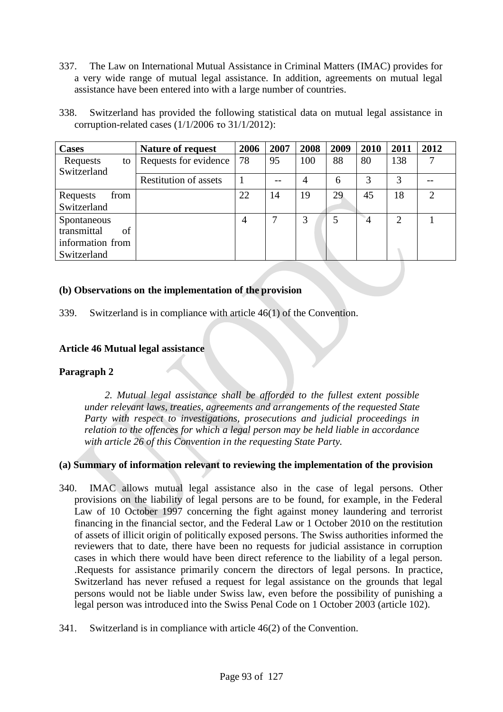- 337. The Law on International Mutual Assistance in Criminal Matters (IMAC) provides for a very wide range of mutual legal assistance. In addition, agreements on mutual legal assistance have been entered into with a large number of countries.
- 338. Switzerland has provided the following statistical data on mutual legal assistance in corruption-related cases  $(1/1/2006 \text{ to } 31/1/2012)$ :

| <b>Cases</b>                                                        | <b>Nature of request</b>     | 2006 | 2007 | 2008           | 2009 | 2010           | 2011           | 2012 |
|---------------------------------------------------------------------|------------------------------|------|------|----------------|------|----------------|----------------|------|
| Requests<br>to<br>Switzerland                                       | Requests for evidence        | 78   | 95   | 100            | 88   | 80             | 138            |      |
|                                                                     | <b>Restitution of assets</b> |      |      | $\overline{4}$ | 6    | 3              |                |      |
| Requests<br>from<br>Switzerland                                     |                              | 22   | 14   | 19             | 29   | 45             | 18             | 2    |
| Spontaneous<br>transmittal<br>of<br>information from<br>Switzerland |                              | 4    |      | 3              | 5    | $\overline{4}$ | $\overline{c}$ |      |

# **(b) Observations on the implementation of the provision**

339. Switzerland is in compliance with article 46(1) of the Convention.

### **Article 46 Mutual legal assistance**

### **Paragraph 2**

*2. Mutual legal assistance shall be afforded to the fullest extent possible under relevant laws, treaties, agreements and arrangements of the requested State Party with respect to investigations, prosecutions and judicial proceedings in relation to the offences for which a legal person may be held liable in accordance with article 26 of this Convention in the requesting State Party.*

- 340. IMAC allows mutual legal assistance also in the case of legal persons. Other provisions on the liability of legal persons are to be found, for example, in the Federal Law of 10 October 1997 concerning the fight against money laundering and terrorist financing in the financial sector, and the Federal Law or 1 October 2010 on the restitution of assets of illicit origin of politically exposed persons. The Swiss authorities informed the reviewers that to date, there have been no requests for judicial assistance in corruption cases in which there would have been direct reference to the liability of a legal person. .Requests for assistance primarily concern the directors of legal persons. In practice, Switzerland has never refused a request for legal assistance on the grounds that legal persons would not be liable under Swiss law, even before the possibility of punishing a legal person was introduced into the Swiss Penal Code on 1 October 2003 (article 102).
- 341. Switzerland is in compliance with article 46(2) of the Convention.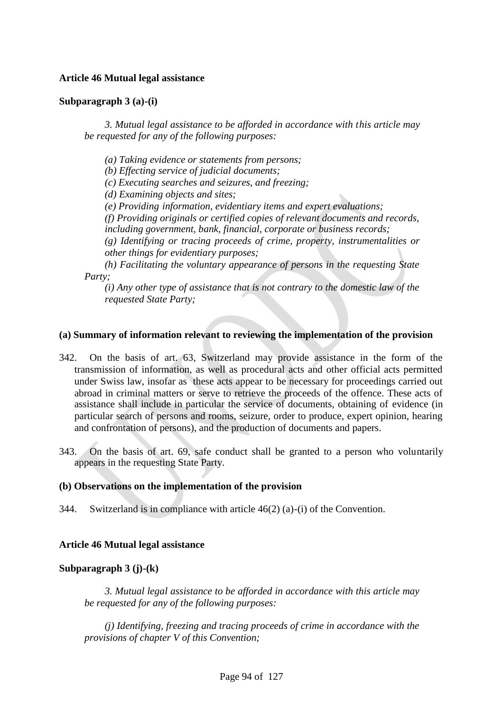# **Article 46 Mutual legal assistance**

### **Subparagraph 3 (a)-(i)**

*3. Mutual legal assistance to be afforded in accordance with this article may be requested for any of the following purposes:*

*(a) Taking evidence or statements from persons;*

*(b) Effecting service of judicial documents;*

*(c) Executing searches and seizures, and freezing;*

*(d) Examining objects and sites;*

*(e) Providing information, evidentiary items and expert evaluations;*

*(f) Providing originals or certified copies of relevant documents and records, including government, bank, financial, corporate or business records;*

*(g) Identifying or tracing proceeds of crime, property, instrumentalities or other things for evidentiary purposes;*

*(h) Facilitating the voluntary appearance of persons in the requesting State Party;*

*(i) Any other type of assistance that is not contrary to the domestic law of the requested State Party;*

### **(a) Summary of information relevant to reviewing the implementation of the provision**

- 342. On the basis of art. 63, Switzerland may provide assistance in the form of the transmission of information, as well as procedural acts and other official acts permitted under Swiss law, insofar as these acts appear to be necessary for proceedings carried out abroad in criminal matters or serve to retrieve the proceeds of the offence. These acts of assistance shall include in particular the service of documents, obtaining of evidence (in particular search of persons and rooms, seizure, order to produce, expert opinion, hearing and confrontation of persons), and the production of documents and papers.
- 343. On the basis of art. 69, safe conduct shall be granted to a person who voluntarily appears in the requesting State Party.

### **(b) Observations on the implementation of the provision**

344. Switzerland is in compliance with article 46(2) (a)-(i) of the Convention.

# **Article 46 Mutual legal assistance**

# **Subparagraph 3 (j)-(k)**

*3. Mutual legal assistance to be afforded in accordance with this article may be requested for any of the following purposes:*

*(j) Identifying, freezing and tracing proceeds of crime in accordance with the provisions of chapter V of this Convention;*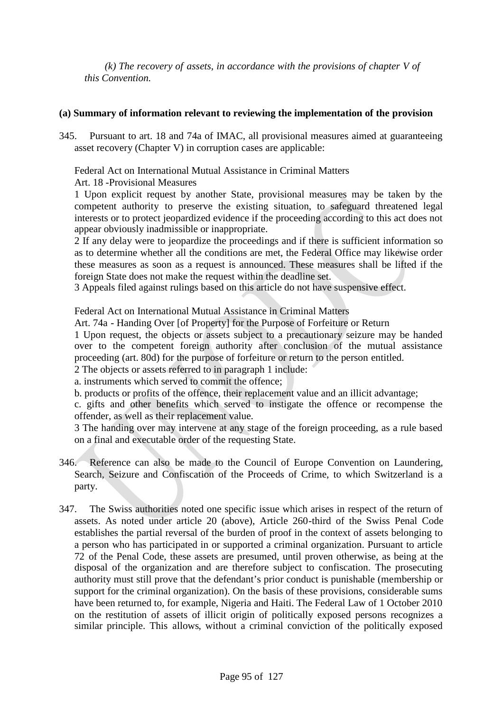*(k) The recovery of assets, in accordance with the provisions of chapter V of this Convention.*

# **(a) Summary of information relevant to reviewing the implementation of the provision**

345. Pursuant to art. 18 and 74a of IMAC, all provisional measures aimed at guaranteeing asset recovery (Chapter V) in corruption cases are applicable:

Federal Act on International Mutual Assistance in Criminal Matters Art. 18 -Provisional Measures

1 Upon explicit request by another State, provisional measures may be taken by the competent authority to preserve the existing situation, to safeguard threatened legal interests or to protect jeopardized evidence if the proceeding according to this act does not appear obviously inadmissible or inappropriate.

2 If any delay were to jeopardize the proceedings and if there is sufficient information so as to determine whether all the conditions are met, the Federal Office may likewise order these measures as soon as a request is announced. These measures shall be lifted if the foreign State does not make the request within the deadline set.

3 Appeals filed against rulings based on this article do not have suspensive effect.

Federal Act on International Mutual Assistance in Criminal Matters

Art. 74a - Handing Over [of Property] for the Purpose of Forfeiture or Return

1 Upon request, the objects or assets subject to a precautionary seizure may be handed over to the competent foreign authority after conclusion of the mutual assistance proceeding (art. 80d) for the purpose of forfeiture or return to the person entitled.

2 The objects or assets referred to in paragraph 1 include:

a. instruments which served to commit the offence;

b. products or profits of the offence, their replacement value and an illicit advantage;

c. gifts and other benefits which served to instigate the offence or recompense the offender, as well as their replacement value.

3 The handing over may intervene at any stage of the foreign proceeding, as a rule based on a final and executable order of the requesting State.

- 346. Reference can also be made to the Council of Europe Convention on Laundering, Search, Seizure and Confiscation of the Proceeds of Crime, to which Switzerland is a party.
- 347. The Swiss authorities noted one specific issue which arises in respect of the return of assets. As noted under article 20 (above), Article 260-third of the Swiss Penal Code establishes the partial reversal of the burden of proof in the context of assets belonging to a person who has participated in or supported a criminal organization. Pursuant to article 72 of the Penal Code, these assets are presumed, until proven otherwise, as being at the disposal of the organization and are therefore subject to confiscation. The prosecuting authority must still prove that the defendant's prior conduct is punishable (membership or support for the criminal organization). On the basis of these provisions, considerable sums have been returned to, for example, Nigeria and Haiti. The Federal Law of 1 October 2010 on the restitution of assets of illicit origin of politically exposed persons recognizes a similar principle. This allows, without a criminal conviction of the politically exposed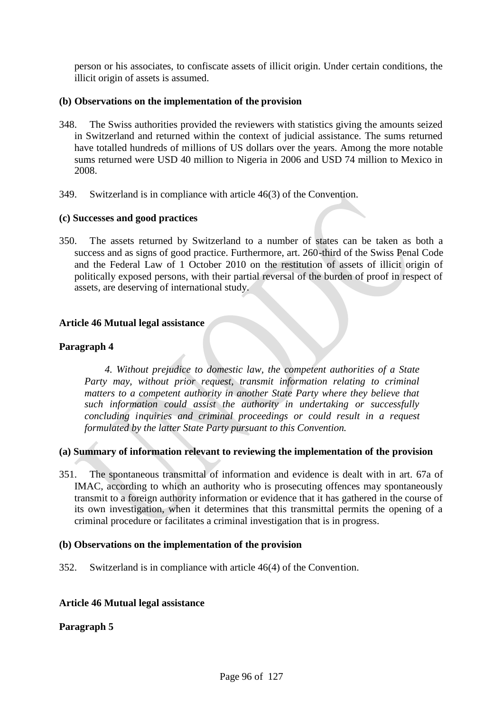person or his associates, to confiscate assets of illicit origin. Under certain conditions, the illicit origin of assets is assumed.

# **(b) Observations on the implementation of the provision**

- 348. The Swiss authorities provided the reviewers with statistics giving the amounts seized in Switzerland and returned within the context of judicial assistance. The sums returned have totalled hundreds of millions of US dollars over the years. Among the more notable sums returned were USD 40 million to Nigeria in 2006 and USD 74 million to Mexico in 2008.
- 349. Switzerland is in compliance with article 46(3) of the Convention.

# **(c) Successes and good practices**

350. The assets returned by Switzerland to a number of states can be taken as both a success and as signs of good practice. Furthermore, art. 260-third of the Swiss Penal Code and the Federal Law of 1 October 2010 on the restitution of assets of illicit origin of politically exposed persons, with their partial reversal of the burden of proof in respect of assets, are deserving of international study.

# **Article 46 Mutual legal assistance**

# **Paragraph 4**

*4. Without prejudice to domestic law, the competent authorities of a State Party may, without prior request, transmit information relating to criminal matters to a competent authority in another State Party where they believe that such information could assist the authority in undertaking or successfully concluding inquiries and criminal proceedings or could result in a request formulated by the latter State Party pursuant to this Convention.*

# **(a) Summary of information relevant to reviewing the implementation of the provision**

351. The spontaneous transmittal of information and evidence is dealt with in art. 67a of IMAC, according to which an authority who is prosecuting offences may spontaneously transmit to a foreign authority information or evidence that it has gathered in the course of its own investigation, when it determines that this transmittal permits the opening of a criminal procedure or facilitates a criminal investigation that is in progress.

### **(b) Observations on the implementation of the provision**

352. Switzerland is in compliance with article 46(4) of the Convention.

### **Article 46 Mutual legal assistance**

### **Paragraph 5**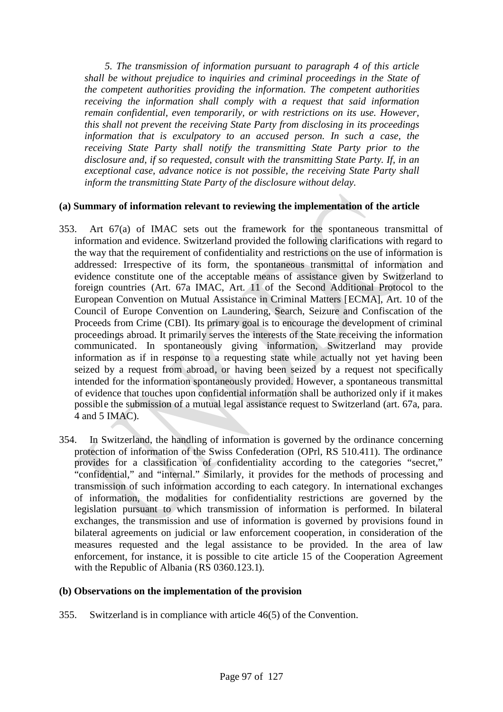*5. The transmission of information pursuant to paragraph 4 of this article shall be without prejudice to inquiries and criminal proceedings in the State of the competent authorities providing the information. The competent authorities receiving the information shall comply with a request that said information remain confidential, even temporarily, or with restrictions on its use. However, this shall not prevent the receiving State Party from disclosing in its proceedings information that is exculpatory to an accused person. In such a case, the receiving State Party shall notify the transmitting State Party prior to the disclosure and, if so requested, consult with the transmitting State Party. If, in an exceptional case, advance notice is not possible, the receiving State Party shall inform the transmitting State Party of the disclosure without delay.*

### **(a) Summary of information relevant to reviewing the implementation of the article**

- 353. Art 67(a) of IMAC sets out the framework for the spontaneous transmittal of information and evidence. Switzerland provided the following clarifications with regard to the way that the requirement of confidentiality and restrictions on the use of information is addressed: Irrespective of its form, the spontaneous transmittal of information and evidence constitute one of the acceptable means of assistance given by Switzerland to foreign countries (Art. 67a IMAC, Art. 11 of the Second Additional Protocol to the European Convention on Mutual Assistance in Criminal Matters [ECMA], Art. 10 of the Council of Europe Convention on Laundering, Search, Seizure and Confiscation of the Proceeds from Crime (CBI). Its primary goal is to encourage the development of criminal proceedings abroad. It primarily serves the interests of the State receiving the information communicated. In spontaneously giving information, Switzerland may provide information as if in response to a requesting state while actually not yet having been seized by a request from abroad, or having been seized by a request not specifically intended for the information spontaneously provided. However, a spontaneous transmittal of evidence that touches upon confidential information shall be authorized only if it makes possible the submission of a mutual legal assistance request to Switzerland (art. 67a, para. 4 and 5 IMAC).
- 354. In Switzerland, the handling of information is governed by the ordinance concerning protection of information of the Swiss Confederation (OPrl, RS 510.411). The ordinance provides for a classification of confidentiality according to the categories "secret," "confidential," and "internal." Similarly, it provides for the methods of processing and transmission of such information according to each category. In international exchanges of information, the modalities for confidentiality restrictions are governed by the legislation pursuant to which transmission of information is performed. In bilateral exchanges, the transmission and use of information is governed by provisions found in bilateral agreements on judicial or law enforcement cooperation, in consideration of the measures requested and the legal assistance to be provided. In the area of law enforcement, for instance, it is possible to cite article 15 of the Cooperation Agreement with the Republic of Albania (RS 0360.123.1).

### **(b) Observations on the implementation of the provision**

355. Switzerland is in compliance with article 46(5) of the Convention.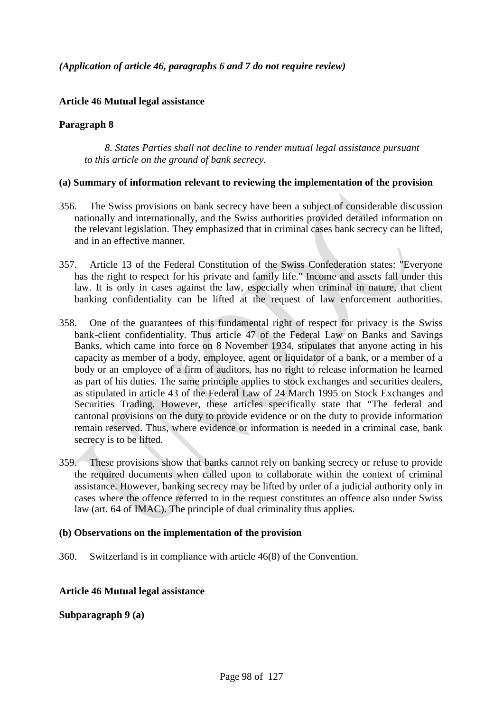*(Application of article 46, paragraphs 6 and 7 do not require review)*

# **Article 46 Mutual legal assistance**

### **Paragraph 8**

*8. States Parties shall not decline to render mutual legal assistance pursuant to this article on the ground of bank secrecy.*

#### **(a) Summary of information relevant to reviewing the implementation of the provision**

- 356. The Swiss provisions on bank secrecy have been a subject of considerable discussion nationally and internationally, and the Swiss authorities provided detailed information on the relevant legislation. They emphasized that in criminal cases bank secrecy can be lifted, and in an effective manner.
- 357. Article 13 of the Federal Constitution of the Swiss Confederation states: "Everyone has the right to respect for his private and family life." Income and assets fall under this law. It is only in cases against the law, especially when criminal in nature, that client banking confidentiality can be lifted at the request of law enforcement authorities.
- 358. One of the guarantees of this fundamental right of respect for privacy is the Swiss bank-client confidentiality. Thus article 47 of the Federal Law on Banks and Savings Banks, which came into force on 8 November 1934, stipulates that anyone acting in his capacity as member of a body, employee, agent or liquidator of a bank, or a member of a body or an employee of a firm of auditors, has no right to release information he learned as part of his duties. The same principle applies to stock exchanges and securities dealers, as stipulated in article 43 of the Federal Law of 24 March 1995 on Stock Exchanges and Securities Trading. However, these articles specifically state that "The federal and cantonal provisions on the duty to provide evidence or on the duty to provide information remain reserved. Thus, where evidence or information is needed in a criminal case, bank secrecy is to be lifted.
- 359. These provisions show that banks cannot rely on banking secrecy or refuse to provide the required documents when called upon to collaborate within the context of criminal assistance. However, banking secrecy may be lifted by order of a judicial authority only in cases where the offence referred to in the request constitutes an offence also under Swiss law (art. 64 of IMAC). The principle of dual criminality thus applies.

### **(b) Observations on the implementation of the provision**

360. Switzerland is in compliance with article 46(8) of the Convention.

### **Article 46 Mutual legal assistance**

### **Subparagraph 9 (a)**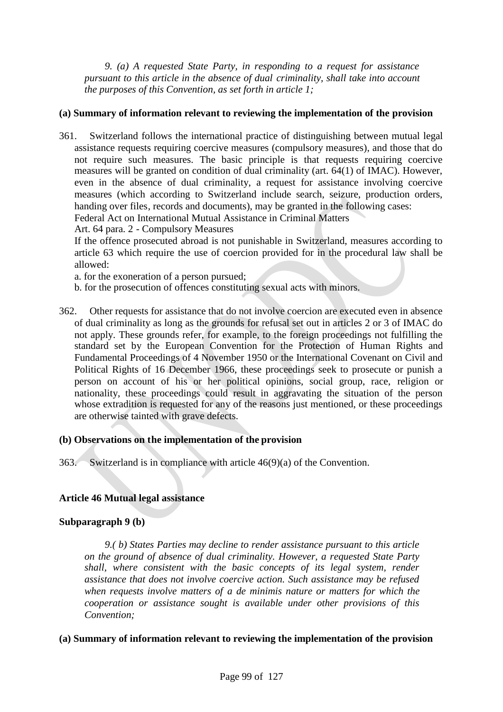*9. (a) A requested State Party, in responding to a request for assistance pursuant to this article in the absence of dual criminality, shall take into account the purposes of this Convention, as set forth in article 1;*

# **(a) Summary of information relevant to reviewing the implementation of the provision**

361. Switzerland follows the international practice of distinguishing between mutual legal assistance requests requiring coercive measures (compulsory measures), and those that do not require such measures. The basic principle is that requests requiring coercive measures will be granted on condition of dual criminality (art. 64(1) of IMAC). However, even in the absence of dual criminality, a request for assistance involving coercive measures (which according to Switzerland include search, seizure, production orders, handing over files, records and documents), may be granted in the following cases: Federal Act on International Mutual Assistance in Criminal Matters

Art. 64 para. 2 - Compulsory Measures

If the offence prosecuted abroad is not punishable in Switzerland, measures according to article 63 which require the use of coercion provided for in the procedural law shall be allowed:

a. for the exoneration of a person pursued;

- b. for the prosecution of offences constituting sexual acts with minors.
- 362. Other requests for assistance that do not involve coercion are executed even in absence of dual criminality as long as the grounds for refusal set out in articles 2 or 3 of IMAC do not apply. These grounds refer, for example, to the foreign proceedings not fulfilling the standard set by the European Convention for the Protection of Human Rights and Fundamental Proceedings of 4 November 1950 or the International Covenant on Civil and Political Rights of 16 December 1966, these proceedings seek to prosecute or punish a person on account of his or her political opinions, social group, race, religion or nationality, these proceedings could result in aggravating the situation of the person whose extradition is requested for any of the reasons just mentioned, or these proceedings are otherwise tainted with grave defects.

# **(b) Observations on the implementation of the provision**

363. Switzerland is in compliance with article 46(9)(a) of the Convention.

### **Article 46 Mutual legal assistance**

#### **Subparagraph 9 (b)**

*9.( b) States Parties may decline to render assistance pursuant to this article on the ground of absence of dual criminality. However, a requested State Party shall, where consistent with the basic concepts of its legal system, render assistance that does not involve coercive action. Such assistance may be refused when requests involve matters of a de minimis nature or matters for which the cooperation or assistance sought is available under other provisions of this Convention;*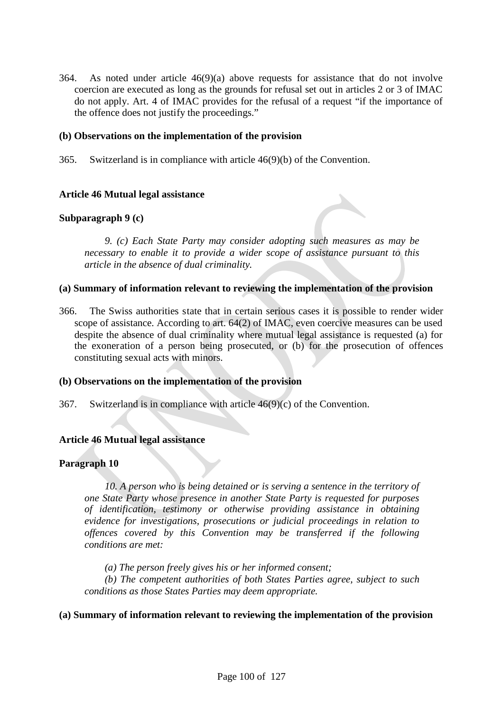364. As noted under article 46(9)(a) above requests for assistance that do not involve coercion are executed as long as the grounds for refusal set out in articles 2 or 3 of IMAC do not apply. Art. 4 of IMAC provides for the refusal of a request "if the importance of the offence does not justify the proceedings."

### **(b) Observations on the implementation of the provision**

365. Switzerland is in compliance with article 46(9)(b) of the Convention.

# **Article 46 Mutual legal assistance**

# **Subparagraph 9 (c)**

*9. (c) Each State Party may consider adopting such measures as may be necessary to enable it to provide a wider scope of assistance pursuant to this article in the absence of dual criminality.*

### **(a) Summary of information relevant to reviewing the implementation of the provision**

366. The Swiss authorities state that in certain serious cases it is possible to render wider scope of assistance. According to art. 64(2) of IMAC, even coercive measures can be used despite the absence of dual criminality where mutual legal assistance is requested (a) for the exoneration of a person being prosecuted, or (b) for the prosecution of offences constituting sexual acts with minors.

### **(b) Observations on the implementation of the provision**

367. Switzerland is in compliance with article  $46(9)(c)$  of the Convention.

# **Article 46 Mutual legal assistance**

# **Paragraph 10**

*10. A person who is being detained or is serving a sentence in the territory of one State Party whose presence in another State Party is requested for purposes of identification, testimony or otherwise providing assistance in obtaining evidence for investigations, prosecutions or judicial proceedings in relation to offences covered by this Convention may be transferred if the following conditions are met:*

*(a) The person freely gives his or her informed consent;*

*(b) The competent authorities of both States Parties agree, subject to such conditions as those States Parties may deem appropriate.*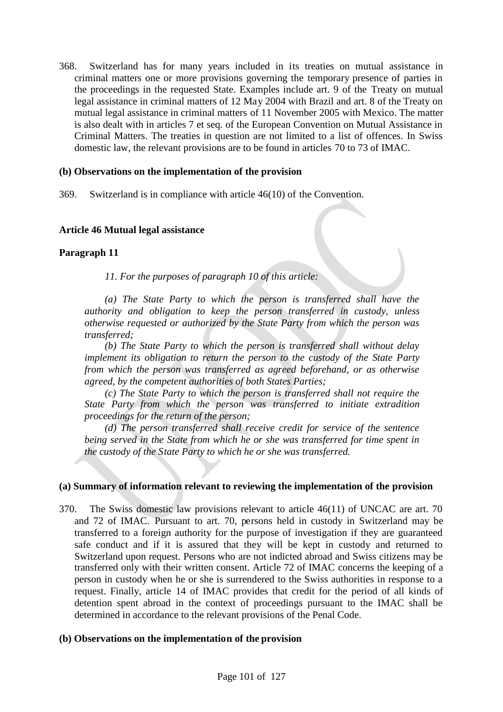368. Switzerland has for many years included in its treaties on mutual assistance in criminal matters one or more provisions governing the temporary presence of parties in the proceedings in the requested State. Examples include art. 9 of the Treaty on mutual legal assistance in criminal matters of 12 May 2004 with Brazil and art. 8 of the Treaty on mutual legal assistance in criminal matters of 11 November 2005 with Mexico. The matter is also dealt with in articles 7 et seq. of the European Convention on Mutual Assistance in Criminal Matters. The treaties in question are not limited to a list of offences. In Swiss domestic law, the relevant provisions are to be found in articles 70 to 73 of IMAC.

### **(b) Observations on the implementation of the provision**

369. Switzerland is in compliance with article 46(10) of the Convention.

# **Article 46 Mutual legal assistance**

# **Paragraph 11**

*11. For the purposes of paragraph 10 of this article:*

*(a) The State Party to which the person is transferred shall have the authority and obligation to keep the person transferred in custody, unless otherwise requested or authorized by the State Party from which the person was transferred;*

*(b) The State Party to which the person is transferred shall without delay implement its obligation to return the person to the custody of the State Party from which the person was transferred as agreed beforehand, or as otherwise agreed, by the competent authorities of both States Parties;*

*(c) The State Party to which the person is transferred shall not require the State Party from which the person was transferred to initiate extradition proceedings for the return of the person;*

*(d) The person transferred shall receive credit for service of the sentence being served in the State from which he or she was transferred for time spent in the custody of the State Party to which he or she was transferred.*

- 370. The Swiss domestic law provisions relevant to article 46(11) of UNCAC are art. 70 and 72 of IMAC. Pursuant to art. 70, persons held in custody in Switzerland may be transferred to a foreign authority for the purpose of investigation if they are guaranteed safe conduct and if it is assured that they will be kept in custody and returned to Switzerland upon request. Persons who are not indicted abroad and Swiss citizens may be transferred only with their written consent. Article 72 of IMAC concerns the keeping of a person in custody when he or she is surrendered to the Swiss authorities in response to a request. Finally, article 14 of IMAC provides that credit for the period of all kinds of detention spent abroad in the context of proceedings pursuant to the IMAC shall be determined in accordance to the relevant provisions of the Penal Code.
- **(b) Observations on the implementation of the provision**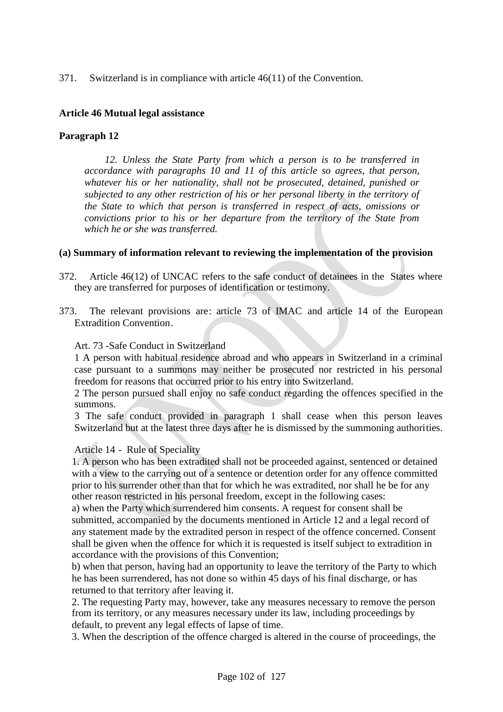# 371. Switzerland is in compliance with article 46(11) of the Convention.

### **Article 46 Mutual legal assistance**

### **Paragraph 12**

*12. Unless the State Party from which a person is to be transferred in accordance with paragraphs 10 and 11 of this article so agrees, that person, whatever his or her nationality, shall not be prosecuted, detained, punished or subjected to any other restriction of his or her personal liberty in the territory of the State to which that person is transferred in respect of acts, omissions or convictions prior to his or her departure from the territory of the State from which he or she was transferred.*

### **(a) Summary of information relevant to reviewing the implementation of the provision**

- 372. Article 46(12) of UNCAC refers to the safe conduct of detainees in the States where they are transferred for purposes of identification or testimony.
- 373. The relevant provisions are: article 73 of IMAC and article 14 of the European Extradition Convention.

#### Art. 73 -Safe Conduct in Switzerland

1 A person with habitual residence abroad and who appears in Switzerland in a criminal case pursuant to a summons may neither be prosecuted nor restricted in his personal freedom for reasons that occurred prior to his entry into Switzerland.

2 The person pursued shall enjoy no safe conduct regarding the offences specified in the summons.

3 The safe conduct provided in paragraph 1 shall cease when this person leaves Switzerland but at the latest three days after he is dismissed by the summoning authorities.

### Article 14 - Rule of Speciality

1. A person who has been extradited shall not be proceeded against, sentenced or detained with a view to the carrying out of a sentence or detention order for any offence committed prior to his surrender other than that for which he was extradited, nor shall he be for any other reason restricted in his personal freedom, except in the following cases:

a) when the Party which surrendered him consents. A request for consent shall be submitted, accompanied by the documents mentioned in Article 12 and a legal record of any statement made by the extradited person in respect of the offence concerned. Consent shall be given when the offence for which it is requested is itself subject to extradition in accordance with the provisions of this Convention;

b) when that person, having had an opportunity to leave the territory of the Party to which he has been surrendered, has not done so within 45 days of his final discharge, or has returned to that territory after leaving it.

2. The requesting Party may, however, take any measures necessary to remove the person from its territory, or any measures necessary under its law, including proceedings by default, to prevent any legal effects of lapse of time.

3. When the description of the offence charged is altered in the course of proceedings, the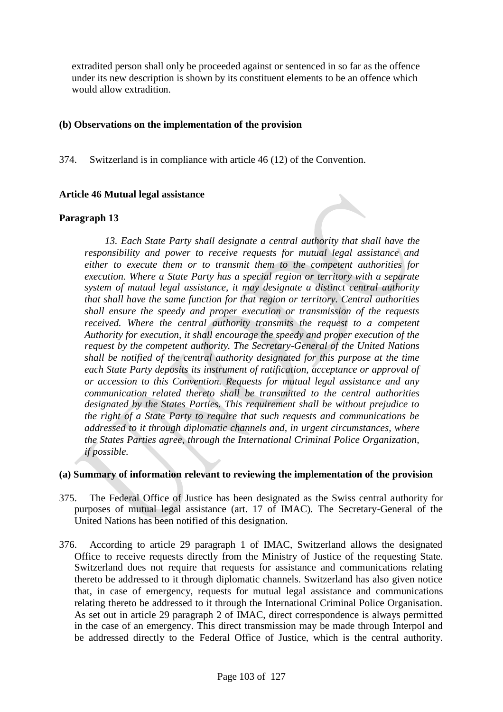extradited person shall only be proceeded against or sentenced in so far as the offence under its new description is shown by its constituent elements to be an offence which would allow extradition.

### **(b) Observations on the implementation of the provision**

374. Switzerland is in compliance with article 46 (12) of the Convention.

# **Article 46 Mutual legal assistance**

# **Paragraph 13**

*13. Each State Party shall designate a central authority that shall have the responsibility and power to receive requests for mutual legal assistance and either to execute them or to transmit them to the competent authorities for execution. Where a State Party has a special region or territory with a separate system of mutual legal assistance, it may designate a distinct central authority that shall have the same function for that region or territory. Central authorities shall ensure the speedy and proper execution or transmission of the requests received. Where the central authority transmits the request to a competent Authority for execution, it shall encourage the speedy and proper execution of the request by the competent authority. The Secretary-General of the United Nations shall be notified of the central authority designated for this purpose at the time each State Party deposits its instrument of ratification, acceptance or approval of or accession to this Convention. Requests for mutual legal assistance and any communication related thereto shall be transmitted to the central authorities designated by the States Parties. This requirement shall be without prejudice to the right of a State Party to require that such requests and communications be addressed to it through diplomatic channels and, in urgent circumstances, where the States Parties agree, through the International Criminal Police Organization, if possible.*

- 375. The Federal Office of Justice has been designated as the Swiss central authority for purposes of mutual legal assistance (art. 17 of IMAC). The Secretary-General of the United Nations has been notified of this designation.
- 376. According to article 29 paragraph 1 of IMAC, Switzerland allows the designated Office to receive requests directly from the Ministry of Justice of the requesting State. Switzerland does not require that requests for assistance and communications relating thereto be addressed to it through diplomatic channels. Switzerland has also given notice that, in case of emergency, requests for mutual legal assistance and communications relating thereto be addressed to it through the International Criminal Police Organisation. As set out in article 29 paragraph 2 of IMAC, direct correspondence is always permitted in the case of an emergency. This direct transmission may be made through Interpol and be addressed directly to the Federal Office of Justice, which is the central authority.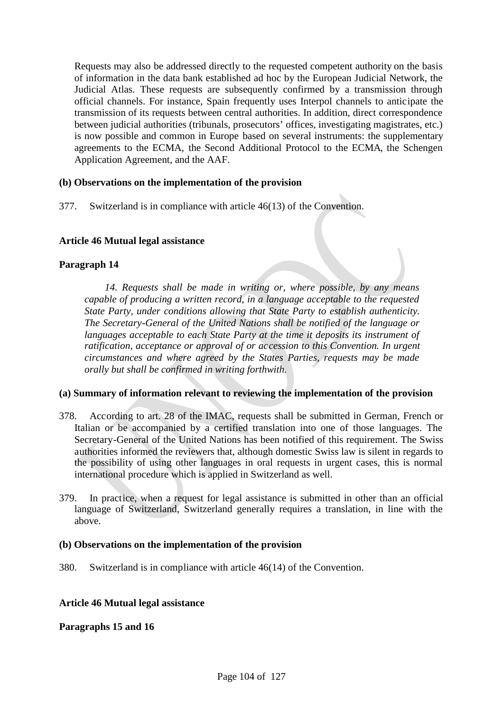Requests may also be addressed directly to the requested competent authority on the basis of information in the data bank established ad hoc by the European Judicial Network, the Judicial Atlas. These requests are subsequently confirmed by a transmission through official channels. For instance, Spain frequently uses Interpol channels to anticipate the transmission of its requests between central authorities. In addition, direct correspondence between judicial authorities (tribunals, prosecutors' offices, investigating magistrates, etc.) is now possible and common in Europe based on several instruments: the supplementary agreements to the ECMA, the Second Additional Protocol to the ECMA, the Schengen Application Agreement, and the AAF.

# **(b) Observations on the implementation of the provision**

377. Switzerland is in compliance with article 46(13) of the Convention.

# **Article 46 Mutual legal assistance**

# **Paragraph 14**

*14. Requests shall be made in writing or, where possible, by any means capable of producing a written record, in a language acceptable to the requested State Party, under conditions allowing that State Party to establish authenticity. The Secretary-General of the United Nations shall be notified of the language or languages acceptable to each State Party at the time it deposits its instrument of ratification, acceptance or approval of or accession to this Convention. In urgent circumstances and where agreed by the States Parties, requests may be made orally but shall be confirmed in writing forthwith.*

### **(a) Summary of information relevant to reviewing the implementation of the provision**

- 378. According to art. 28 of the IMAC, requests shall be submitted in German, French or Italian or be accompanied by a certified translation into one of those languages. The Secretary-General of the United Nations has been notified of this requirement. The Swiss authorities informed the reviewers that, although domestic Swiss law is silent in regards to the possibility of using other languages in oral requests in urgent cases, this is normal international procedure which is applied in Switzerland as well.
- 379. In practice, when a request for legal assistance is submitted in other than an official language of Switzerland, Switzerland generally requires a translation, in line with the above.

### **(b) Observations on the implementation of the provision**

380. Switzerland is in compliance with article 46(14) of the Convention.

### **Article 46 Mutual legal assistance**

### **Paragraphs 15 and 16**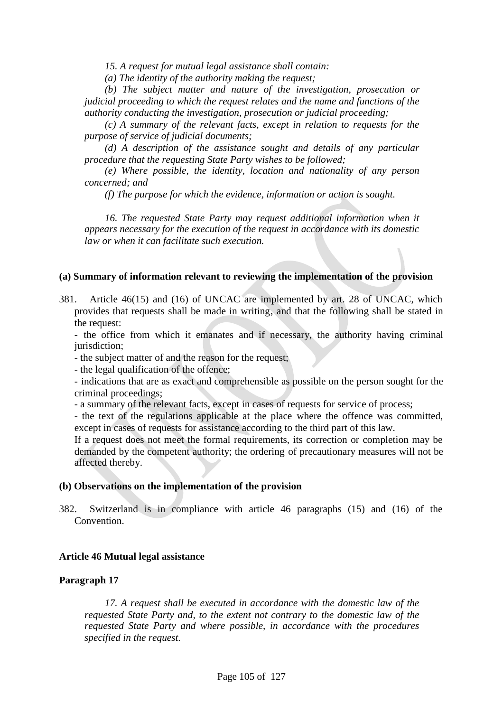*15. A request for mutual legal assistance shall contain:*

*(a) The identity of the authority making the request;*

*(b) The subject matter and nature of the investigation, prosecution or judicial proceeding to which the request relates and the name and functions of the authority conducting the investigation, prosecution or judicial proceeding;*

*(c) A summary of the relevant facts, except in relation to requests for the purpose of service of judicial documents;*

*(d) A description of the assistance sought and details of any particular procedure that the requesting State Party wishes to be followed;*

*(e) Where possible, the identity, location and nationality of any person concerned; and*

*(f) The purpose for which the evidence, information or action is sought.*

*16. The requested State Party may request additional information when it appears necessary for the execution of the request in accordance with its domestic law or when it can facilitate such execution.*

### **(a) Summary of information relevant to reviewing the implementation of the provision**

381. Article 46(15) and (16) of UNCAC are implemented by art. 28 of UNCAC, which provides that requests shall be made in writing, and that the following shall be stated in the request:

- the office from which it emanates and if necessary, the authority having criminal jurisdiction;

- the subject matter of and the reason for the request;

- the legal qualification of the offence;

- indications that are as exact and comprehensible as possible on the person sought for the criminal proceedings;

- a summary of the relevant facts, except in cases of requests for service of process;

- the text of the regulations applicable at the place where the offence was committed, except in cases of requests for assistance according to the third part of this law.

If a request does not meet the formal requirements, its correction or completion may be demanded by the competent authority; the ordering of precautionary measures will not be affected thereby.

### **(b) Observations on the implementation of the provision**

382. Switzerland is in compliance with article 46 paragraphs (15) and (16) of the Convention.

### **Article 46 Mutual legal assistance**

### **Paragraph 17**

*17. A request shall be executed in accordance with the domestic law of the requested State Party and, to the extent not contrary to the domestic law of the requested State Party and where possible, in accordance with the procedures specified in the request.*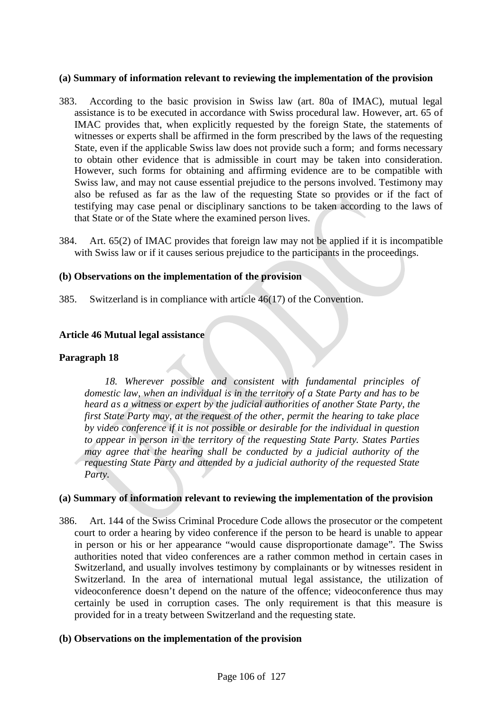#### **(a) Summary of information relevant to reviewing the implementation of the provision**

- 383. According to the basic provision in Swiss law (art. 80a of IMAC), mutual legal assistance is to be executed in accordance with Swiss procedural law. However, art. 65 of IMAC provides that, when explicitly requested by the foreign State, the statements of witnesses or experts shall be affirmed in the form prescribed by the laws of the requesting State, even if the applicable Swiss law does not provide such a form; and forms necessary to obtain other evidence that is admissible in court may be taken into consideration. However, such forms for obtaining and affirming evidence are to be compatible with Swiss law, and may not cause essential prejudice to the persons involved. Testimony may also be refused as far as the law of the requesting State so provides or if the fact of testifying may case penal or disciplinary sanctions to be taken according to the laws of that State or of the State where the examined person lives.
- 384. Art. 65(2) of IMAC provides that foreign law may not be applied if it is incompatible with Swiss law or if it causes serious prejudice to the participants in the proceedings.

#### **(b) Observations on the implementation of the provision**

385. Switzerland is in compliance with article 46(17) of the Convention.

#### **Article 46 Mutual legal assistance**

#### **Paragraph 18**

*18. Wherever possible and consistent with fundamental principles of domestic law, when an individual is in the territory of a State Party and has to be heard as a witness or expert by the judicial authorities of another State Party, the first State Party may, at the request of the other, permit the hearing to take place by video conference if it is not possible or desirable for the individual in question to appear in person in the territory of the requesting State Party. States Parties may agree that the hearing shall be conducted by a judicial authority of the requesting State Party and attended by a judicial authority of the requested State Party.*

#### **(a) Summary of information relevant to reviewing the implementation of the provision**

386. Art. 144 of the Swiss Criminal Procedure Code allows the prosecutor or the competent court to order a hearing by video conference if the person to be heard is unable to appear in person or his or her appearance "would cause disproportionate damage". The Swiss authorities noted that video conferences are a rather common method in certain cases in Switzerland, and usually involves testimony by complainants or by witnesses resident in Switzerland. In the area of international mutual legal assistance, the utilization of videoconference doesn't depend on the nature of the offence; videoconference thus may certainly be used in corruption cases. The only requirement is that this measure is provided for in a treaty between Switzerland and the requesting state.

#### **(b) Observations on the implementation of the provision**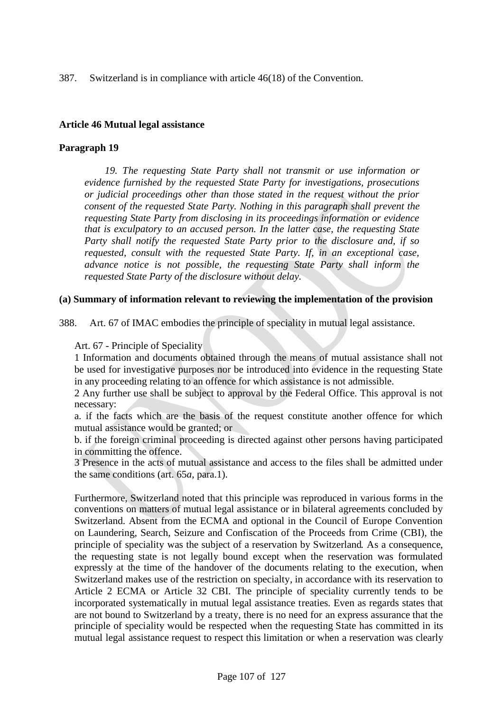387. Switzerland is in compliance with article 46(18) of the Convention.

### **Article 46 Mutual legal assistance**

# **Paragraph 19**

*19. The requesting State Party shall not transmit or use information or evidence furnished by the requested State Party for investigations, prosecutions or judicial proceedings other than those stated in the request without the prior consent of the requested State Party. Nothing in this paragraph shall prevent the requesting State Party from disclosing in its proceedings information or evidence that is exculpatory to an accused person. In the latter case, the requesting State Party shall notify the requested State Party prior to the disclosure and, if so requested, consult with the requested State Party. If, in an exceptional case, advance notice is not possible, the requesting State Party shall inform the requested State Party of the disclosure without delay.*

### **(a) Summary of information relevant to reviewing the implementation of the provision**

388. Art. 67 of IMAC embodies the principle of speciality in mutual legal assistance.

# Art. 67 - Principle of Speciality

1 Information and documents obtained through the means of mutual assistance shall not be used for investigative purposes nor be introduced into evidence in the requesting State in any proceeding relating to an offence for which assistance is not admissible.

2 Any further use shall be subject to approval by the Federal Office. This approval is not necessary:

a. if the facts which are the basis of the request constitute another offence for which mutual assistance would be granted; or

b. if the foreign criminal proceeding is directed against other persons having participated in committing the offence.

3 Presence in the acts of mutual assistance and access to the files shall be admitted under the same conditions (art. 65*a*, para.1).

Furthermore, Switzerland noted that this principle was reproduced in various forms in the conventions on matters of mutual legal assistance or in bilateral agreements concluded by Switzerland. Absent from the ECMA and optional in the Council of Europe Convention on Laundering, Search, Seizure and Confiscation of the Proceeds from Crime (CBI), the principle of speciality was the subject of a reservation by Switzerland. As a consequence, the requesting state is not legally bound except when the reservation was formulated expressly at the time of the handover of the documents relating to the execution, when Switzerland makes use of the restriction on specialty, in accordance with its reservation to Article 2 ECMA or Article 32 CBI. The principle of speciality currently tends to be incorporated systematically in mutual legal assistance treaties. Even as regards states that are not bound to Switzerland by a treaty, there is no need for an express assurance that the principle of speciality would be respected when the requesting State has committed in its mutual legal assistance request to respect this limitation or when a reservation was clearly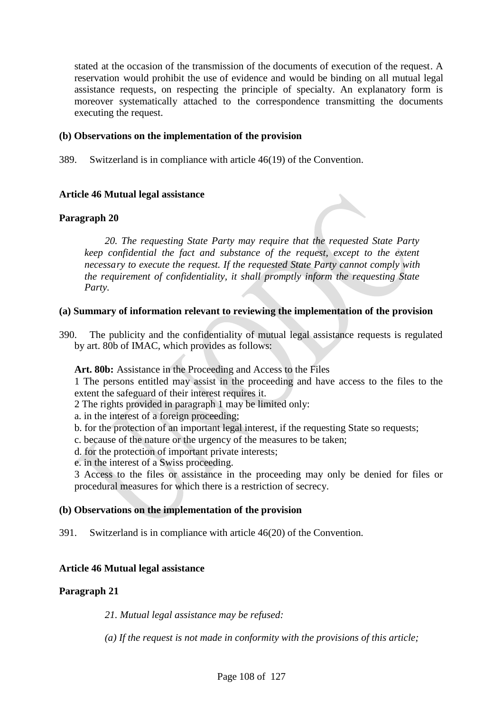stated at the occasion of the transmission of the documents of execution of the request. A reservation would prohibit the use of evidence and would be binding on all mutual legal assistance requests, on respecting the principle of specialty. An explanatory form is moreover systematically attached to the correspondence transmitting the documents executing the request.

# **(b) Observations on the implementation of the provision**

389. Switzerland is in compliance with article 46(19) of the Convention.

# **Article 46 Mutual legal assistance**

# **Paragraph 20**

*20. The requesting State Party may require that the requested State Party keep confidential the fact and substance of the request, except to the extent necessary to execute the request. If the requested State Party cannot comply with the requirement of confidentiality, it shall promptly inform the requesting State Party.*

### **(a) Summary of information relevant to reviewing the implementation of the provision**

390. The publicity and the confidentiality of mutual legal assistance requests is regulated by art. 80b of IMAC, which provides as follows:

**Art. 80b:** Assistance in the Proceeding and Access to the Files

1 The persons entitled may assist in the proceeding and have access to the files to the extent the safeguard of their interest requires it.

2 The rights provided in paragraph 1 may be limited only:

a. in the interest of a foreign proceeding;

- b. for the protection of an important legal interest, if the requesting State so requests;
- c. because of the nature or the urgency of the measures to be taken;
- d. for the protection of important private interests;
- e. in the interest of a Swiss proceeding.

3 Access to the files or assistance in the proceeding may only be denied for files or procedural measures for which there is a restriction of secrecy.

### **(b) Observations on the implementation of the provision**

391. Switzerland is in compliance with article 46(20) of the Convention.

# **Article 46 Mutual legal assistance**

### **Paragraph 21**

*21. Mutual legal assistance may be refused:*

*(a) If the request is not made in conformity with the provisions of this article;*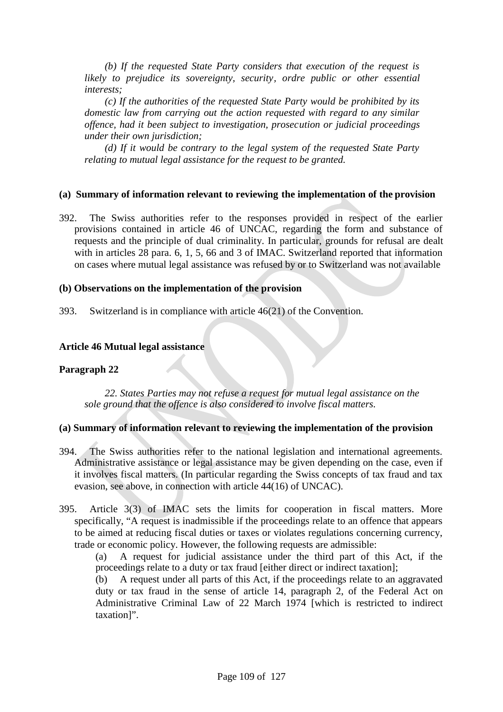*(b) If the requested State Party considers that execution of the request is likely to prejudice its sovereignty, security, ordre public or other essential interests;*

*(c) If the authorities of the requested State Party would be prohibited by its domestic law from carrying out the action requested with regard to any similar offence, had it been subject to investigation, prosecution or judicial proceedings under their own jurisdiction;*

*(d) If it would be contrary to the legal system of the requested State Party relating to mutual legal assistance for the request to be granted.*

## **(a) Summary of information relevant to reviewing the implementation of the provision**

392. The Swiss authorities refer to the responses provided in respect of the earlier provisions contained in article 46 of UNCAC, regarding the form and substance of requests and the principle of dual criminality. In particular, grounds for refusal are dealt with in articles 28 para. 6, 1, 5, 66 and 3 of IMAC. Switzerland reported that information on cases where mutual legal assistance was refused by or to Switzerland was not available

## **(b) Observations on the implementation of the provision**

393. Switzerland is in compliance with article 46(21) of the Convention.

## **Article 46 Mutual legal assistance**

## **Paragraph 22**

*22. States Parties may not refuse a request for mutual legal assistance on the sole ground that the offence is also considered to involve fiscal matters.*

## **(a) Summary of information relevant to reviewing the implementation of the provision**

- 394. The Swiss authorities refer to the national legislation and international agreements. Administrative assistance or legal assistance may be given depending on the case, even if it involves fiscal matters. (In particular regarding the Swiss concepts of tax fraud and tax evasion, see above, in connection with article 44(16) of UNCAC).
- 395. Article 3(3) of IMAC sets the limits for cooperation in fiscal matters. More specifically, "A request is inadmissible if the proceedings relate to an offence that appears to be aimed at reducing fiscal duties or taxes or violates regulations concerning currency, trade or economic policy. However, the following requests are admissible:

(a) A request for judicial assistance under the third part of this Act, if the proceedings relate to a duty or tax fraud [either direct or indirect taxation];

(b) A request under all parts of this Act, if the proceedings relate to an aggravated duty or tax fraud in the sense of article 14, paragraph 2, of the Federal Act on Administrative Criminal Law of 22 March 1974 [which is restricted to indirect taxation]".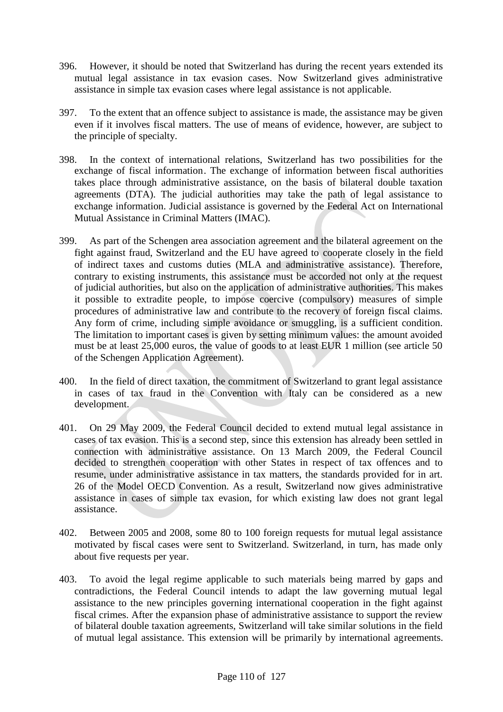- 396. However, it should be noted that Switzerland has during the recent years extended its mutual legal assistance in tax evasion cases. Now Switzerland gives administrative assistance in simple tax evasion cases where legal assistance is not applicable.
- 397. To the extent that an offence subject to assistance is made, the assistance may be given even if it involves fiscal matters. The use of means of evidence, however, are subject to the principle of specialty.
- 398. In the context of international relations, Switzerland has two possibilities for the exchange of fiscal information. The exchange of information between fiscal authorities takes place through administrative assistance, on the basis of bilateral double taxation agreements (DTA). The judicial authorities may take the path of legal assistance to exchange information. Judicial assistance is governed by the Federal Act on International Mutual Assistance in Criminal Matters (IMAC).
- 399. As part of the Schengen area association agreement and the bilateral agreement on the fight against fraud, Switzerland and the EU have agreed to cooperate closely in the field of indirect taxes and customs duties (MLA and administrative assistance). Therefore, contrary to existing instruments, this assistance must be accorded not only at the request of judicial authorities, but also on the application of administrative authorities. This makes it possible to extradite people, to impose coercive (compulsory) measures of simple procedures of administrative law and contribute to the recovery of foreign fiscal claims. Any form of crime, including simple avoidance or smuggling, is a sufficient condition. The limitation to important cases is given by setting minimum values: the amount avoided must be at least 25,000 euros, the value of goods to at least EUR 1 million (see article 50 of the Schengen Application Agreement).
- 400. In the field of direct taxation, the commitment of Switzerland to grant legal assistance in cases of tax fraud in the Convention with Italy can be considered as a new development.
- 401. On 29 May 2009, the Federal Council decided to extend mutual legal assistance in cases of tax evasion. This is a second step, since this extension has already been settled in connection with administrative assistance. On 13 March 2009, the Federal Council decided to strengthen cooperation with other States in respect of tax offences and to resume, under administrative assistance in tax matters, the standards provided for in art. 26 of the Model OECD Convention. As a result, Switzerland now gives administrative assistance in cases of simple tax evasion, for which existing law does not grant legal assistance.
- 402. Between 2005 and 2008, some 80 to 100 foreign requests for mutual legal assistance motivated by fiscal cases were sent to Switzerland. Switzerland, in turn, has made only about five requests per year.
- 403. To avoid the legal regime applicable to such materials being marred by gaps and contradictions, the Federal Council intends to adapt the law governing mutual legal assistance to the new principles governing international cooperation in the fight against fiscal crimes. After the expansion phase of administrative assistance to support the review of bilateral double taxation agreements, Switzerland will take similar solutions in the field of mutual legal assistance. This extension will be primarily by international agreements.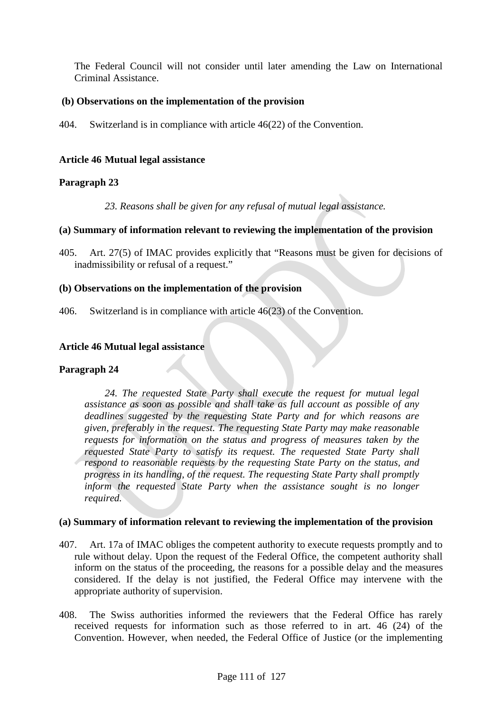The Federal Council will not consider until later amending the Law on International Criminal Assistance.

# **(b) Observations on the implementation of the provision**

404. Switzerland is in compliance with article 46(22) of the Convention.

## **Article 46 Mutual legal assistance**

## **Paragraph 23**

*23. Reasons shall be given for any refusal of mutual legal assistance.*

# **(a) Summary of information relevant to reviewing the implementation of the provision**

405. Art. 27(5) of IMAC provides explicitly that "Reasons must be given for decisions of inadmissibility or refusal of a request."

## **(b) Observations on the implementation of the provision**

406. Switzerland is in compliance with article 46(23) of the Convention.

## **Article 46 Mutual legal assistance**

## **Paragraph 24**

*24. The requested State Party shall execute the request for mutual legal assistance as soon as possible and shall take as full account as possible of any deadlines suggested by the requesting State Party and for which reasons are given, preferably in the request. The requesting State Party may make reasonable requests for information on the status and progress of measures taken by the requested State Party to satisfy its request. The requested State Party shall respond to reasonable requests by the requesting State Party on the status, and progress in its handling, of the request. The requesting State Party shall promptly inform the requested State Party when the assistance sought is no longer required.*

- 407. Art. 17a of IMAC obliges the competent authority to execute requests promptly and to rule without delay. Upon the request of the Federal Office, the competent authority shall inform on the status of the proceeding, the reasons for a possible delay and the measures considered. If the delay is not justified, the Federal Office may intervene with the appropriate authority of supervision.
- 408. The Swiss authorities informed the reviewers that the Federal Office has rarely received requests for information such as those referred to in art. 46 (24) of the Convention. However, when needed, the Federal Office of Justice (or the implementing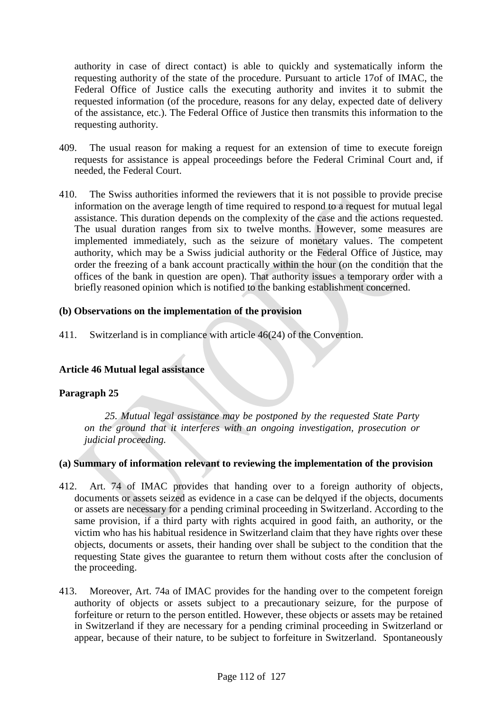authority in case of direct contact) is able to quickly and systematically inform the requesting authority of the state of the procedure. Pursuant to article 17of of IMAC, the Federal Office of Justice calls the executing authority and invites it to submit the requested information (of the procedure, reasons for any delay, expected date of delivery of the assistance, etc.). The Federal Office of Justice then transmits this information to the requesting authority.

- 409. The usual reason for making a request for an extension of time to execute foreign requests for assistance is appeal proceedings before the Federal Criminal Court and, if needed, the Federal Court.
- 410. The Swiss authorities informed the reviewers that it is not possible to provide precise information on the average length of time required to respond to a request for mutual legal assistance. This duration depends on the complexity of the case and the actions requested. The usual duration ranges from six to twelve months. However, some measures are implemented immediately, such as the seizure of monetary values. The competent authority, which may be a Swiss judicial authority or the Federal Office of Justice, may order the freezing of a bank account practically within the hour (on the condition that the offices of the bank in question are open). That authority issues a temporary order with a briefly reasoned opinion which is notified to the banking establishment concerned.

## **(b) Observations on the implementation of the provision**

411. Switzerland is in compliance with article 46(24) of the Convention.

# **Article 46 Mutual legal assistance**

## **Paragraph 25**

*25. Mutual legal assistance may be postponed by the requested State Party on the ground that it interferes with an ongoing investigation, prosecution or judicial proceeding.*

- 412. Art. 74 of IMAC provides that handing over to a foreign authority of objects, documents or assets seized as evidence in a case can be delayed if the objects, documents or assets are necessary for a pending criminal proceeding in Switzerland. According to the same provision, if a third party with rights acquired in good faith, an authority, or the victim who has his habitual residence in Switzerland claim that they have rights over these objects, documents or assets, their handing over shall be subject to the condition that the requesting State gives the guarantee to return them without costs after the conclusion of the proceeding.
- 413. Moreover, Art. 74a of IMAC provides for the handing over to the competent foreign authority of objects or assets subject to a precautionary seizure, for the purpose of forfeiture or return to the person entitled. However, these objects or assets may be retained in Switzerland if they are necessary for a pending criminal proceeding in Switzerland or appear, because of their nature, to be subject to forfeiture in Switzerland. Spontaneously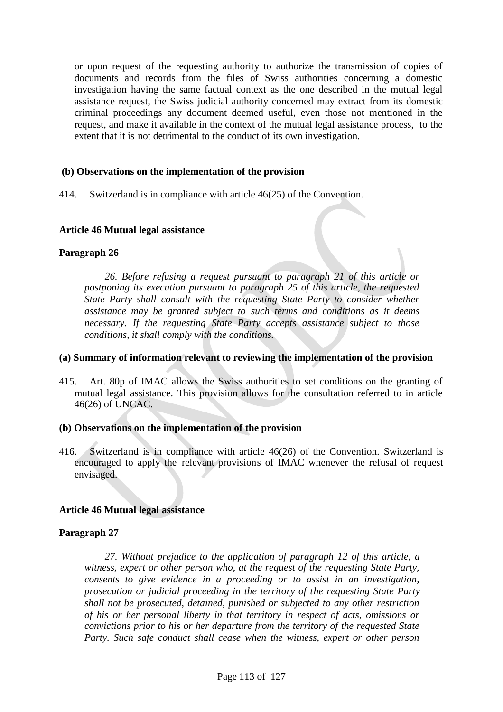or upon request of the requesting authority to authorize the transmission of copies of documents and records from the files of Swiss authorities concerning a domestic investigation having the same factual context as the one described in the mutual legal assistance request, the Swiss judicial authority concerned may extract from its domestic criminal proceedings any document deemed useful, even those not mentioned in the request, and make it available in the context of the mutual legal assistance process, to the extent that it is not detrimental to the conduct of its own investigation.

# **(b) Observations on the implementation of the provision**

414. Switzerland is in compliance with article 46(25) of the Convention.

## **Article 46 Mutual legal assistance**

## **Paragraph 26**

*26. Before refusing a request pursuant to paragraph 21 of this article or postponing its execution pursuant to paragraph 25 of this article, the requested State Party shall consult with the requesting State Party to consider whether assistance may be granted subject to such terms and conditions as it deems necessary. If the requesting State Party accepts assistance subject to those conditions, it shall comply with the conditions.*

## **(a) Summary of information relevant to reviewing the implementation of the provision**

415. Art. 80p of IMAC allows the Swiss authorities to set conditions on the granting of mutual legal assistance. This provision allows for the consultation referred to in article 46(26) of UNCAC.

## **(b) Observations on the implementation of the provision**

416. Switzerland is in compliance with article 46(26) of the Convention. Switzerland is encouraged to apply the relevant provisions of IMAC whenever the refusal of request envisaged.

## **Article 46 Mutual legal assistance**

## **Paragraph 27**

*27. Without prejudice to the application of paragraph 12 of this article, a witness, expert or other person who, at the request of the requesting State Party, consents to give evidence in a proceeding or to assist in an investigation, prosecution or judicial proceeding in the territory of the requesting State Party shall not be prosecuted, detained, punished or subjected to any other restriction of his or her personal liberty in that territory in respect of acts, omissions or convictions prior to his or her departure from the territory of the requested State Party. Such safe conduct shall cease when the witness, expert or other person*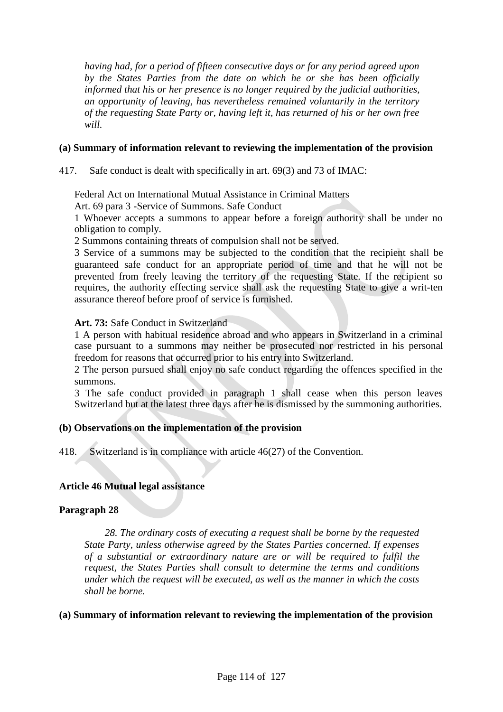*having had, for a period of fifteen consecutive days or for any period agreed upon by the States Parties from the date on which he or she has been officially informed that his or her presence is no longer required by the judicial authorities, an opportunity of leaving, has nevertheless remained voluntarily in the territory of the requesting State Party or, having left it, has returned of his or her own free will.*

## **(a) Summary of information relevant to reviewing the implementation of the provision**

417. Safe conduct is dealt with specifically in art. 69(3) and 73 of IMAC:

Federal Act on International Mutual Assistance in Criminal Matters

Art. 69 para 3 -Service of Summons. Safe Conduct

1 Whoever accepts a summons to appear before a foreign authority shall be under no obligation to comply.

2 Summons containing threats of compulsion shall not be served.

3 Service of a summons may be subjected to the condition that the recipient shall be guaranteed safe conduct for an appropriate period of time and that he will not be prevented from freely leaving the territory of the requesting State. If the recipient so requires, the authority effecting service shall ask the requesting State to give a writ-ten assurance thereof before proof of service is furnished.

## **Art. 73:** Safe Conduct in Switzerland

1 A person with habitual residence abroad and who appears in Switzerland in a criminal case pursuant to a summons may neither be prosecuted nor restricted in his personal freedom for reasons that occurred prior to his entry into Switzerland.

2 The person pursued shall enjoy no safe conduct regarding the offences specified in the summons.

3 The safe conduct provided in paragraph 1 shall cease when this person leaves Switzerland but at the latest three days after he is dismissed by the summoning authorities.

# **(b) Observations on the implementation of the provision**

418. Switzerland is in compliance with article 46(27) of the Convention.

# **Article 46 Mutual legal assistance**

## **Paragraph 28**

*28. The ordinary costs of executing a request shall be borne by the requested State Party, unless otherwise agreed by the States Parties concerned. If expenses of a substantial or extraordinary nature are or will be required to fulfil the request, the States Parties shall consult to determine the terms and conditions under which the request will be executed, as well as the manner in which the costs shall be borne.*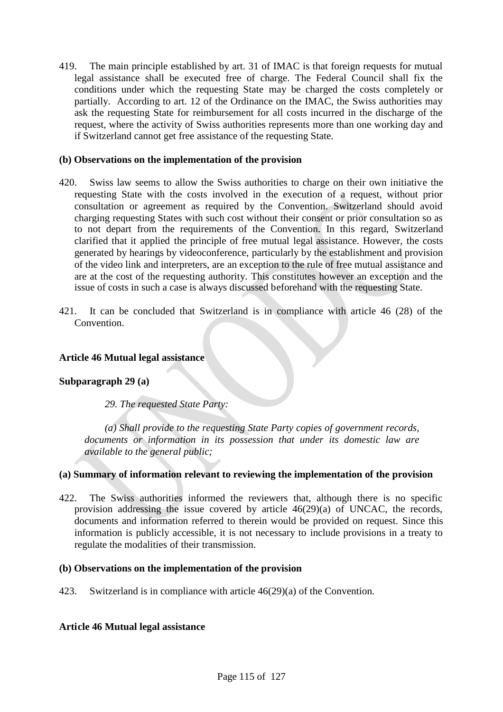419. The main principle established by art. 31 of IMAC is that foreign requests for mutual legal assistance shall be executed free of charge. The Federal Council shall fix the conditions under which the requesting State may be charged the costs completely or partially. According to art. 12 of the Ordinance on the IMAC, the Swiss authorities may ask the requesting State for reimbursement for all costs incurred in the discharge of the request, where the activity of Swiss authorities represents more than one working day and if Switzerland cannot get free assistance of the requesting State.

# **(b) Observations on the implementation of the provision**

- 420. Swiss law seems to allow the Swiss authorities to charge on their own initiative the requesting State with the costs involved in the execution of a request, without prior consultation or agreement as required by the Convention. Switzerland should avoid charging requesting States with such cost without their consent or prior consultation so as to not depart from the requirements of the Convention. In this regard, Switzerland clarified that it applied the principle of free mutual legal assistance. However, the costs generated by hearings by videoconference, particularly by the establishment and provision of the video link and interpreters, are an exception to the rule of free mutual assistance and are at the cost of the requesting authority. This constitutes however an exception and the issue of costs in such a case is always discussed beforehand with the requesting State.
- 421. It can be concluded that Switzerland is in compliance with article 46 (28) of the Convention.

# **Article 46 Mutual legal assistance**

## **Subparagraph 29 (a)**

*29. The requested State Party:*

*(a) Shall provide to the requesting State Party copies of government records, documents or information in its possession that under its domestic law are available to the general public;*

## **(a) Summary of information relevant to reviewing the implementation of the provision**

422. The Swiss authorities informed the reviewers that, although there is no specific provision addressing the issue covered by article 46(29)(a) of UNCAC, the records, documents and information referred to therein would be provided on request. Since this information is publicly accessible, it is not necessary to include provisions in a treaty to regulate the modalities of their transmission.

## **(b) Observations on the implementation of the provision**

423. Switzerland is in compliance with article 46(29)(a) of the Convention.

## **Article 46 Mutual legal assistance**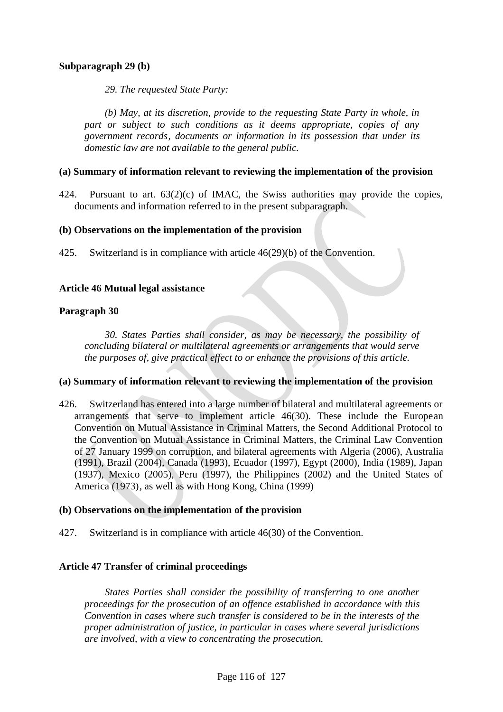# **Subparagraph 29 (b)**

*29. The requested State Party:*

*(b) May, at its discretion, provide to the requesting State Party in whole, in part or subject to such conditions as it deems appropriate, copies of any government records, documents or information in its possession that under its domestic law are not available to the general public.*

## **(a) Summary of information relevant to reviewing the implementation of the provision**

424. Pursuant to art. 63(2)(c) of IMAC, the Swiss authorities may provide the copies, documents and information referred to in the present subparagraph.

## **(b) Observations on the implementation of the provision**

425. Switzerland is in compliance with article 46(29)(b) of the Convention.

## **Article 46 Mutual legal assistance**

## **Paragraph 30**

*30. States Parties shall consider, as may be necessary, the possibility of concluding bilateral or multilateral agreements or arrangements that would serve the purposes of, give practical effect to or enhance the provisions of this article.*

## **(a) Summary of information relevant to reviewing the implementation of the provision**

426. Switzerland has entered into a large number of bilateral and multilateral agreements or arrangements that serve to implement article 46(30). These include the European Convention on Mutual Assistance in Criminal Matters, the Second Additional Protocol to the Convention on Mutual Assistance in Criminal Matters, the Criminal Law Convention of 27 January 1999 on corruption, and bilateral agreements with Algeria (2006), Australia (1991), Brazil (2004), Canada (1993), Ecuador (1997), Egypt (2000), India (1989), Japan (1937), Mexico (2005), Peru (1997), the Philippines (2002) and the United States of America (1973), as well as with Hong Kong, China (1999)

## **(b) Observations on the implementation of the provision**

427. Switzerland is in compliance with article 46(30) of the Convention.

## **Article 47 Transfer of criminal proceedings**

*States Parties shall consider the possibility of transferring to one another proceedings for the prosecution of an offence established in accordance with this Convention in cases where such transfer is considered to be in the interests of the proper administration of justice, in particular in cases where several jurisdictions are involved, with a view to concentrating the prosecution.*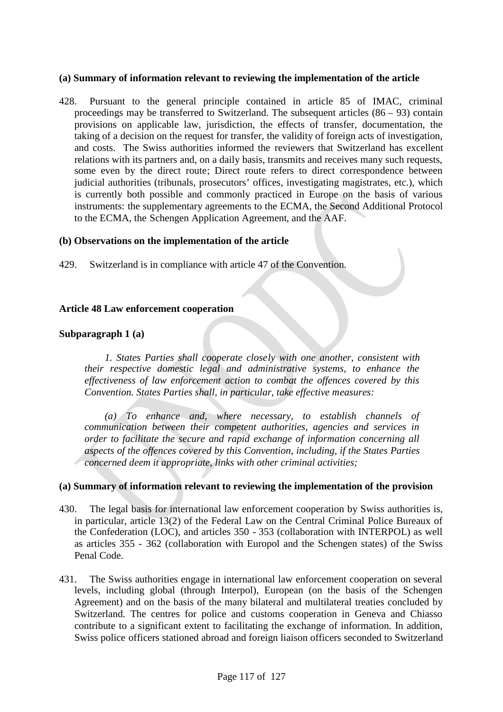#### **(a) Summary of information relevant to reviewing the implementation of the article**

428. Pursuant to the general principle contained in article 85 of IMAC, criminal proceedings may be transferred to Switzerland. The subsequent articles  $(86 - 93)$  contain provisions on applicable law, jurisdiction, the effects of transfer, documentation, the taking of a decision on the request for transfer, the validity of foreign acts of investigation, and costs. The Swiss authorities informed the reviewers that Switzerland has excellent relations with its partners and, on a daily basis, transmits and receives many such requests, some even by the direct route; Direct route refers to direct correspondence between judicial authorities (tribunals, prosecutors' offices, investigating magistrates, etc.), which is currently both possible and commonly practiced in Europe on the basis of various instruments: the supplementary agreements to the ECMA, the Second Additional Protocol to the ECMA, the Schengen Application Agreement, and the AAF.

#### **(b) Observations on the implementation of the article**

429. Switzerland is in compliance with article 47 of the Convention.

## **Article 48 Law enforcement cooperation**

## **Subparagraph 1 (a)**

*1. States Parties shall cooperate closely with one another, consistent with their respective domestic legal and administrative systems, to enhance the effectiveness of law enforcement action to combat the offences covered by this Convention. States Parties shall, in particular, take effective measures:*

*(a) To enhance and, where necessary, to establish channels of communication between their competent authorities, agencies and services in order to facilitate the secure and rapid exchange of information concerning all aspects of the offences covered by this Convention, including, if the States Parties concerned deem it appropriate, links with other criminal activities;*

- 430. The legal basis for international law enforcement cooperation by Swiss authorities is, in particular, article 13(2) of the Federal Law on the Central Criminal Police Bureaux of the Confederation (LOC), and articles 350 - 353 (collaboration with INTERPOL) as well as articles 355 - 362 (collaboration with Europol and the Schengen states) of the Swiss Penal Code.
- 431. The Swiss authorities engage in international law enforcement cooperation on several levels, including global (through Interpol), European (on the basis of the Schengen Agreement) and on the basis of the many bilateral and multilateral treaties concluded by Switzerland. The centres for police and customs cooperation in Geneva and Chiasso contribute to a significant extent to facilitating the exchange of information. In addition, Swiss police officers stationed abroad and foreign liaison officers seconded to Switzerland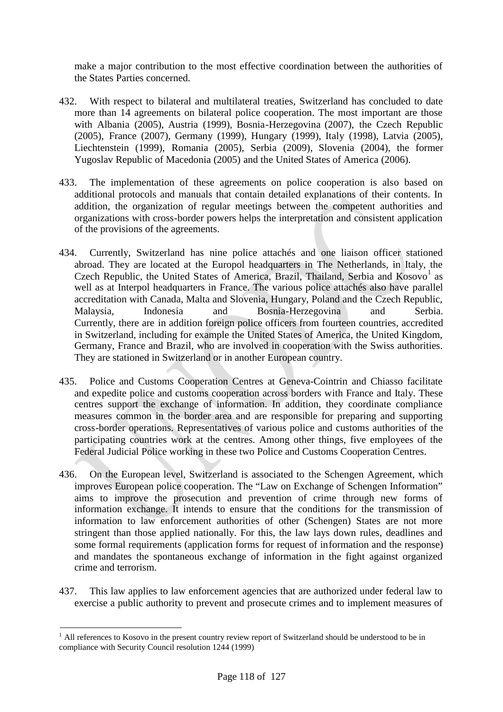make a major contribution to the most effective coordination between the authorities of the States Parties concerned.

- 432. With respect to bilateral and multilateral treaties, Switzerland has concluded to date more than 14 agreements on bilateral police cooperation. The most important are those with Albania (2005), Austria (1999), Bosnia-Herzegovina (2007), the Czech Republic (2005), France (2007), Germany (1999), Hungary (1999), Italy (1998), Latvia (2005), Liechtenstein (1999), Romania (2005), Serbia (2009), Slovenia (2004), the former Yugoslav Republic of Macedonia (2005) and the United States of America (2006).
- 433. The implementation of these agreements on police cooperation is also based on additional protocols and manuals that contain detailed explanations of their contents. In addition, the organization of regular meetings between the competent authorities and organizations with cross-border powers helps the interpretation and consistent application of the provisions of the agreements.
- 434. Currently, Switzerland has nine police attachés and one liaison officer stationed abroad. They are located at the Europol headquarters in The Netherlands, in Italy, the Czech Republic, the United States of America, Brazil, Thailand, Serbia and Kosovo<sup>1</sup> as well as at Interpol headquarters in France. The various police attachés also have parallel accreditation with Canada, Malta and Slovenia, Hungary, Poland and the Czech Republic, Malaysia, Indonesia and Bosnia-Herzegovina and Serbia. Currently, there are in addition foreign police officers from fourteen countries, accredited in Switzerland, including for example the United States of America, the United Kingdom, Germany, France and Brazil, who are involved in cooperation with the Swiss authorities. They are stationed in Switzerland or in another European country.
- 435. Police and Customs Cooperation Centres at Geneva-Cointrin and Chiasso facilitate and expedite police and customs cooperation across borders with France and Italy. These centres support the exchange of information. In addition, they coordinate compliance measures common in the border area and are responsible for preparing and supporting cross-border operations. Representatives of various police and customs authorities of the participating countries work at the centres. Among other things, five employees of the Federal Judicial Police working in these two Police and Customs Cooperation Centres.
- 436. On the European level, Switzerland is associated to the Schengen Agreement, which improves European police cooperation. The "Law on Exchange of Schengen Information" aims to improve the prosecution and prevention of crime through new forms of information exchange. It intends to ensure that the conditions for the transmission of information to law enforcement authorities of other (Schengen) States are not more stringent than those applied nationally. For this, the law lays down rules, deadlines and some formal requirements (application forms for request of information and the response) and mandates the spontaneous exchange of information in the fight against organized crime and terrorism.
- 437. This law applies to law enforcement agencies that are authorized under federal law to exercise a public authority to prevent and prosecute crimes and to implement measures of

<sup>&</sup>lt;sup>1</sup> All references to Kosovo in the present country review report of Switzerland should be understood to be in compliance with Security Council resolution 1244 (1999)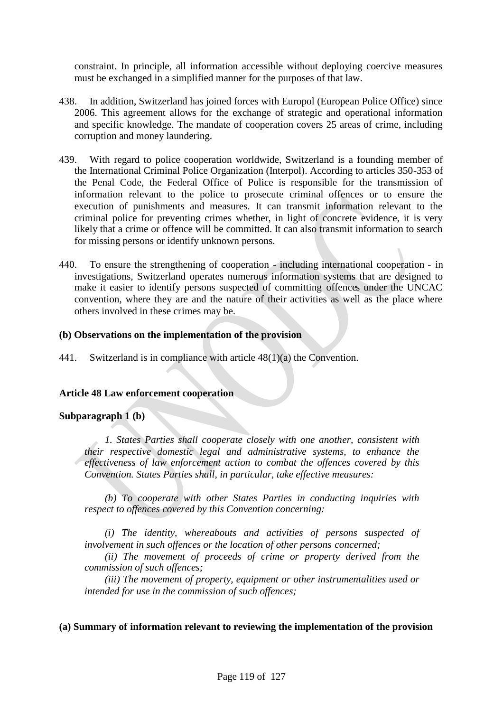constraint. In principle, all information accessible without deploying coercive measures must be exchanged in a simplified manner for the purposes of that law.

- 438. In addition, Switzerland has joined forces with Europol (European Police Office) since 2006. This agreement allows for the exchange of strategic and operational information and specific knowledge. The mandate of cooperation covers 25 areas of crime, including corruption and money laundering.
- 439. With regard to police cooperation worldwide, Switzerland is a founding member of the International Criminal Police Organization (Interpol). According to articles 350-353 of the Penal Code, the Federal Office of Police is responsible for the transmission of information relevant to the police to prosecute criminal offences or to ensure the execution of punishments and measures. It can transmit information relevant to the criminal police for preventing crimes whether, in light of concrete evidence, it is very likely that a crime or offence will be committed. It can also transmit information to search for missing persons or identify unknown persons.
- 440. To ensure the strengthening of cooperation including international cooperation in investigations, Switzerland operates numerous information systems that are designed to make it easier to identify persons suspected of committing offences under the UNCAC convention, where they are and the nature of their activities as well as the place where others involved in these crimes may be.

## **(b) Observations on the implementation of the provision**

441. Switzerland is in compliance with article 48(1)(a) the Convention.

## **Article 48 Law enforcement cooperation**

# **Subparagraph 1 (b)**

*1. States Parties shall cooperate closely with one another, consistent with their respective domestic legal and administrative systems, to enhance the effectiveness of law enforcement action to combat the offences covered by this Convention. States Parties shall, in particular, take effective measures:*

*(b) To cooperate with other States Parties in conducting inquiries with respect to offences covered by this Convention concerning:*

*(i) The identity, whereabouts and activities of persons suspected of involvement in such offences or the location of other persons concerned;*

*(ii) The movement of proceeds of crime or property derived from the commission of such offences;*

*(iii) The movement of property, equipment or other instrumentalities used or intended for use in the commission of such offences;*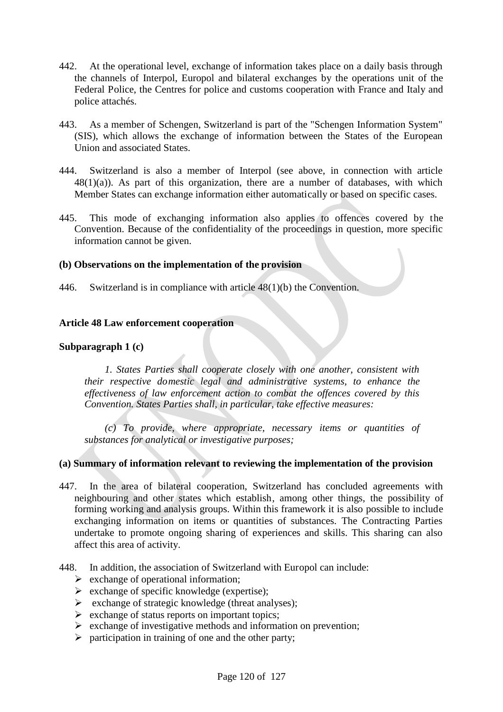- 442. At the operational level, exchange of information takes place on a daily basis through the channels of Interpol, Europol and bilateral exchanges by the operations unit of the Federal Police, the Centres for police and customs cooperation with France and Italy and police attachés.
- 443. As a member of Schengen, Switzerland is part of the "Schengen Information System" (SIS), which allows the exchange of information between the States of the European Union and associated States.
- 444. Switzerland is also a member of Interpol (see above, in connection with article  $48(1)(a)$ ). As part of this organization, there are a number of databases, with which Member States can exchange information either automatically or based on specific cases.
- 445. This mode of exchanging information also applies to offences covered by the Convention. Because of the confidentiality of the proceedings in question, more specific information cannot be given.

## **(b) Observations on the implementation of the provision**

446. Switzerland is in compliance with article 48(1)(b) the Convention.

## **Article 48 Law enforcement cooperation**

## **Subparagraph 1 (c)**

*1. States Parties shall cooperate closely with one another, consistent with their respective domestic legal and administrative systems, to enhance the effectiveness of law enforcement action to combat the offences covered by this Convention. States Parties shall, in particular, take effective measures:*

*(c) To provide, where appropriate, necessary items or quantities of substances for analytical or investigative purposes;*

- 447. In the area of bilateral cooperation, Switzerland has concluded agreements with neighbouring and other states which establish, among other things, the possibility of forming working and analysis groups. Within this framework it is also possible to include exchanging information on items or quantities of substances. The Contracting Parties undertake to promote ongoing sharing of experiences and skills. This sharing can also affect this area of activity.
- 448. In addition, the association of Switzerland with Europol can include:
	- $\triangleright$  exchange of operational information;
	- $\triangleright$  exchange of specific knowledge (expertise);
	- $\triangleright$  exchange of strategic knowledge (threat analyses);
	- $\triangleright$  exchange of status reports on important topics;
	- $\triangleright$  exchange of investigative methods and information on prevention;
	- $\triangleright$  participation in training of one and the other party;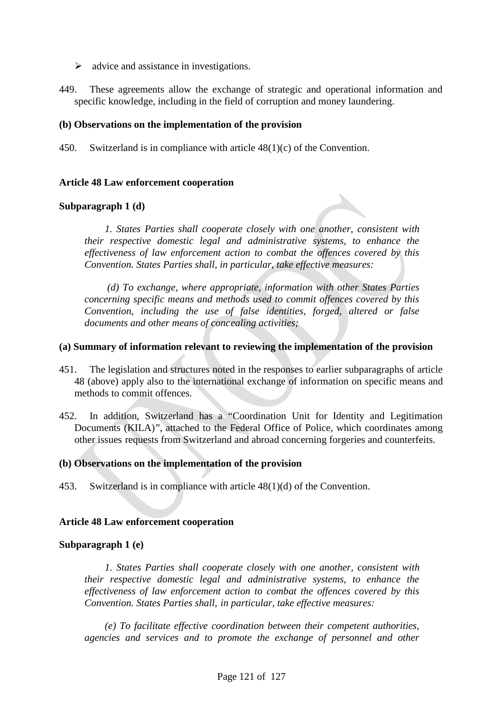- $\triangleright$  advice and assistance in investigations.
- 449. These agreements allow the exchange of strategic and operational information and specific knowledge, including in the field of corruption and money laundering.

## **(b) Observations on the implementation of the provision**

450. Switzerland is in compliance with article  $48(1)(c)$  of the Convention.

## **Article 48 Law enforcement cooperation**

## **Subparagraph 1 (d)**

*1. States Parties shall cooperate closely with one another, consistent with their respective domestic legal and administrative systems, to enhance the effectiveness of law enforcement action to combat the offences covered by this Convention. States Parties shall, in particular, take effective measures:*

*(d) To exchange, where appropriate, information with other States Parties concerning specific means and methods used to commit offences covered by this Convention, including the use of false identities, forged, altered or false documents and other means of concealing activities;*

## **(a) Summary of information relevant to reviewing the implementation of the provision**

- 451. The legislation and structures noted in the responses to earlier subparagraphs of article 48 (above) apply also to the international exchange of information on specific means and methods to commit offences.
- 452. In addition, Switzerland has a "Coordination Unit for Identity and Legitimation Documents (KILA)", attached to the Federal Office of Police, which coordinates among other issues requests from Switzerland and abroad concerning forgeries and counterfeits.

## **(b) Observations on the implementation of the provision**

453. Switzerland is in compliance with article 48(1)(d) of the Convention.

## **Article 48 Law enforcement cooperation**

## **Subparagraph 1 (e)**

*1. States Parties shall cooperate closely with one another, consistent with their respective domestic legal and administrative systems, to enhance the effectiveness of law enforcement action to combat the offences covered by this Convention. States Parties shall, in particular, take effective measures:*

*(e) To facilitate effective coordination between their competent authorities, agencies and services and to promote the exchange of personnel and other*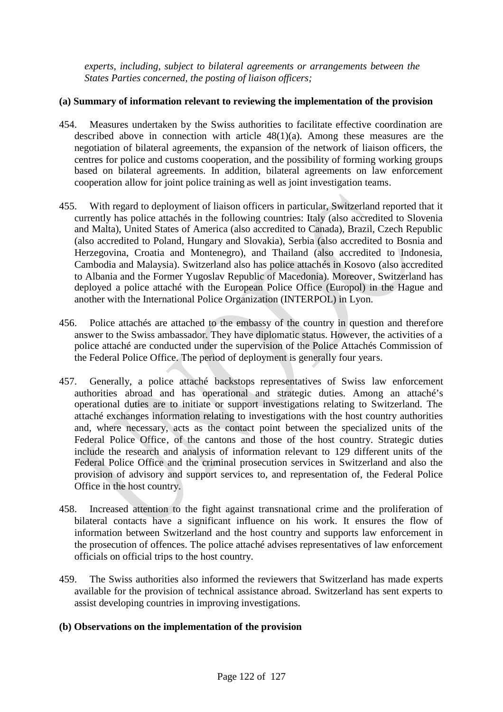*experts, including, subject to bilateral agreements or arrangements between the States Parties concerned, the posting of liaison officers;*

# **(a) Summary of information relevant to reviewing the implementation of the provision**

- 454. Measures undertaken by the Swiss authorities to facilitate effective coordination are described above in connection with article  $48(1)(a)$ . Among these measures are the negotiation of bilateral agreements, the expansion of the network of liaison officers, the centres for police and customs cooperation, and the possibility of forming working groups based on bilateral agreements. In addition, bilateral agreements on law enforcement cooperation allow for joint police training as well as joint investigation teams.
- 455. With regard to deployment of liaison officers in particular, Switzerland reported that it currently has police attachés in the following countries: Italy (also accredited to Slovenia and Malta), United States of America (also accredited to Canada), Brazil, Czech Republic (also accredited to Poland, Hungary and Slovakia), Serbia (also accredited to Bosnia and Herzegovina, Croatia and Montenegro), and Thailand (also accredited to Indonesia, Cambodia and Malaysia). Switzerland also has police attachés in Kosovo (also accredited to Albania and the Former Yugoslav Republic of Macedonia). Moreover, Switzerland has deployed a police attaché with the European Police Office (Europol) in the Hague and another with the International Police Organization (INTERPOL) in Lyon.
- 456. Police attachés are attached to the embassy of the country in question and therefore answer to the Swiss ambassador. They have diplomatic status. However, the activities of a police attaché are conducted under the supervision of the Police Attachés Commission of the Federal Police Office. The period of deployment is generally four years.
- 457. Generally, a police attaché backstops representatives of Swiss law enforcement authorities abroad and has operational and strategic duties. Among an attaché's operational duties are to initiate or support investigations relating to Switzerland. The attaché exchanges information relating to investigations with the host country authorities and, where necessary, acts as the contact point between the specialized units of the Federal Police Office, of the cantons and those of the host country. Strategic duties include the research and analysis of information relevant to 129 different units of the Federal Police Office and the criminal prosecution services in Switzerland and also the provision of advisory and support services to, and representation of, the Federal Police Office in the host country.
- 458. Increased attention to the fight against transnational crime and the proliferation of bilateral contacts have a significant influence on his work. It ensures the flow of information between Switzerland and the host country and supports law enforcement in the prosecution of offences. The police attaché advises representatives of law enforcement officials on official trips to the host country.
- 459. The Swiss authorities also informed the reviewers that Switzerland has made experts available for the provision of technical assistance abroad. Switzerland has sent experts to assist developing countries in improving investigations.

## **(b) Observations on the implementation of the provision**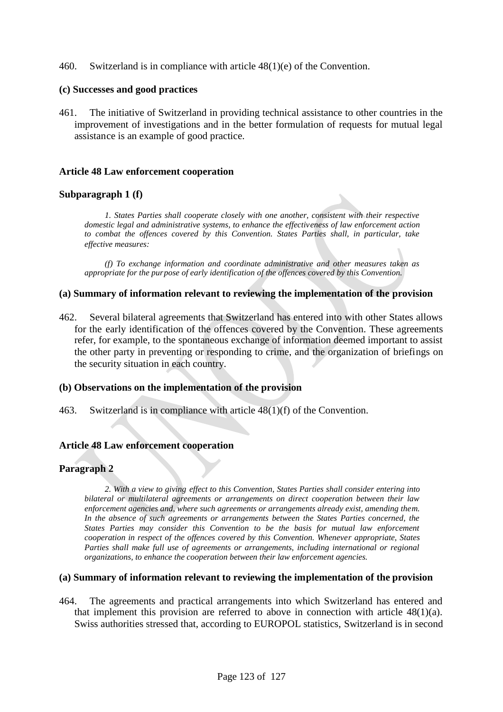460. Switzerland is in compliance with article 48(1)(e) of the Convention.

#### **(c) Successes and good practices**

461. The initiative of Switzerland in providing technical assistance to other countries in the improvement of investigations and in the better formulation of requests for mutual legal assistance is an example of good practice.

#### **Article 48 Law enforcement cooperation**

#### **Subparagraph 1 (f)**

*1. States Parties shall cooperate closely with one another, consistent with their respective domestic legal and administrative systems, to enhance the effectiveness of law enforcement action to combat the offences covered by this Convention. States Parties shall, in particular, take effective measures:*

*(f) To exchange information and coordinate administrative and other measures taken as appropriate for the purpose of early identification of the offences covered by this Convention.*

#### **(a) Summary of information relevant to reviewing the implementation of the provision**

462. Several bilateral agreements that Switzerland has entered into with other States allows for the early identification of the offences covered by the Convention. These agreements refer, for example, to the spontaneous exchange of information deemed important to assist the other party in preventing or responding to crime, and the organization of briefings on the security situation in each country.

#### **(b) Observations on the implementation of the provision**

463. Switzerland is in compliance with article 48(1)(f) of the Convention.

## **Article 48 Law enforcement cooperation**

## **Paragraph 2**

*2. With a view to giving effect to this Convention, States Parties shall consider entering into bilateral or multilateral agreements or arrangements on direct cooperation between their law enforcement agencies and, where such agreements or arrangements already exist, amending them. In the absence of such agreements or arrangements between the States Parties concerned, the States Parties may consider this Convention to be the basis for mutual law enforcement cooperation in respect of the offences covered by this Convention. Whenever appropriate, States Parties shall make full use of agreements or arrangements, including international or regional organizations, to enhance the cooperation between their law enforcement agencies.*

#### **(a) Summary of information relevant to reviewing the implementation of the provision**

464. The agreements and practical arrangements into which Switzerland has entered and that implement this provision are referred to above in connection with article  $48(1)(a)$ . Swiss authorities stressed that, according to EUROPOL statistics, Switzerland is in second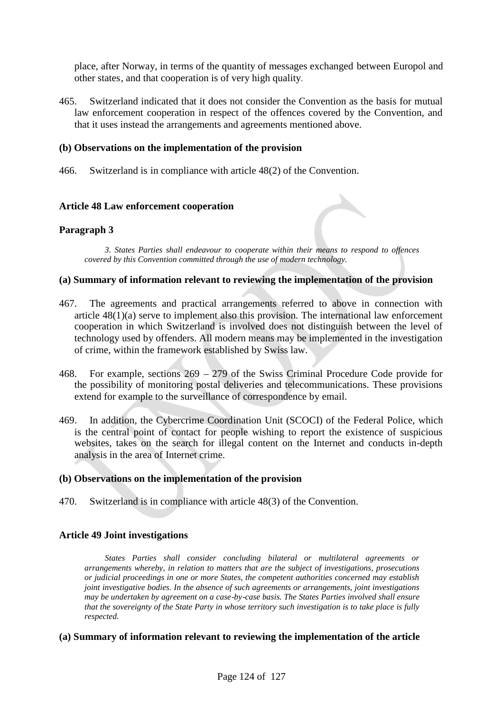place, after Norway, in terms of the quantity of messages exchanged between Europol and other states, and that cooperation is of very high quality.

465. Switzerland indicated that it does not consider the Convention as the basis for mutual law enforcement cooperation in respect of the offences covered by the Convention, and that it uses instead the arrangements and agreements mentioned above.

## **(b) Observations on the implementation of the provision**

466. Switzerland is in compliance with article 48(2) of the Convention.

#### **Article 48 Law enforcement cooperation**

## **Paragraph 3**

*3. States Parties shall endeavour to cooperate within their means to respond to offences covered by this Convention committed through the use of modern technology.*

#### **(a) Summary of information relevant to reviewing the implementation of the provision**

- 467. The agreements and practical arrangements referred to above in connection with article 48(1)(a) serve to implement also this provision. The international law enforcement cooperation in which Switzerland is involved does not distinguish between the level of technology used by offenders. All modern means may be implemented in the investigation of crime, within the framework established by Swiss law.
- 468. For example, sections 269 279 of the Swiss Criminal Procedure Code provide for the possibility of monitoring postal deliveries and telecommunications. These provisions extend for example to the surveillance of correspondence by email.
- 469. In addition, the Cybercrime Coordination Unit (SCOCI) of the Federal Police, which is the central point of contact for people wishing to report the existence of suspicious websites, takes on the search for illegal content on the Internet and conducts in-depth analysis in the area of Internet crime.

#### **(b) Observations on the implementation of the provision**

470. Switzerland is in compliance with article 48(3) of the Convention.

#### **Article 49 Joint investigations**

*States Parties shall consider concluding bilateral or multilateral agreements or arrangements whereby, in relation to matters that are the subject of investigations, prosecutions or judicial proceedings in one or more States, the competent authorities concerned may establish joint investigative bodies. In the absence of such agreements or arrangements, joint investigations may be undertaken by agreement on a case-by-case basis. The States Parties involved shall ensure that the sovereignty of the State Party in whose territory such investigation is to take place is fully respected.*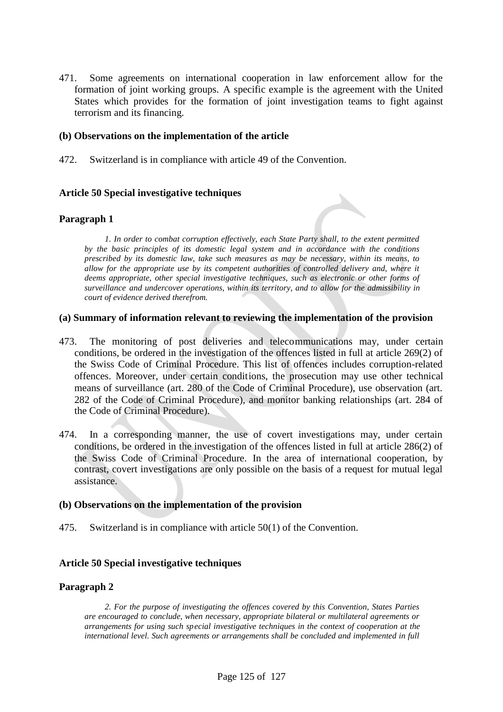471. Some agreements on international cooperation in law enforcement allow for the formation of joint working groups. A specific example is the agreement with the United States which provides for the formation of joint investigation teams to fight against terrorism and its financing.

## **(b) Observations on the implementation of the article**

472. Switzerland is in compliance with article 49 of the Convention.

## **Article 50 Special investigative techniques**

#### **Paragraph 1**

*1. In order to combat corruption effectively, each State Party shall, to the extent permitted by the basic principles of its domestic legal system and in accordance with the conditions prescribed by its domestic law, take such measures as may be necessary, within its means, to allow for the appropriate use by its competent authorities of controlled delivery and, where it deems appropriate, other special investigative techniques, such as electronic or other forms of surveillance and undercover operations, within its territory, and to allow for the admissibility in court of evidence derived therefrom.*

#### **(a) Summary of information relevant to reviewing the implementation of the provision**

- 473. The monitoring of post deliveries and telecommunications may, under certain conditions, be ordered in the investigation of the offences listed in full at article 269(2) of the Swiss Code of Criminal Procedure. This list of offences includes corruption-related offences. Moreover, under certain conditions, the prosecution may use other technical means of surveillance (art. 280 of the Code of Criminal Procedure), use observation (art. 282 of the Code of Criminal Procedure), and monitor banking relationships (art. 284 of the Code of Criminal Procedure).
- 474. In a corresponding manner, the use of covert investigations may, under certain conditions, be ordered in the investigation of the offences listed in full at article 286(2) of the Swiss Code of Criminal Procedure. In the area of international cooperation, by contrast, covert investigations are only possible on the basis of a request for mutual legal assistance.

#### **(b) Observations on the implementation of the provision**

475. Switzerland is in compliance with article 50(1) of the Convention.

#### **Article 50 Special investigative techniques**

#### **Paragraph 2**

*2. For the purpose of investigating the offences covered by this Convention, States Parties are encouraged to conclude, when necessary, appropriate bilateral or multilateral agreements or arrangements for using such special investigative techniques in the context of cooperation at the international level. Such agreements or arrangements shall be concluded and implemented in full*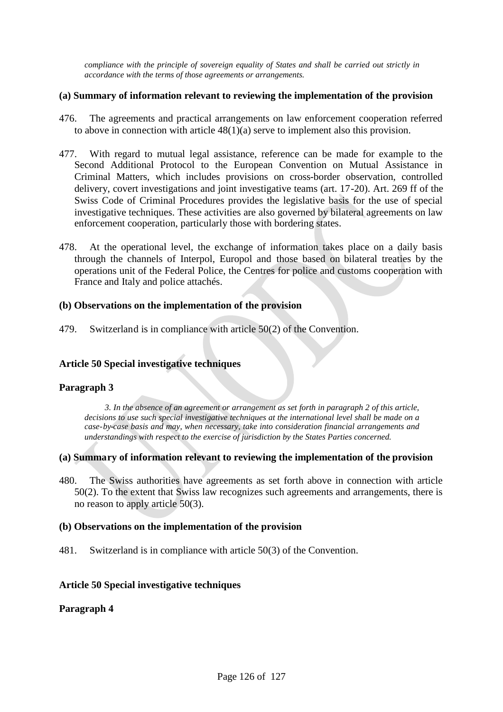*compliance with the principle of sovereign equality of States and shall be carried out strictly in accordance with the terms of those agreements or arrangements.*

## **(a) Summary of information relevant to reviewing the implementation of the provision**

- 476. The agreements and practical arrangements on law enforcement cooperation referred to above in connection with article 48(1)(a) serve to implement also this provision.
- 477. With regard to mutual legal assistance, reference can be made for example to the Second Additional Protocol to the European Convention on Mutual Assistance in Criminal Matters, which includes provisions on cross-border observation, controlled delivery, covert investigations and joint investigative teams (art. 17-20). Art. 269 ff of the Swiss Code of Criminal Procedures provides the legislative basis for the use of special investigative techniques. These activities are also governed by bilateral agreements on law enforcement cooperation, particularly those with bordering states.
- 478. At the operational level, the exchange of information takes place on a daily basis through the channels of Interpol, Europol and those based on bilateral treaties by the operations unit of the Federal Police, the Centres for police and customs cooperation with France and Italy and police attachés.

## **(b) Observations on the implementation of the provision**

479. Switzerland is in compliance with article 50(2) of the Convention.

## **Article 50 Special investigative techniques**

## **Paragraph 3**

*3. In the absence of an agreement or arrangement as set forth in paragraph 2 of this article, decisions to use such special investigative techniques at the international level shall be made on a case-by-case basis and may, when necessary, take into consideration financial arrangements and understandings with respect to the exercise of jurisdiction by the States Parties concerned.*

## **(a) Summary of information relevant to reviewing the implementation of the provision**

480. The Swiss authorities have agreements as set forth above in connection with article 50(2). To the extent that Swiss law recognizes such agreements and arrangements, there is no reason to apply article 50(3).

## **(b) Observations on the implementation of the provision**

481. Switzerland is in compliance with article 50(3) of the Convention.

## **Article 50 Special investigative techniques**

## **Paragraph 4**